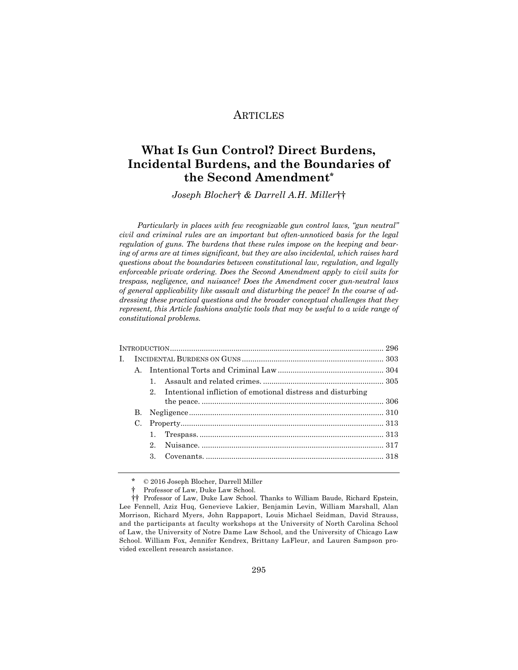# ARTICLES

# **What Is Gun Control? Direct Burdens, Incidental Burdens, and the Boundaries of the Second Amendment\***

*Joseph Blocher*† *& Darrell A.H. Miller*††

*Particularly in places with few recognizable gun control laws, "gun neutral" civil and criminal rules are an important but often-unnoticed basis for the legal regulation of guns. The burdens that these rules impose on the keeping and bearing of arms are at times significant, but they are also incidental, which raises hard questions about the boundaries between constitutional law, regulation, and legally enforceable private ordering. Does the Second Amendment apply to civil suits for trespass, negligence, and nuisance? Does the Amendment cover gun-neutral laws of general applicability like assault and disturbing the peace? In the course of addressing these practical questions and the broader conceptual challenges that they represent, this Article fashions analytic tools that may be useful to a wide range of constitutional problems.* 

| L |             |             |                                                                |  |  |
|---|-------------|-------------|----------------------------------------------------------------|--|--|
|   |             |             |                                                                |  |  |
|   |             |             |                                                                |  |  |
|   |             |             | 2. Intentional infliction of emotional distress and disturbing |  |  |
|   |             |             |                                                                |  |  |
|   |             |             |                                                                |  |  |
|   | $C_{\cdot}$ |             |                                                                |  |  |
|   |             |             |                                                                |  |  |
|   |             | $2^{\circ}$ |                                                                |  |  |
|   |             |             |                                                                |  |  |
|   |             |             |                                                                |  |  |

 $© 2016 Joseph Blocher, Darrell Miller$ 

<sup>†</sup> Professor of Law, Duke Law School.

<sup>††</sup> Professor of Law, Duke Law School. Thanks to William Baude, Richard Epstein, Lee Fennell, Aziz Huq, Genevieve Lakier, Benjamin Levin, William Marshall, Alan Morrison, Richard Myers, John Rappaport, Louis Michael Seidman, David Strauss, and the participants at faculty workshops at the University of North Carolina School of Law, the University of Notre Dame Law School, and the University of Chicago Law School. William Fox, Jennifer Kendrex, Brittany LaFleur, and Lauren Sampson provided excellent research assistance.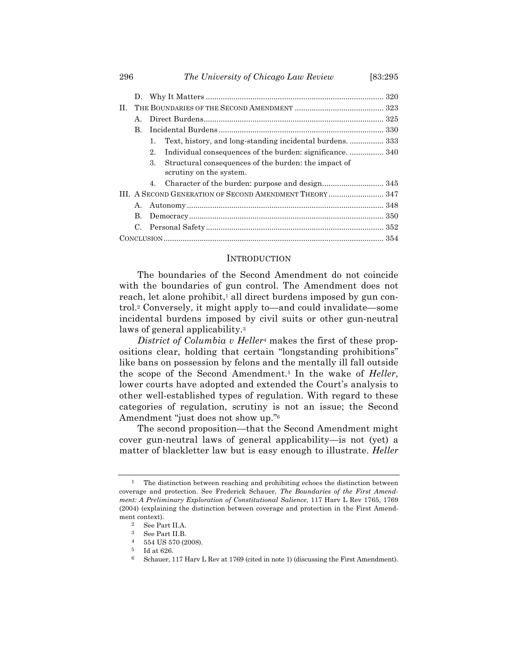|    | D.                                                       |                                                                                       |  |  |  |  |
|----|----------------------------------------------------------|---------------------------------------------------------------------------------------|--|--|--|--|
| H. |                                                          |                                                                                       |  |  |  |  |
|    | $\mathbf{A}$                                             |                                                                                       |  |  |  |  |
|    | B.                                                       |                                                                                       |  |  |  |  |
|    |                                                          | Text, history, and long-standing incidental burdens.  333<br>1.                       |  |  |  |  |
|    |                                                          | Individual consequences of the burden: significance 340<br>2.                         |  |  |  |  |
|    |                                                          | Structural consequences of the burden: the impact of<br>3.<br>scrutiny on the system. |  |  |  |  |
|    |                                                          | 4.                                                                                    |  |  |  |  |
|    | III. A SECOND GENERATION OF SECOND AMENDMENT THEORY  347 |                                                                                       |  |  |  |  |
|    | А.                                                       |                                                                                       |  |  |  |  |
|    | В.                                                       |                                                                                       |  |  |  |  |
|    | C.                                                       |                                                                                       |  |  |  |  |
|    |                                                          |                                                                                       |  |  |  |  |

#### **INTRODUCTION**

The boundaries of the Second Amendment do not coincide with the boundaries of gun control. The Amendment does not reach, let alone prohibit,<sup>1</sup> all direct burdens imposed by gun control.2 Conversely, it might apply to—and could invalidate—some incidental burdens imposed by civil suits or other gun-neutral laws of general applicability.3

*District of Columbia v Heller*<sup>4</sup> makes the first of these propositions clear, holding that certain "longstanding prohibitions" like bans on possession by felons and the mentally ill fall outside the scope of the Second Amendment.5 In the wake of *Heller*, lower courts have adopted and extended the Court's analysis to other well-established types of regulation. With regard to these categories of regulation, scrutiny is not an issue; the Second Amendment "just does not show up."6

The second proposition—that the Second Amendment might cover gun-neutral laws of general applicability—is not (yet) a matter of blackletter law but is easy enough to illustrate. *Heller*

<sup>1</sup> The distinction between reaching and prohibiting echoes the distinction between coverage and protection. See Frederick Schauer, *The Boundaries of the First Amendment: A Preliminary Exploration of Constitutional Salience*, 117 Harv L Rev 1765, 1769 (2004) (explaining the distinction between coverage and protection in the First Amendment context).

<sup>2</sup> See Part II.A.

<sup>3</sup> See Part II.B.

 $4$  554 US 570 (2008).

<sup>5</sup> Id at 626.

<sup>6</sup> Schauer, 117 Harv L Rev at 1769 (cited in note 1) (discussing the First Amendment).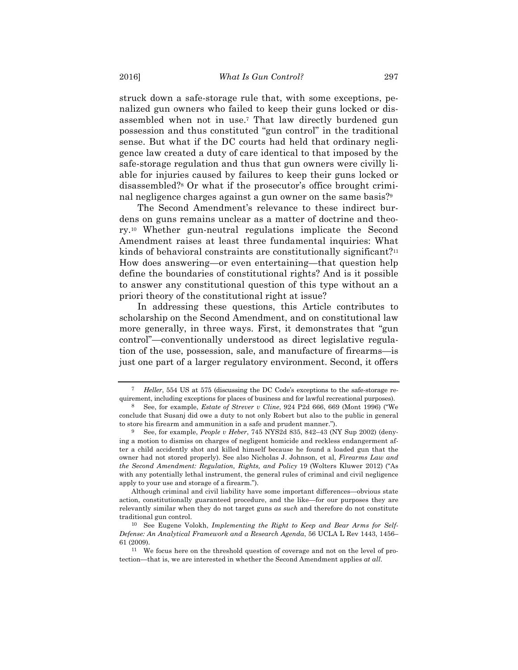struck down a safe-storage rule that, with some exceptions, penalized gun owners who failed to keep their guns locked or disassembled when not in use.7 That law directly burdened gun possession and thus constituted "gun control" in the traditional sense. But what if the DC courts had held that ordinary negligence law created a duty of care identical to that imposed by the safe-storage regulation and thus that gun owners were civilly liable for injuries caused by failures to keep their guns locked or disassembled?8 Or what if the prosecutor's office brought criminal negligence charges against a gun owner on the same basis?9

The Second Amendment's relevance to these indirect burdens on guns remains unclear as a matter of doctrine and theory.10 Whether gun-neutral regulations implicate the Second Amendment raises at least three fundamental inquiries: What kinds of behavioral constraints are constitutionally significant?<sup>11</sup> How does answering—or even entertaining—that question help define the boundaries of constitutional rights? And is it possible to answer any constitutional question of this type without an a priori theory of the constitutional right at issue?

In addressing these questions, this Article contributes to scholarship on the Second Amendment, and on constitutional law more generally, in three ways. First, it demonstrates that "gun control"—conventionally understood as direct legislative regulation of the use, possession, sale, and manufacture of firearms—is just one part of a larger regulatory environment. Second, it offers

<sup>7</sup> *Heller*, 554 US at 575 (discussing the DC Code's exceptions to the safe-storage requirement, including exceptions for places of business and for lawful recreational purposes).

<sup>8</sup> See, for example, *Estate of Strever v Cline*, 924 P2d 666, 669 (Mont 1996) ("We conclude that Susanj did owe a duty to not only Robert but also to the public in general to store his firearm and ammunition in a safe and prudent manner.").

<sup>9</sup> See, for example, *People v Heber*, 745 NYS2d 835, 842–43 (NY Sup 2002) (denying a motion to dismiss on charges of negligent homicide and reckless endangerment after a child accidently shot and killed himself because he found a loaded gun that the owner had not stored properly). See also Nicholas J. Johnson, et al, *Firearms Law and the Second Amendment: Regulation, Rights, and Policy* 19 (Wolters Kluwer 2012) ("As with any potentially lethal instrument, the general rules of criminal and civil negligence apply to your use and storage of a firearm.").

Although criminal and civil liability have some important differences—obvious state action, constitutionally guaranteed procedure, and the like—for our purposes they are relevantly similar when they do not target guns *as such* and therefore do not constitute traditional gun control.

<sup>10</sup> See Eugene Volokh, *Implementing the Right to Keep and Bear Arms for Self-Defense: An Analytical Framework and a Research Agenda*, 56 UCLA L Rev 1443, 1456– 61 (2009).

<sup>11</sup> We focus here on the threshold question of coverage and not on the level of protection—that is, we are interested in whether the Second Amendment applies *at all*.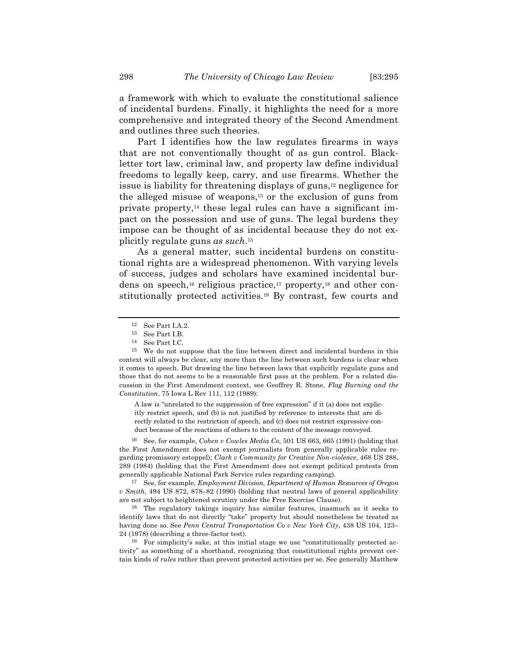a framework with which to evaluate the constitutional salience of incidental burdens. Finally, it highlights the need for a more comprehensive and integrated theory of the Second Amendment and outlines three such theories.

Part I identifies how the law regulates firearms in ways that are not conventionally thought of as gun control. Blackletter tort law, criminal law, and property law define individual freedoms to legally keep, carry, and use firearms. Whether the issue is liability for threatening displays of guns,12 negligence for the alleged misuse of weapons,13 or the exclusion of guns from private property,14 these legal rules can have a significant impact on the possession and use of guns. The legal burdens they impose can be thought of as incidental because they do not explicitly regulate guns *as such*.15

As a general matter, such incidental burdens on constitutional rights are a widespread phenomenon. With varying levels of success, judges and scholars have examined incidental burdens on speech,<sup>16</sup> religious practice,<sup>17</sup> property,<sup>18</sup> and other constitutionally protected activities.19 By contrast, few courts and

A law is "unrelated to the suppression of free expression" if it (a) does not explicitly restrict speech, and (b) is not justified by reference to interests that are directly related to the restriction of speech, and (c) does not restrict expressive conduct because of the reactions of others to the content of the message conveyed.

16 See, for example, *Cohen v Cowles Media Co*, 501 US 663, 665 (1991) (holding that the First Amendment does not exempt journalists from generally applicable rules regarding promissory estoppel); *Clark v Community for Creative Non-violence*, 468 US 288, 289 (1984) (holding that the First Amendment does not exempt political protests from generally applicable National Park Service rules regarding camping).

17 See, for example, *Employment Division, Department of Human Resources of Oregon v Smith*, 494 US 872, 878–82 (1990) (holding that neutral laws of general applicability are not subject to heightened scrutiny under the Free Exercise Clause).

18 The regulatory takings inquiry has similar features, inasmuch as it seeks to identify laws that do not directly "take" property but should nonetheless be treated as having done so. See *Penn Central Transportation Co v New York City*, 438 US 104, 123– 24 (1978) (describing a three-factor test).

19 For simplicity's sake, at this initial stage we use "constitutionally protected activity" as something of a shorthand, recognizing that constitutional rights prevent certain kinds of *rules* rather than prevent protected activities per se. See generally Matthew

<sup>12</sup> See Part I.A.2.

<sup>13</sup> See Part I.B.

<sup>14</sup> See Part I.C.

<sup>15</sup> We do not suppose that the line between direct and incidental burdens in this context will always be clear, any more than the line between such burdens is clear when it comes to speech. But drawing the line between laws that explicitly regulate guns and those that do not seems to be a reasonable first pass at the problem. For a related discussion in the First Amendment context, see Geoffrey R. Stone, *Flag Burning and the Constitution*, 75 Iowa L Rev 111, 112 (1989):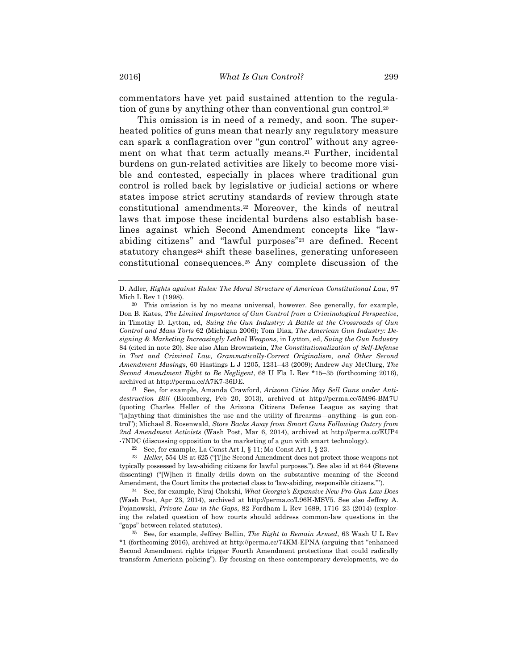commentators have yet paid sustained attention to the regulation of guns by anything other than conventional gun control.20

This omission is in need of a remedy, and soon. The superheated politics of guns mean that nearly any regulatory measure can spark a conflagration over "gun control" without any agreement on what that term actually means.21 Further, incidental burdens on gun-related activities are likely to become more visible and contested, especially in places where traditional gun control is rolled back by legislative or judicial actions or where states impose strict scrutiny standards of review through state constitutional amendments.22 Moreover, the kinds of neutral laws that impose these incidental burdens also establish baselines against which Second Amendment concepts like "lawabiding citizens" and "lawful purposes"23 are defined. Recent statutory changes<sup>24</sup> shift these baselines, generating unforeseen constitutional consequences.25 Any complete discussion of the

21 See, for example, Amanda Crawford, *Arizona Cities May Sell Guns under Antidestruction Bill* (Bloomberg, Feb 20, 2013), archived at http://perma.cc/5M96-BM7U (quoting Charles Heller of the Arizona Citizens Defense League as saying that "[a]nything that diminishes the use and the utility of firearms—anything—is gun control"); Michael S. Rosenwald, *Store Backs Away from Smart Guns Following Outcry from 2nd Amendment Activists* (Wash Post, Mar 6, 2014), archived at http://perma.cc/EUP4 -7NDC (discussing opposition to the marketing of a gun with smart technology).

23 *Heller*, 554 US at 625 ("[T]he Second Amendment does not protect those weapons not typically possessed by law-abiding citizens for lawful purposes."). See also id at 644 (Stevens dissenting) ("[W]hen it finally drills down on the substantive meaning of the Second Amendment, the Court limits the protected class to 'law-abiding, responsible citizens."").

24 See, for example, Niraj Chokshi, *What Georgia's Expansive New Pro-Gun Law Does* (Wash Post, Apr 23, 2014), archived at http://perma.cc/L96H-MSV5. See also Jeffrey A. Pojanowski, *Private Law in the Gaps*, 82 Fordham L Rev 1689, 1716–23 (2014) (exploring the related question of how courts should address common-law questions in the "gaps" between related statutes).

25 See, for example, Jeffrey Bellin, *The Right to Remain Armed*, 63 Wash U L Rev \*1 (forthcoming 2016), archived at http://perma.cc/74KM-EPNA (arguing that "enhanced Second Amendment rights trigger Fourth Amendment protections that could radically transform American policing"). By focusing on these contemporary developments, we do

D. Adler, *Rights against Rules: The Moral Structure of American Constitutional Law*, 97 Mich L Rev 1 (1998).

<sup>20</sup> This omission is by no means universal, however. See generally, for example, Don B. Kates, *The Limited Importance of Gun Control from a Criminological Perspective*, in Timothy D. Lytton, ed, *Suing the Gun Industry: A Battle at the Crossroads of Gun Control and Mass Torts* 62 (Michigan 2006); Tom Diaz, *The American Gun Industry: Designing & Marketing Increasingly Lethal Weapons*, in Lytton, ed, *Suing the Gun Industry* 84 (cited in note 20). See also Alan Brownstein, *The Constitutionalization of Self-Defense in Tort and Criminal Law, Grammatically-Correct Originalism, and Other Second Amendment Musings*, 60 Hastings L J 1205, 1231–43 (2009); Andrew Jay McClurg, *The Second Amendment Right to Be Negligent*, 68 U Fla L Rev \*15–35 (forthcoming 2016), archived at http://perma.cc/A7K7-36DE.

<sup>&</sup>lt;sup>22</sup> See, for example, La Const Art I,  $\S$  11; Mo Const Art I,  $\S$  23.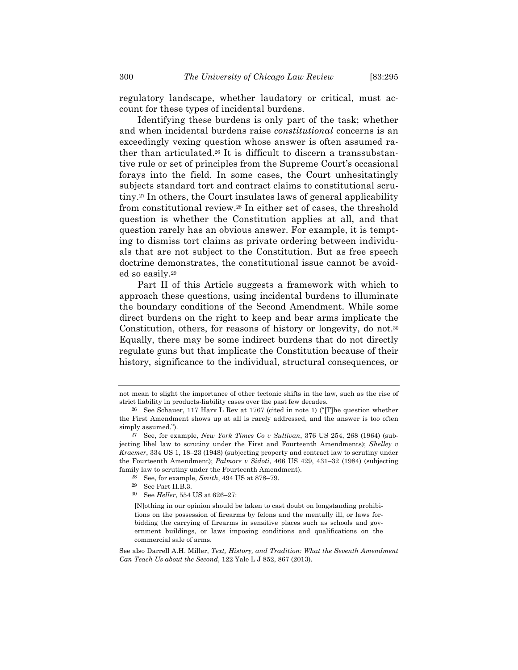regulatory landscape, whether laudatory or critical, must account for these types of incidental burdens.

Identifying these burdens is only part of the task; whether and when incidental burdens raise *constitutional* concerns is an exceedingly vexing question whose answer is often assumed rather than articulated.<sup>26</sup> It is difficult to discern a transsubstantive rule or set of principles from the Supreme Court's occasional forays into the field. In some cases, the Court unhesitatingly subjects standard tort and contract claims to constitutional scrutiny.27 In others, the Court insulates laws of general applicability from constitutional review.28 In either set of cases, the threshold question is whether the Constitution applies at all, and that question rarely has an obvious answer. For example, it is tempting to dismiss tort claims as private ordering between individuals that are not subject to the Constitution. But as free speech doctrine demonstrates, the constitutional issue cannot be avoided so easily.29

Part II of this Article suggests a framework with which to approach these questions, using incidental burdens to illuminate the boundary conditions of the Second Amendment. While some direct burdens on the right to keep and bear arms implicate the Constitution, others, for reasons of history or longevity, do not.30 Equally, there may be some indirect burdens that do not directly regulate guns but that implicate the Constitution because of their history, significance to the individual, structural consequences, or

not mean to slight the importance of other tectonic shifts in the law, such as the rise of strict liability in products-liability cases over the past few decades.

<sup>&</sup>lt;sup>26</sup> See Schauer, 117 Harv L Rev at 1767 (cited in note 1) ("[T]he question whether the First Amendment shows up at all is rarely addressed, and the answer is too often simply assumed.").

<sup>27</sup> See, for example, *New York Times Co v Sullivan*, 376 US 254, 268 (1964) (subjecting libel law to scrutiny under the First and Fourteenth Amendments); *Shelley v Kraemer*, 334 US 1, 18–23 (1948) (subjecting property and contract law to scrutiny under the Fourteenth Amendment); *Palmore v Sidoti*, 466 US 429, 431–32 (1984) (subjecting family law to scrutiny under the Fourteenth Amendment).

<sup>28</sup> See, for example, *Smith*, 494 US at 878–79.

<sup>29</sup> See Part II.B.3.

<sup>30</sup> See *Heller*, 554 US at 626–27:

<sup>[</sup>N]othing in our opinion should be taken to cast doubt on longstanding prohibitions on the possession of firearms by felons and the mentally ill, or laws forbidding the carrying of firearms in sensitive places such as schools and government buildings, or laws imposing conditions and qualifications on the commercial sale of arms.

See also Darrell A.H. Miller, *Text, History, and Tradition: What the Seventh Amendment Can Teach Us about the Second*, 122 Yale L J 852, 867 (2013).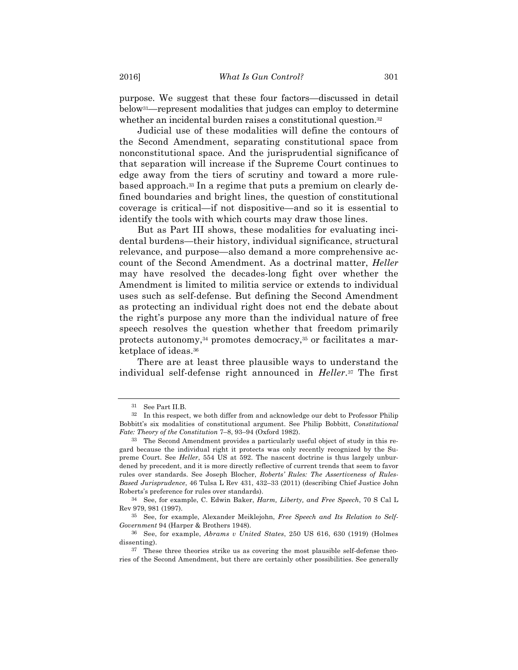purpose. We suggest that these four factors—discussed in detail below31—represent modalities that judges can employ to determine whether an incidental burden raises a constitutional question.<sup>32</sup>

Judicial use of these modalities will define the contours of the Second Amendment, separating constitutional space from nonconstitutional space. And the jurisprudential significance of that separation will increase if the Supreme Court continues to edge away from the tiers of scrutiny and toward a more rulebased approach.33 In a regime that puts a premium on clearly defined boundaries and bright lines, the question of constitutional coverage is critical—if not dispositive—and so it is essential to identify the tools with which courts may draw those lines.

But as Part III shows, these modalities for evaluating incidental burdens—their history, individual significance, structural relevance, and purpose—also demand a more comprehensive account of the Second Amendment. As a doctrinal matter, *Heller* may have resolved the decades-long fight over whether the Amendment is limited to militia service or extends to individual uses such as self-defense. But defining the Second Amendment as protecting an individual right does not end the debate about the right's purpose any more than the individual nature of free speech resolves the question whether that freedom primarily protects autonomy,34 promotes democracy,35 or facilitates a marketplace of ideas.36

There are at least three plausible ways to understand the individual self-defense right announced in *Heller*.37 The first

<sup>31</sup> See Part II.B.

<sup>32</sup> In this respect, we both differ from and acknowledge our debt to Professor Philip Bobbitt's six modalities of constitutional argument. See Philip Bobbitt, *Constitutional Fate: Theory of the Constitution* 7–8, 93–94 (Oxford 1982).

<sup>33</sup> The Second Amendment provides a particularly useful object of study in this regard because the individual right it protects was only recently recognized by the Supreme Court. See *Heller*, 554 US at 592. The nascent doctrine is thus largely unburdened by precedent, and it is more directly reflective of current trends that seem to favor rules over standards. See Joseph Blocher, *Roberts' Rules: The Assertiveness of Rules-Based Jurisprudence*, 46 Tulsa L Rev 431, 432–33 (2011) (describing Chief Justice John Roberts's preference for rules over standards).

<sup>34</sup> See, for example, C. Edwin Baker, *Harm, Liberty, and Free Speech*, 70 S Cal L Rev 979, 981 (1997).

<sup>35</sup> See, for example, Alexander Meiklejohn, *Free Speech and Its Relation to Self-Government* 94 (Harper & Brothers 1948).

<sup>36</sup> See, for example, *Abrams v United States*, 250 US 616, 630 (1919) (Holmes dissenting).

<sup>37</sup> These three theories strike us as covering the most plausible self-defense theories of the Second Amendment, but there are certainly other possibilities. See generally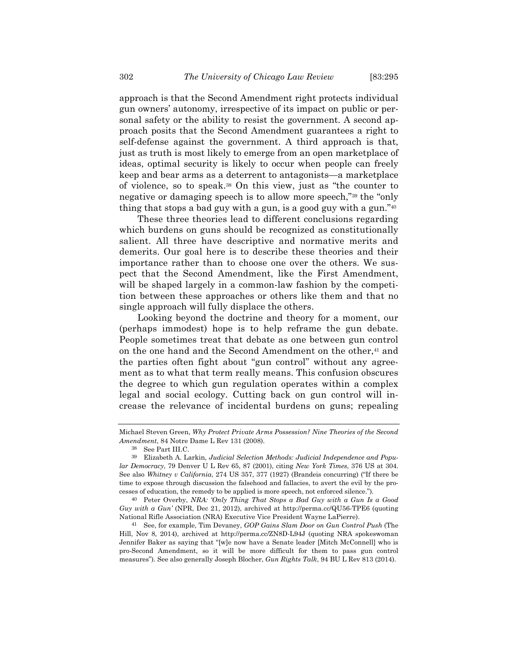approach is that the Second Amendment right protects individual gun owners' autonomy, irrespective of its impact on public or personal safety or the ability to resist the government. A second approach posits that the Second Amendment guarantees a right to self-defense against the government. A third approach is that, just as truth is most likely to emerge from an open marketplace of ideas, optimal security is likely to occur when people can freely keep and bear arms as a deterrent to antagonists—a marketplace of violence, so to speak.38 On this view, just as "the counter to negative or damaging speech is to allow more speech,"39 the "only thing that stops a bad guy with a gun, is a good guy with a gun."40

These three theories lead to different conclusions regarding which burdens on guns should be recognized as constitutionally salient. All three have descriptive and normative merits and demerits. Our goal here is to describe these theories and their importance rather than to choose one over the others. We suspect that the Second Amendment, like the First Amendment, will be shaped largely in a common-law fashion by the competition between these approaches or others like them and that no single approach will fully displace the others.

Looking beyond the doctrine and theory for a moment, our (perhaps immodest) hope is to help reframe the gun debate. People sometimes treat that debate as one between gun control on the one hand and the Second Amendment on the other,<sup>41</sup> and the parties often fight about "gun control" without any agreement as to what that term really means. This confusion obscures the degree to which gun regulation operates within a complex legal and social ecology. Cutting back on gun control will increase the relevance of incidental burdens on guns; repealing

Michael Steven Green, *Why Protect Private Arms Possession? Nine Theories of the Second Amendment*, 84 Notre Dame L Rev 131 (2008).

<sup>38</sup> See Part III.C.

<sup>39</sup> Elizabeth A. Larkin, *Judicial Selection Methods: Judicial Independence and Popular Democracy*, 79 Denver U L Rev 65, 87 (2001), citing *New York Times*, 376 US at 304. See also *Whitney v California*, 274 US 357, 377 (1927) (Brandeis concurring) ("If there be time to expose through discussion the falsehood and fallacies, to avert the evil by the processes of education, the remedy to be applied is more speech, not enforced silence.").

<sup>40</sup> Peter Overby, *NRA: 'Only Thing That Stops a Bad Guy with a Gun Is a Good Guy with a Gun'* (NPR, Dec 21, 2012), archived at http://perma.cc/QU56-TPE6 (quoting National Rifle Association (NRA) Executive Vice President Wayne LaPierre).

<sup>41</sup> See, for example, Tim Devaney, *GOP Gains Slam Door on Gun Control Push* (The Hill, Nov 8, 2014), archived at http://perma.cc/ZN8D-L94J (quoting NRA spokeswoman Jennifer Baker as saying that "[w]e now have a Senate leader [Mitch McConnell] who is pro-Second Amendment, so it will be more difficult for them to pass gun control measures"). See also generally Joseph Blocher, *Gun Rights Talk*, 94 BU L Rev 813 (2014).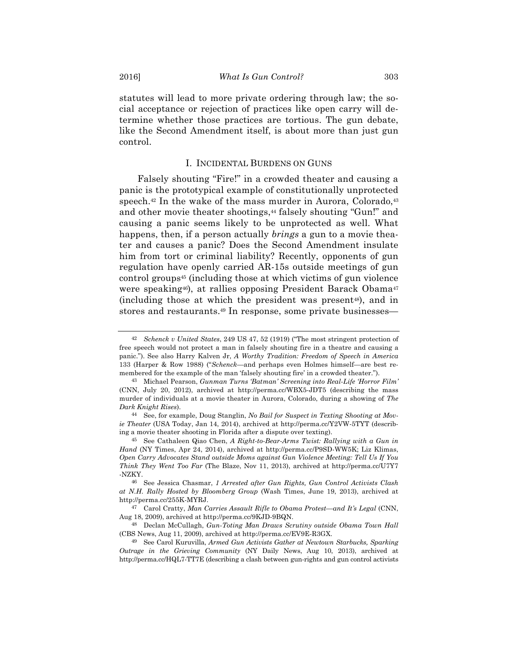statutes will lead to more private ordering through law; the social acceptance or rejection of practices like open carry will determine whether those practices are tortious. The gun debate, like the Second Amendment itself, is about more than just gun control.

#### I. INCIDENTAL BURDENS ON GUNS

Falsely shouting "Fire!" in a crowded theater and causing a panic is the prototypical example of constitutionally unprotected speech. $42$  In the wake of the mass murder in Aurora, Colorado, $43$ and other movie theater shootings,<sup>44</sup> falsely shouting "Gun!" and causing a panic seems likely to be unprotected as well. What happens, then, if a person actually *brings* a gun to a movie theater and causes a panic? Does the Second Amendment insulate him from tort or criminal liability? Recently, opponents of gun regulation have openly carried AR-15s outside meetings of gun control groups45 (including those at which victims of gun violence were speaking<sup>46</sup>), at rallies opposing President Barack Obama<sup>47</sup> (including those at which the president was present48), and in stores and restaurants.<sup>49</sup> In response, some private businesses-

<sup>42</sup> *Schenck v United States*, 249 US 47, 52 (1919) ("The most stringent protection of free speech would not protect a man in falsely shouting fire in a theatre and causing a panic."). See also Harry Kalven Jr, *A Worthy Tradition: Freedom of Speech in America* 133 (Harper & Row 1988) ("*Schenck*—and perhaps even Holmes himself—are best remembered for the example of the man 'falsely shouting fire' in a crowded theater.").

<sup>43</sup> Michael Pearson, *Gunman Turns 'Batman' Screening into Real-Life 'Horror Film'* (CNN, July 20, 2012), archived at http://perma.cc/WBX5-JDT5 (describing the mass murder of individuals at a movie theater in Aurora, Colorado, during a showing of *The Dark Knight Rises*).

<sup>44</sup> See, for example, Doug Stanglin, *No Bail for Suspect in Texting Shooting at Movie Theater* (USA Today, Jan 14, 2014), archived at http://perma.cc/Y2VW-5TYT (describing a movie theater shooting in Florida after a dispute over texting).

<sup>45</sup> See Cathaleen Qiao Chen, *A Right-to-Bear-Arms Twist: Rallying with a Gun in Hand* (NY Times, Apr 24, 2014), archived at http://perma.cc/P9SD-WW5K; Liz Klimas, *Open Carry Advocates Stand outside Moms against Gun Violence Meeting: Tell Us If You Think They Went Too Far* (The Blaze, Nov 11, 2013), archived at http://perma.cc/U7Y7 -NZKY.

<sup>46</sup> See Jessica Chasmar, *1 Arrested after Gun Rights, Gun Control Activists Clash at N.H. Rally Hosted by Bloomberg Group* (Wash Times, June 19, 2013), archived at http://perma.cc/255K-MYRJ.

<sup>47</sup> Carol Cratty, *Man Carries Assault Rifle to Obama Protest—and It's Legal* (CNN, Aug 18, 2009), archived at http://perma.cc/9KJD-9BQN.

<sup>48</sup> Declan McCullagh, *Gun-Toting Man Draws Scrutiny outside Obama Town Hall* (CBS News, Aug 11, 2009), archived at http://perma.cc/EV9E-R3GX.

<sup>49</sup> See Carol Kuruvilla, *Armed Gun Activists Gather at Newtown Starbucks, Sparking Outrage in the Grieving Community* (NY Daily News, Aug 10, 2013), archived at http://perma.cc/HQL7-TT7E (describing a clash between gun-rights and gun control activists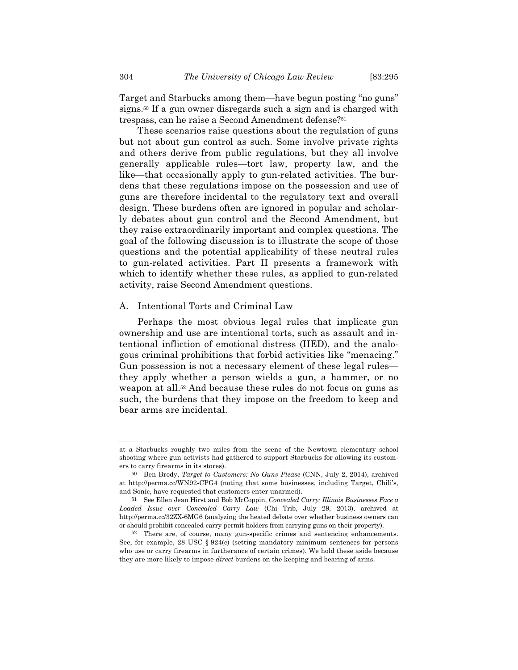Target and Starbucks among them—have begun posting "no guns" signs.50 If a gun owner disregards such a sign and is charged with trespass, can he raise a Second Amendment defense?51

These scenarios raise questions about the regulation of guns but not about gun control as such. Some involve private rights and others derive from public regulations, but they all involve generally applicable rules—tort law, property law, and the like—that occasionally apply to gun-related activities. The burdens that these regulations impose on the possession and use of guns are therefore incidental to the regulatory text and overall design. These burdens often are ignored in popular and scholarly debates about gun control and the Second Amendment, but they raise extraordinarily important and complex questions. The goal of the following discussion is to illustrate the scope of those questions and the potential applicability of these neutral rules to gun-related activities. Part II presents a framework with which to identify whether these rules, as applied to gun-related activity, raise Second Amendment questions.

# A. Intentional Torts and Criminal Law

Perhaps the most obvious legal rules that implicate gun ownership and use are intentional torts, such as assault and intentional infliction of emotional distress (IIED), and the analogous criminal prohibitions that forbid activities like "menacing." Gun possession is not a necessary element of these legal rules they apply whether a person wields a gun, a hammer, or no weapon at all.52 And because these rules do not focus on guns as such, the burdens that they impose on the freedom to keep and bear arms are incidental.

at a Starbucks roughly two miles from the scene of the Newtown elementary school shooting where gun activists had gathered to support Starbucks for allowing its customers to carry firearms in its stores).

<sup>50</sup> Ben Brody, *Target to Customers: No Guns Please* (CNN, July 2, 2014), archived at http://perma.cc/WN92-CPG4 (noting that some businesses, including Target, Chili's, and Sonic, have requested that customers enter unarmed).

<sup>51</sup> See Ellen Jean Hirst and Bob McCoppin, *Concealed Carry: Illinois Businesses Face a Loaded Issue over Concealed Carry Law* (Chi Trib, July 29, 2013), archived at http://perma.cc/32ZX-6MG6 (analyzing the heated debate over whether business owners can or should prohibit concealed-carry-permit holders from carrying guns on their property).

<sup>52</sup> There are, of course, many gun-specific crimes and sentencing enhancements. See, for example,  $28 \text{ USC} \$   $924(c)$  (setting mandatory minimum sentences for persons who use or carry firearms in furtherance of certain crimes). We hold these aside because they are more likely to impose *direct* burdens on the keeping and bearing of arms.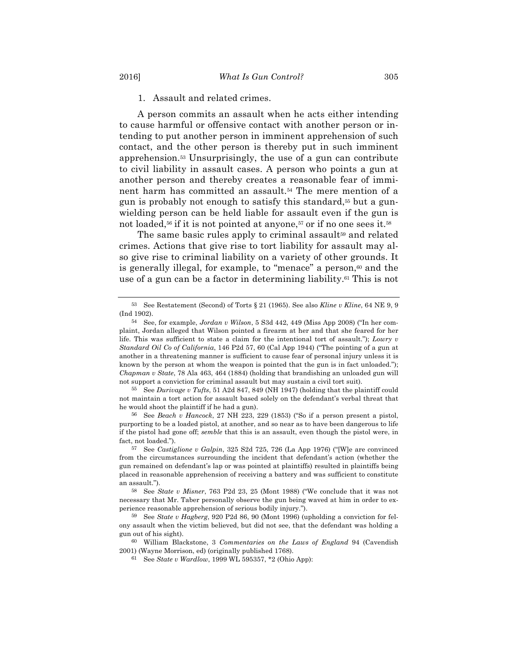1. Assault and related crimes.

A person commits an assault when he acts either intending to cause harmful or offensive contact with another person or intending to put another person in imminent apprehension of such contact, and the other person is thereby put in such imminent apprehension.53 Unsurprisingly, the use of a gun can contribute to civil liability in assault cases. A person who points a gun at another person and thereby creates a reasonable fear of imminent harm has committed an assault.54 The mere mention of a gun is probably not enough to satisfy this standard,55 but a gunwielding person can be held liable for assault even if the gun is not loaded,<sup>56</sup> if it is not pointed at anyone,<sup>57</sup> or if no one sees it.<sup>58</sup>

The same basic rules apply to criminal assault<sup>59</sup> and related crimes. Actions that give rise to tort liability for assault may also give rise to criminal liability on a variety of other grounds. It is generally illegal, for example, to "menace" a person,<sup>60</sup> and the use of a gun can be a factor in determining liability.61 This is not

<sup>53</sup> See Restatement (Second) of Torts § 21 (1965). See also *Kline v Kline*, 64 NE 9, 9 (Ind 1902).

<sup>54</sup> See, for example, *Jordan v Wilson*, 5 S3d 442, 449 (Miss App 2008) ("In her complaint, Jordan alleged that Wilson pointed a firearm at her and that she feared for her life. This was sufficient to state a claim for the intentional tort of assault."); *Lowry v Standard Oil Co of California*, 146 P2d 57, 60 (Cal App 1944) ("The pointing of a gun at another in a threatening manner is sufficient to cause fear of personal injury unless it is known by the person at whom the weapon is pointed that the gun is in fact unloaded."); *Chapman v State*, 78 Ala 463, 464 (1884) (holding that brandishing an unloaded gun will not support a conviction for criminal assault but may sustain a civil tort suit).

<sup>55</sup> See *Durivage v Tufts*, 51 A2d 847, 849 (NH 1947) (holding that the plaintiff could not maintain a tort action for assault based solely on the defendant's verbal threat that he would shoot the plaintiff if he had a gun).

<sup>56</sup> See *Beach v Hancock*, 27 NH 223, 229 (1853) ("So if a person present a pistol, purporting to be a loaded pistol, at another, and so near as to have been dangerous to life if the pistol had gone off; *semble* that this is an assault, even though the pistol were, in fact, not loaded.").

<sup>57</sup> See *Castiglione v Galpin*, 325 S2d 725, 726 (La App 1976) ("[W]e are convinced from the circumstances surrounding the incident that defendant's action (whether the gun remained on defendant's lap or was pointed at plaintiffs) resulted in plaintiffs being placed in reasonable apprehension of receiving a battery and was sufficient to constitute an assault.").

<sup>58</sup> See *State v Misner*, 763 P2d 23, 25 (Mont 1988) ("We conclude that it was not necessary that Mr. Taber personally observe the gun being waved at him in order to experience reasonable apprehension of serious bodily injury.").

<sup>59</sup> See *State v Hagberg*, 920 P2d 86, 90 (Mont 1996) (upholding a conviction for felony assault when the victim believed, but did not see, that the defendant was holding a gun out of his sight).

<sup>60</sup> William Blackstone, 3 *Commentaries on the Laws of England* 94 (Cavendish 2001) (Wayne Morrison, ed) (originally published 1768).

<sup>61</sup> See *State v Wardlow*, 1999 WL 595357, \*2 (Ohio App):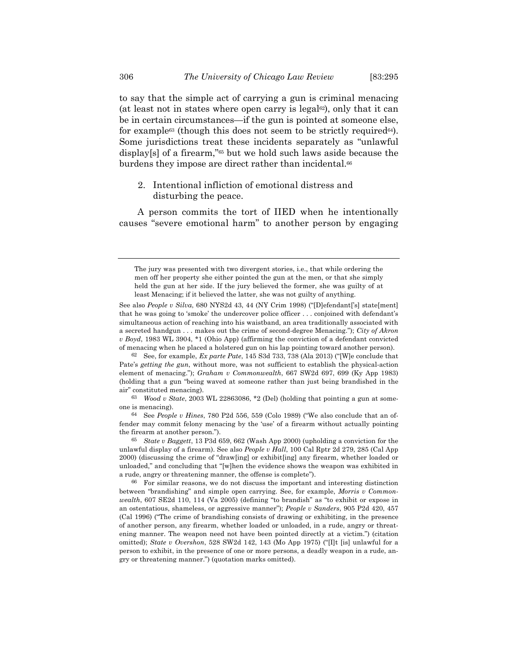to say that the simple act of carrying a gun is criminal menacing (at least not in states where open carry is legal<sup> $\epsilon$ </sup>), only that it can be in certain circumstances—if the gun is pointed at someone else, for example<sup>63</sup> (though this does not seem to be strictly required<sup>64</sup>). Some jurisdictions treat these incidents separately as "unlawful display[s] of a firearm,"<sup>65</sup> but we hold such laws aside because the burdens they impose are direct rather than incidental.<sup>66</sup>

2. Intentional infliction of emotional distress and disturbing the peace.

A person commits the tort of IIED when he intentionally causes "severe emotional harm" to another person by engaging

62 See, for example, *Ex parte Pate*, 145 S3d 733, 738 (Ala 2013) ("[W]e conclude that Pate's *getting the gun*, without more, was not sufficient to establish the physical-action element of menacing."); *Graham v Commonwealth*, 667 SW2d 697, 699 (Ky App 1983) (holding that a gun "being waved at someone rather than just being brandished in the air" constituted menacing).

63 *Wood v State*, 2003 WL 22863086, \*2 (Del) (holding that pointing a gun at someone is menacing).

64 See *People v Hines*, 780 P2d 556, 559 (Colo 1989) ("We also conclude that an offender may commit felony menacing by the 'use' of a firearm without actually pointing the firearm at another person.").

65 *State v Baggett*, 13 P3d 659, 662 (Wash App 2000) (upholding a conviction for the unlawful display of a firearm). See also *People v Hall*, 100 Cal Rptr 2d 279, 285 (Cal App 2000) (discussing the crime of "draw[ing] or exhibit[ing] any firearm, whether loaded or unloaded," and concluding that "[w]hen the evidence shows the weapon was exhibited in a rude, angry or threatening manner, the offense is complete").

66 For similar reasons, we do not discuss the important and interesting distinction between "brandishing" and simple open carrying. See, for example, *Morris v Commonwealth*, 607 SE2d 110, 114 (Va 2005) (defining "to brandish" as "to exhibit or expose in an ostentatious, shameless, or aggressive manner"); *People v Sanders*, 905 P2d 420, 457 (Cal 1996) ("The crime of brandishing consists of drawing or exhibiting, in the presence of another person, any firearm, whether loaded or unloaded, in a rude, angry or threatening manner. The weapon need not have been pointed directly at a victim.") (citation omitted); *State v Overshon*, 528 SW2d 142, 143 (Mo App 1975) ("Ilt [is] unlawful for a person to exhibit, in the presence of one or more persons, a deadly weapon in a rude, angry or threatening manner.") (quotation marks omitted).

The jury was presented with two divergent stories, i.e., that while ordering the men off her property she either pointed the gun at the men, or that she simply held the gun at her side. If the jury believed the former, she was guilty of at least Menacing; if it believed the latter, she was not guilty of anything.

See also *People v Silva*, 680 NYS2d 43, 44 (NY Crim 1998) ("[D]efendant<sup>['</sup>s] state[ment] that he was going to 'smoke' the undercover police officer . . . conjoined with defendant's simultaneous action of reaching into his waistband, an area traditionally associated with a secreted handgun . . . makes out the crime of second-degree Menacing."); *City of Akron v Boyd*, 1983 WL 3904, \*1 (Ohio App) (affirming the conviction of a defendant convicted of menacing when he placed a holstered gun on his lap pointing toward another person).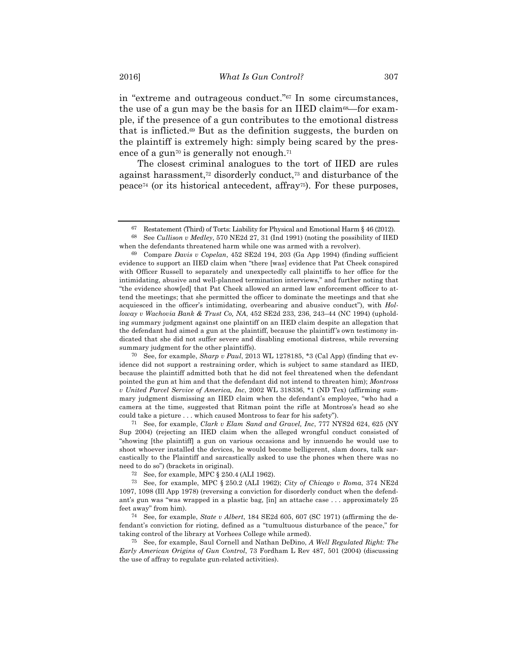in "extreme and outrageous conduct."67 In some circumstances, the use of a gun may be the basis for an IIED claim<sup>68—for</sup> example, if the presence of a gun contributes to the emotional distress that is inflicted.69 But as the definition suggests, the burden on the plaintiff is extremely high: simply being scared by the presence of a gun<sup>70</sup> is generally not enough.<sup>71</sup>

The closest criminal analogues to the tort of IIED are rules against harassment,72 disorderly conduct,73 and disturbance of the peace74 (or its historical antecedent, affray75). For these purposes,

71 See, for example, *Clark v Elam Sand and Gravel, Inc*, 777 NYS2d 624, 625 (NY Sup 2004) (rejecting an IIED claim when the alleged wrongful conduct consisted of "showing [the plaintiff] a gun on various occasions and by innuendo he would use to shoot whoever installed the devices, he would become belligerent, slam doors, talk sarcastically to the Plaintiff and sarcastically asked to use the phones when there was no need to do so") (brackets in original).

 $67$  Restatement (Third) of Torts: Liability for Physical and Emotional Harm § 46 (2012). 68 See *Cullison v Medley*, 570 NE2d 27, 31 (Ind 1991) (noting the possibility of IIED when the defendants threatened harm while one was armed with a revolver).

<sup>69</sup> Compare *Davis v Copelan*, 452 SE2d 194, 203 (Ga App 1994) (finding sufficient evidence to support an IIED claim when "there [was] evidence that Pat Cheek conspired with Officer Russell to separately and unexpectedly call plaintiffs to her office for the intimidating, abusive and well-planned termination interviews," and further noting that "the evidence show[ed] that Pat Cheek allowed an armed law enforcement officer to attend the meetings; that she permitted the officer to dominate the meetings and that she acquiesced in the officer's intimidating, overbearing and abusive conduct"), with *Holloway v Wachovia Bank & Trust Co, NA*, 452 SE2d 233, 236, 243–44 (NC 1994) (upholding summary judgment against one plaintiff on an IIED claim despite an allegation that the defendant had aimed a gun at the plaintiff, because the plaintiff's own testimony indicated that she did not suffer severe and disabling emotional distress, while reversing summary judgment for the other plaintiffs).

<sup>70</sup> See, for example, *Sharp v Paul*, 2013 WL 1278185, \*3 (Cal App) (finding that evidence did not support a restraining order, which is subject to same standard as IIED, because the plaintiff admitted both that he did not feel threatened when the defendant pointed the gun at him and that the defendant did not intend to threaten him); *Montross v United Parcel Service of America, Inc*, 2002 WL 318336, \*1 (ND Tex) (affirming summary judgment dismissing an IIED claim when the defendant's employee, "who had a camera at the time, suggested that Ritman point the rifle at Montross's head so she could take a picture . . . which caused Montross to fear for his safety").

<sup>72</sup> See, for example, MPC § 250.4 (ALI 1962).

<sup>73</sup> See, for example, MPC § 250.2 (ALI 1962); *City of Chicago v Roma*, 374 NE2d 1097, 1098 (Ill App 1978) (reversing a conviction for disorderly conduct when the defendant's gun was "was wrapped in a plastic bag, [in] an attache case . . . approximately 25 feet away" from him).

<sup>74</sup> See, for example, *State v Albert*, 184 SE2d 605, 607 (SC 1971) (affirming the defendant's conviction for rioting, defined as a "tumultuous disturbance of the peace," for taking control of the library at Vorhees College while armed).

<sup>75</sup> See, for example, Saul Cornell and Nathan DeDino, *A Well Regulated Right: The Early American Origins of Gun Control*, 73 Fordham L Rev 487, 501 (2004) (discussing the use of affray to regulate gun-related activities).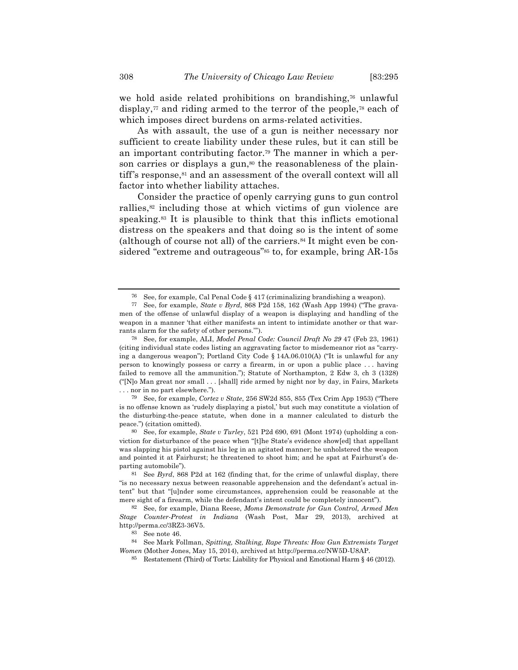we hold aside related prohibitions on brandishing,76 unlawful display,<sup> $77$ </sup> and riding armed to the terror of the people, $78$  each of which imposes direct burdens on arms-related activities.

As with assault, the use of a gun is neither necessary nor sufficient to create liability under these rules, but it can still be an important contributing factor.79 The manner in which a person carries or displays a gun,<sup>80</sup> the reasonableness of the plaintiff's response,81 and an assessment of the overall context will all factor into whether liability attaches.

Consider the practice of openly carrying guns to gun control rallies,<sup>82</sup> including those at which victims of gun violence are speaking.<sup>83</sup> It is plausible to think that this inflicts emotional distress on the speakers and that doing so is the intent of some (although of course not all) of the carriers.84 It might even be considered "extreme and outrageous"<sup>85</sup> to, for example, bring AR-15s

<sup>76</sup> See, for example, Cal Penal Code § 417 (criminalizing brandishing a weapon).

<sup>77</sup> See, for example, *State v Byrd*, 868 P2d 158, 162 (Wash App 1994) ("The gravamen of the offense of unlawful display of a weapon is displaying and handling of the weapon in a manner 'that either manifests an intent to intimidate another or that warrants alarm for the safety of other persons.'").

<sup>78</sup> See, for example, ALI, *Model Penal Code: Council Draft No 29* 47 (Feb 23, 1961) (citing individual state codes listing an aggravating factor to misdemeanor riot as "carrying a dangerous weapon"); Portland City Code § 14A.06.010(A) ("It is unlawful for any person to knowingly possess or carry a firearm, in or upon a public place . . . having failed to remove all the ammunition."); Statute of Northampton, 2 Edw 3, ch 3 (1328) ("[N]o Man great nor small . . . [shall] ride armed by night nor by day, in Fairs, Markets . . . nor in no part elsewhere.").

<sup>79</sup> See, for example, *Cortez v State*, 256 SW2d 855, 855 (Tex Crim App 1953) ("There is no offense known as 'rudely displaying a pistol,' but such may constitute a violation of the disturbing-the-peace statute, when done in a manner calculated to disturb the peace.") (citation omitted).

<sup>80</sup> See, for example, *State v Turley*, 521 P2d 690, 691 (Mont 1974) (upholding a conviction for disturbance of the peace when "[t]he State's evidence show[ed] that appellant was slapping his pistol against his leg in an agitated manner; he unholstered the weapon and pointed it at Fairhurst; he threatened to shoot him; and he spat at Fairhurst's departing automobile").

<sup>81</sup> See *Byrd*, 868 P2d at 162 (finding that, for the crime of unlawful display, there "is no necessary nexus between reasonable apprehension and the defendant's actual intent" but that "[u]nder some circumstances, apprehension could be reasonable at the mere sight of a firearm, while the defendant's intent could be completely innocent").

<sup>82</sup> See, for example, Diana Reese, *Moms Demonstrate for Gun Control, Armed Men Stage Counter-Protest in Indiana* (Wash Post, Mar 29, 2013), archived at http://perma.cc/3RZ3-36V5.

<sup>83</sup> See note 46.

<sup>84</sup> See Mark Follman, *Spitting, Stalking, Rape Threats: How Gun Extremists Target Women* (Mother Jones, May 15, 2014), archived at http://perma.cc/NW5D-U8AP.

<sup>85</sup> Restatement (Third) of Torts: Liability for Physical and Emotional Harm § 46 (2012).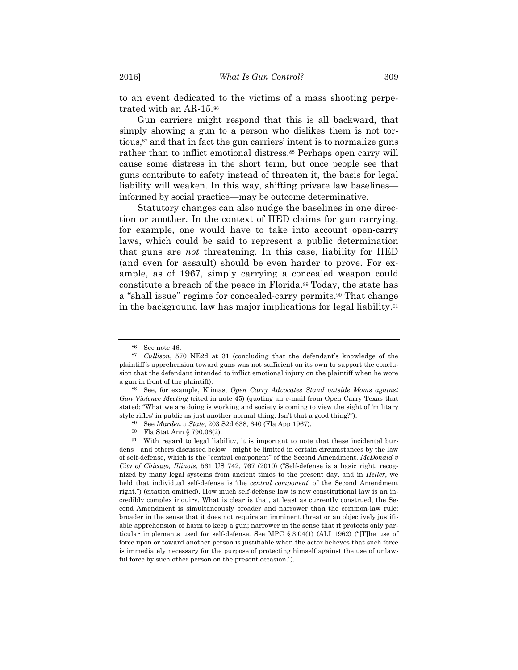to an event dedicated to the victims of a mass shooting perpetrated with an AR-15.86

Gun carriers might respond that this is all backward, that simply showing a gun to a person who dislikes them is not tortious,87 and that in fact the gun carriers' intent is to normalize guns rather than to inflict emotional distress.<sup>88</sup> Perhaps open carry will cause some distress in the short term, but once people see that guns contribute to safety instead of threaten it, the basis for legal liability will weaken. In this way, shifting private law baselines informed by social practice—may be outcome determinative.

Statutory changes can also nudge the baselines in one direction or another. In the context of IIED claims for gun carrying, for example, one would have to take into account open-carry laws, which could be said to represent a public determination that guns are *not* threatening. In this case, liability for IIED (and even for assault) should be even harder to prove. For example, as of 1967, simply carrying a concealed weapon could constitute a breach of the peace in Florida.89 Today, the state has a "shall issue" regime for concealed-carry permits.<sup>90</sup> That change in the background law has major implications for legal liability.91

<sup>86</sup> See note 46.

<sup>87</sup> *Cullison*, 570 NE2d at 31 (concluding that the defendant's knowledge of the plaintiff's apprehension toward guns was not sufficient on its own to support the conclusion that the defendant intended to inflict emotional injury on the plaintiff when he wore a gun in front of the plaintiff).

<sup>88</sup> See, for example, Klimas, *Open Carry Advocates Stand outside Moms against Gun Violence Meeting* (cited in note 45) (quoting an e-mail from Open Carry Texas that stated: "What we are doing is working and society is coming to view the sight of 'military style rifles' in public as just another normal thing. Isn't that a good thing?").

<sup>89</sup> See *Marden v State*, 203 S2d 638, 640 (Fla App 1967).

<sup>90</sup> Fla Stat Ann § 790.06(2).

<sup>91</sup> With regard to legal liability, it is important to note that these incidental burdens—and others discussed below—might be limited in certain circumstances by the law of self-defense, which is the "central component" of the Second Amendment. *McDonald v City of Chicago, Illinois*, 561 US 742, 767 (2010) ("Self-defense is a basic right, recognized by many legal systems from ancient times to the present day, and in *Heller*, we held that individual self-defense is 'the *central component*' of the Second Amendment right.") (citation omitted). How much self-defense law is now constitutional law is an incredibly complex inquiry. What is clear is that, at least as currently construed, the Second Amendment is simultaneously broader and narrower than the common-law rule: broader in the sense that it does not require an imminent threat or an objectively justifiable apprehension of harm to keep a gun; narrower in the sense that it protects only particular implements used for self-defense. See MPC § 3.04(1) (ALI 1962) ("[T]he use of force upon or toward another person is justifiable when the actor believes that such force is immediately necessary for the purpose of protecting himself against the use of unlawful force by such other person on the present occasion.").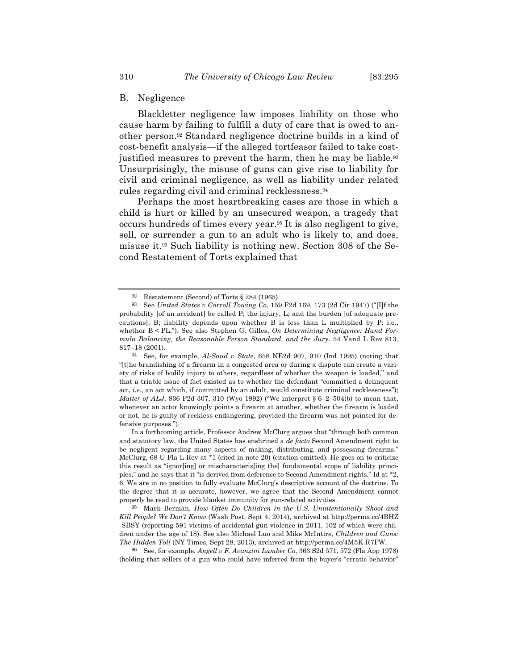# B. Negligence

Blackletter negligence law imposes liability on those who cause harm by failing to fulfill a duty of care that is owed to another person.92 Standard negligence doctrine builds in a kind of cost-benefit analysis—if the alleged tortfeasor failed to take costjustified measures to prevent the harm, then he may be liable.<sup>93</sup> Unsurprisingly, the misuse of guns can give rise to liability for civil and criminal negligence, as well as liability under related rules regarding civil and criminal recklessness.94

Perhaps the most heartbreaking cases are those in which a child is hurt or killed by an unsecured weapon, a tragedy that occurs hundreds of times every year.95 It is also negligent to give, sell, or surrender a gun to an adult who is likely to, and does, misuse it.96 Such liability is nothing new. Section 308 of the Second Restatement of Torts explained that

95 Mark Berman, *How Often Do Children in the U.S. Unintentionally Shoot and Kill People? We Don't Know* (Wash Post, Sept 4, 2014), archived at http://perma.cc/4BHZ -SBSY (reporting 591 victims of accidental gun violence in 2011, 102 of which were children under the age of 18). See also Michael Luo and Mike McIntire, *Children and Guns: The Hidden Toll* (NY Times, Sept 28, 2013), archived at http://perma.cc/4M5K-R7FW.

96 See, for example, *Angell v F. Avanzini Lumber Co*, 363 S2d 571, 572 (Fla App 1978) (holding that sellers of a gun who could have inferred from the buyer's "erratic behavior"

<sup>92</sup> Restatement (Second) of Torts § 284 (1965).

<sup>93</sup> See *United States v Carroll Towing Co*, 159 F2d 169, 173 (2d Cir 1947) ("[I]f the probability [of an accident] be called P; the injury, L; and the burden [of adequate precautions], B; liability depends upon whether B is less than L multiplied by P: i.e., whether B < PL."). See also Stephen G. Gilles, *On Determining Negligence: Hand Formula Balancing, the Reasonable Person Standard, and the Jury*, 54 Vand L Rev 813, 817–18 (2001).

<sup>94</sup> See, for example, *Al-Saud v State*, 658 NE2d 907, 910 (Ind 1995) (noting that "[t]he brandishing of a firearm in a congested area or during a dispute can create a variety of risks of bodily injury to others, regardless of whether the weapon is loaded," and that a triable issue of fact existed as to whether the defendant "committed a delinquent act, *i.e.*, an act which, if committed by an adult, would constitute criminal recklessness"); *Matter of ALJ*, 836 P2d 307, 310 (Wyo 1992) ("We interpret § 6–2–504(b) to mean that, whenever an actor knowingly points a firearm at another, whether the firearm is loaded or not, he is guilty of reckless endangering, provided the firearm was not pointed for defensive purposes.").

In a forthcoming article, Professor Andrew McClurg argues that "through both common and statutory law, the United States has enshrined a *de facto* Second Amendment right to be negligent regarding many aspects of making, distributing, and possessing firearms." McClurg, 68 U Fla L Rev at \*1 (cited in note 20) (citation omitted). He goes on to criticize this result as "ignor[ing] or mischaracteriz[ing the] fundamental scope of liability principles," and he says that it "is derived from deference to Second Amendment rights." Id at \*2, 6. We are in no position to fully evaluate McClurg's descriptive account of the doctrine. To the degree that it is accurate, however, we agree that the Second Amendment cannot properly be read to provide blanket immunity for gun-related activities.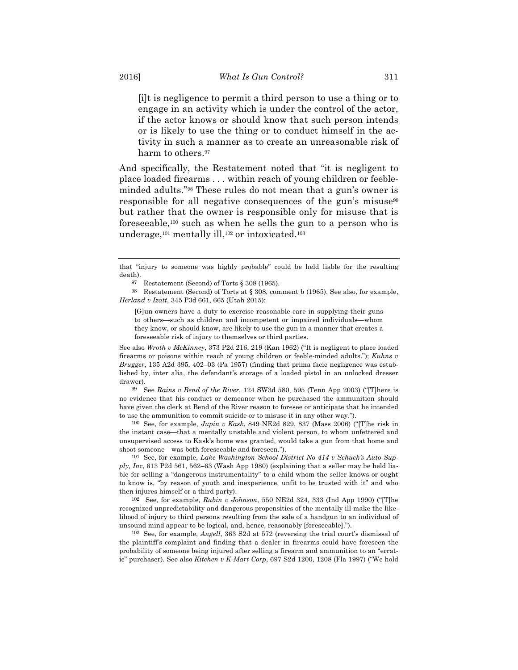[i]t is negligence to permit a third person to use a thing or to engage in an activity which is under the control of the actor, if the actor knows or should know that such person intends or is likely to use the thing or to conduct himself in the activity in such a manner as to create an unreasonable risk of harm to others.<sup>97</sup>

And specifically, the Restatement noted that "it is negligent to place loaded firearms . . . within reach of young children or feebleminded adults."98 These rules do not mean that a gun's owner is responsible for all negative consequences of the gun's misuse<sup>99</sup> but rather that the owner is responsible only for misuse that is foreseeable,100 such as when he sells the gun to a person who is underage,<sup>101</sup> mentally ill,<sup>102</sup> or intoxicated.<sup>103</sup>

97 Restatement (Second) of Torts § 308 (1965).

98 Restatement (Second) of Torts at § 308, comment b (1965). See also, for example, *Herland v Izatt*, 345 P3d 661, 665 (Utah 2015):

[G]un owners have a duty to exercise reasonable care in supplying their guns to others—such as children and incompetent or impaired individuals—whom they know, or should know, are likely to use the gun in a manner that creates a foreseeable risk of injury to themselves or third parties.

See also *Wroth v McKinney*, 373 P2d 216, 219 (Kan 1962) ("It is negligent to place loaded firearms or poisons within reach of young children or feeble-minded adults."); *Kuhns v Brugger*, 135 A2d 395, 402–03 (Pa 1957) (finding that prima facie negligence was established by, inter alia, the defendant's storage of a loaded pistol in an unlocked dresser drawer).

99 See *Rains v Bend of the River*, 124 SW3d 580, 595 (Tenn App 2003) ("[T]here is no evidence that his conduct or demeanor when he purchased the ammunition should have given the clerk at Bend of the River reason to foresee or anticipate that he intended to use the ammunition to commit suicide or to misuse it in any other way.").

100 See, for example, *Jupin v Kask*, 849 NE2d 829, 837 (Mass 2006) ("[T]he risk in the instant case—that a mentally unstable and violent person, to whom unfettered and unsupervised access to Kask's home was granted, would take a gun from that home and shoot someone—was both foreseeable and foreseen.").

101 See, for example, *Lake Washington School District No 414 v Schuck's Auto Supply, Inc*, 613 P2d 561, 562–63 (Wash App 1980) (explaining that a seller may be held liable for selling a "dangerous instrumentality" to a child whom the seller knows or ought to know is, "by reason of youth and inexperience, unfit to be trusted with it" and who then injures himself or a third party).

102 See, for example, *Rubin v Johnson*, 550 NE2d 324, 333 (Ind App 1990) ("[T]he recognized unpredictability and dangerous propensities of the mentally ill make the likelihood of injury to third persons resulting from the sale of a handgun to an individual of unsound mind appear to be logical, and, hence, reasonably [foreseeable].").

103 See, for example, *Angell*, 363 S2d at 572 (reversing the trial court's dismissal of the plaintiff's complaint and finding that a dealer in firearms could have foreseen the probability of someone being injured after selling a firearm and ammunition to an "erratic" purchaser). See also *Kitchen v K-Mart Corp*, 697 S2d 1200, 1208 (Fla 1997) ("We hold

that "injury to someone was highly probable" could be held liable for the resulting death).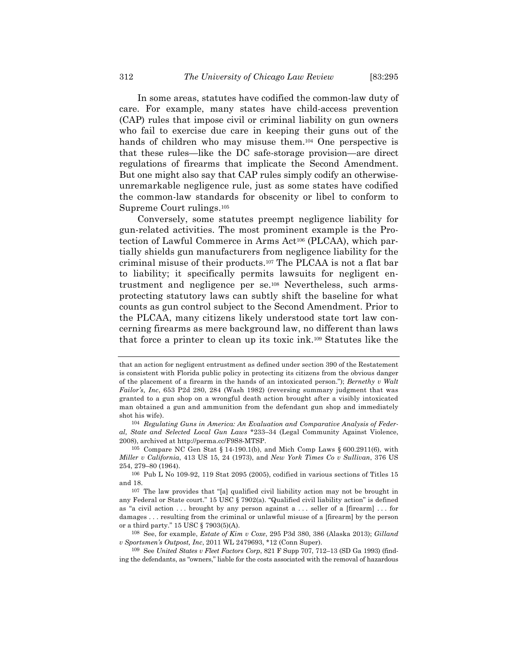In some areas, statutes have codified the common-law duty of care. For example, many states have child-access prevention (CAP) rules that impose civil or criminal liability on gun owners who fail to exercise due care in keeping their guns out of the hands of children who may misuse them.104 One perspective is that these rules—like the DC safe-storage provision—are direct regulations of firearms that implicate the Second Amendment. But one might also say that CAP rules simply codify an otherwiseunremarkable negligence rule, just as some states have codified the common-law standards for obscenity or libel to conform to Supreme Court rulings.105

Conversely, some statutes preempt negligence liability for gun-related activities. The most prominent example is the Protection of Lawful Commerce in Arms Act106 (PLCAA), which partially shields gun manufacturers from negligence liability for the criminal misuse of their products.107 The PLCAA is not a flat bar to liability; it specifically permits lawsuits for negligent entrustment and negligence per se.108 Nevertheless, such armsprotecting statutory laws can subtly shift the baseline for what counts as gun control subject to the Second Amendment. Prior to the PLCAA, many citizens likely understood state tort law concerning firearms as mere background law, no different than laws that force a printer to clean up its toxic ink.109 Statutes like the

that an action for negligent entrustment as defined under section 390 of the Restatement is consistent with Florida public policy in protecting its citizens from the obvious danger of the placement of a firearm in the hands of an intoxicated person."); *Bernethy v Walt Failor's, Inc*, 653 P2d 280, 284 (Wash 1982) (reversing summary judgment that was granted to a gun shop on a wrongful death action brought after a visibly intoxicated man obtained a gun and ammunition from the defendant gun shop and immediately shot his wife).

<sup>104</sup> *Regulating Guns in America: An Evaluation and Comparative Analysis of Federal, State and Selected Local Gun Laws* \*233–34 (Legal Community Against Violence, 2008), archived at http://perma.cc/F9S8-MTSP.

 $105$  Compare NC Gen Stat § 14-190.1(b), and Mich Comp Laws § 600.2911(6), with *Miller v California*, 413 US 15, 24 (1973), and *New York Times Co v Sullivan*, 376 US 254, 279–80 (1964).

<sup>106</sup> Pub L No 109-92, 119 Stat 2095 (2005), codified in various sections of Titles 15 and 18.

<sup>107</sup> The law provides that "[a] qualified civil liability action may not be brought in any Federal or State court." 15 USC § 7902(a). "Qualified civil liability action" is defined as "a civil action . . . brought by any person against a . . . seller of a [firearm] . . . for damages . . . resulting from the criminal or unlawful misuse of a [firearm] by the person or a third party." 15 USC § 7903(5)(A).

<sup>108</sup> See, for example, *Estate of Kim v Coxe*, 295 P3d 380, 386 (Alaska 2013); *Gilland v Sportsmen's Outpost, Inc*, 2011 WL 2479693, \*12 (Conn Super).

<sup>109</sup> See *United States v Fleet Factors Corp*, 821 F Supp 707, 712–13 (SD Ga 1993) (finding the defendants, as "owners," liable for the costs associated with the removal of hazardous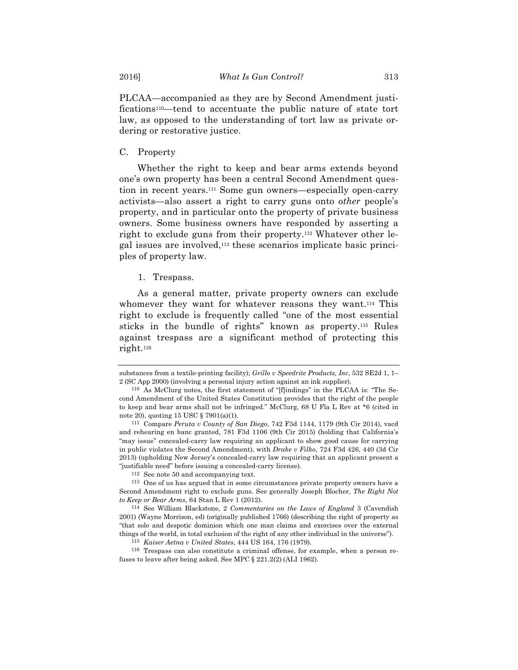PLCAA—accompanied as they are by Second Amendment justifications110—tend to accentuate the public nature of state tort law, as opposed to the understanding of tort law as private ordering or restorative justice.

C. Property

Whether the right to keep and bear arms extends beyond one's own property has been a central Second Amendment question in recent years.111 Some gun owners—especially open-carry activists—also assert a right to carry guns onto *other* people's property, and in particular onto the property of private business owners. Some business owners have responded by asserting a right to exclude guns from their property.112 Whatever other legal issues are involved,113 these scenarios implicate basic principles of property law.

1. Trespass.

As a general matter, private property owners can exclude whomever they want for whatever reasons they want.<sup>114</sup> This right to exclude is frequently called "one of the most essential sticks in the bundle of rights" known as property.115 Rules against trespass are a significant method of protecting this right.116

substances from a textile-printing facility); *Grillo v Speedrite Products, Inc*, 532 SE2d 1, 1– 2 (SC App 2000) (involving a personal injury action against an ink supplier).

<sup>110</sup> As McClurg notes, the first statement of "[f]indings" in the PLCAA is: "The Second Amendment of the United States Constitution provides that the right of the people to keep and bear arms shall not be infringed." McClurg, 68 U Fla L Rev at \*6 (cited in note 20), quoting 15 USC § 7901(a)(1).

<sup>111</sup> Compare *Peruta v County of San Diego*, 742 F3d 1144, 1179 (9th Cir 2014), vacd and rehearing en banc granted, 781 F3d 1106 (9th Cir 2015) (holding that California's "may issue" concealed-carry law requiring an applicant to show good cause for carrying in public violates the Second Amendment), with *Drake v Filko*, 724 F3d 426, 440 (3d Cir 2013) (upholding New Jersey's concealed-carry law requiring that an applicant present a "justifiable need" before issuing a concealed-carry license).

<sup>112</sup> See note 50 and accompanying text.

<sup>113</sup> One of us has argued that in some circumstances private property owners have a Second Amendment right to exclude guns. See generally Joseph Blocher, *The Right Not to Keep or Bear Arms*, 64 Stan L Rev 1 (2012).

<sup>114</sup> See William Blackstone, 2 *Commentaries on the Laws of England* 3 (Cavendish 2001) (Wayne Morrison, ed) (originally published 1766) (describing the right of property as "that sole and despotic dominion which one man claims and exercises over the external things of the world, in total exclusion of the right of any other individual in the universe").

<sup>115</sup> *Kaiser Aetna v United States*, 444 US 164, 176 (1979).

<sup>116</sup> Trespass can also constitute a criminal offense, for example, when a person refuses to leave after being asked. See MPC § 221.2(2) (ALI 1962).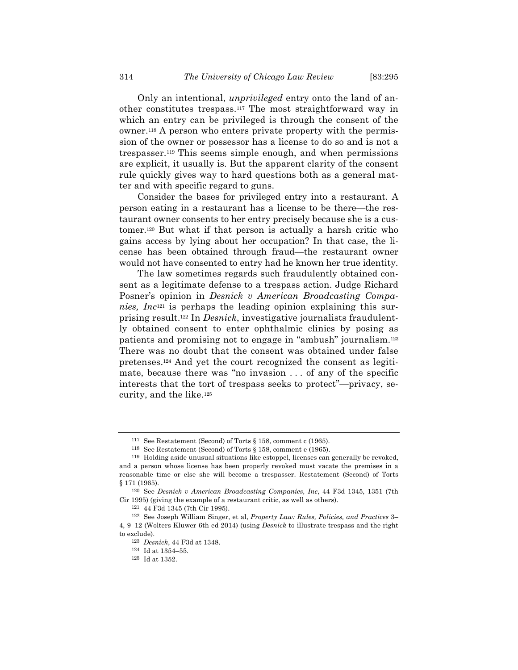Only an intentional, *unprivileged* entry onto the land of another constitutes trespass.117 The most straightforward way in which an entry can be privileged is through the consent of the owner.118 A person who enters private property with the permission of the owner or possessor has a license to do so and is not a trespasser.119 This seems simple enough, and when permissions are explicit, it usually is. But the apparent clarity of the consent rule quickly gives way to hard questions both as a general matter and with specific regard to guns.

Consider the bases for privileged entry into a restaurant. A person eating in a restaurant has a license to be there—the restaurant owner consents to her entry precisely because she is a customer.120 But what if that person is actually a harsh critic who gains access by lying about her occupation? In that case, the license has been obtained through fraud—the restaurant owner would not have consented to entry had he known her true identity.

The law sometimes regards such fraudulently obtained consent as a legitimate defense to a trespass action. Judge Richard Posner's opinion in *Desnick v American Broadcasting Companies, Inc*<sup>121</sup> is perhaps the leading opinion explaining this surprising result.122 In *Desnick*, investigative journalists fraudulently obtained consent to enter ophthalmic clinics by posing as patients and promising not to engage in "ambush" journalism.123 There was no doubt that the consent was obtained under false pretenses.124 And yet the court recognized the consent as legitimate, because there was "no invasion . . . of any of the specific interests that the tort of trespass seeks to protect"—privacy, security, and the like.125

<sup>117</sup> See Restatement (Second) of Torts § 158, comment c (1965).

<sup>118</sup> See Restatement (Second) of Torts § 158, comment e (1965).

<sup>119</sup> Holding aside unusual situations like estoppel, licenses can generally be revoked, and a person whose license has been properly revoked must vacate the premises in a reasonable time or else she will become a trespasser. Restatement (Second) of Torts § 171 (1965).

<sup>120</sup> See *Desnick v American Broadcasting Companies, Inc*, 44 F3d 1345, 1351 (7th Cir 1995) (giving the example of a restaurant critic, as well as others).

<sup>121</sup> 44 F3d 1345 (7th Cir 1995).

<sup>122</sup> See Joseph William Singer, et al, *Property Law: Rules, Policies, and Practices* 3– 4, 9–12 (Wolters Kluwer 6th ed 2014) (using *Desnick* to illustrate trespass and the right to exclude).

<sup>123</sup> *Desnick*, 44 F3d at 1348.

<sup>124</sup> Id at 1354–55.

<sup>125</sup> Id at 1352.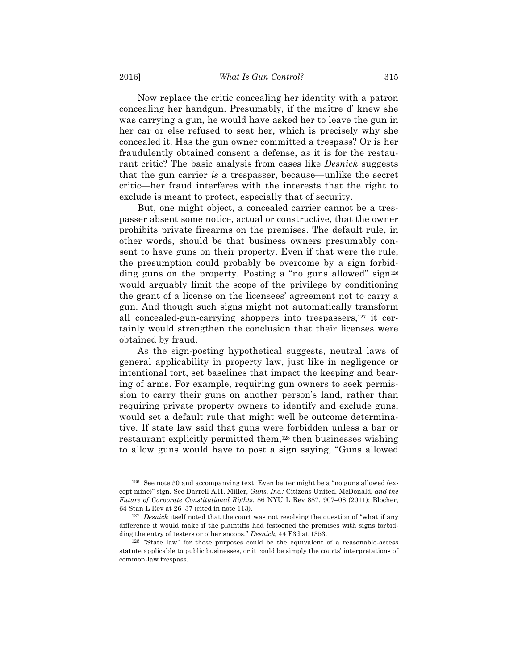Now replace the critic concealing her identity with a patron concealing her handgun. Presumably, if the maître d' knew she was carrying a gun, he would have asked her to leave the gun in her car or else refused to seat her, which is precisely why she concealed it. Has the gun owner committed a trespass? Or is her fraudulently obtained consent a defense, as it is for the restaurant critic? The basic analysis from cases like *Desnick* suggests that the gun carrier *is* a trespasser, because—unlike the secret critic—her fraud interferes with the interests that the right to exclude is meant to protect, especially that of security.

But, one might object, a concealed carrier cannot be a trespasser absent some notice, actual or constructive, that the owner prohibits private firearms on the premises. The default rule, in other words, should be that business owners presumably consent to have guns on their property. Even if that were the rule, the presumption could probably be overcome by a sign forbidding guns on the property. Posting a "no guns allowed" sign<sup>126</sup> would arguably limit the scope of the privilege by conditioning the grant of a license on the licensees' agreement not to carry a gun. And though such signs might not automatically transform all concealed-gun-carrying shoppers into trespassers,127 it certainly would strengthen the conclusion that their licenses were obtained by fraud.

As the sign-posting hypothetical suggests, neutral laws of general applicability in property law, just like in negligence or intentional tort, set baselines that impact the keeping and bearing of arms. For example, requiring gun owners to seek permission to carry their guns on another person's land, rather than requiring private property owners to identify and exclude guns, would set a default rule that might well be outcome determinative. If state law said that guns were forbidden unless a bar or restaurant explicitly permitted them,128 then businesses wishing to allow guns would have to post a sign saying, "Guns allowed

<sup>126</sup> See note 50 and accompanying text. Even better might be a "no guns allowed (except mine)" sign. See Darrell A.H. Miller, *Guns, Inc.:* Citizens United*,* McDonald*, and the Future of Corporate Constitutional Rights*, 86 NYU L Rev 887, 907–08 (2011); Blocher, 64 Stan L Rev at 26–37 (cited in note 113).

<sup>127</sup> *Desnick* itself noted that the court was not resolving the question of "what if any difference it would make if the plaintiffs had festooned the premises with signs forbidding the entry of testers or other snoops." *Desnick*, 44 F3d at 1353.

<sup>128</sup> "State law" for these purposes could be the equivalent of a reasonable-access statute applicable to public businesses, or it could be simply the courts' interpretations of common-law trespass.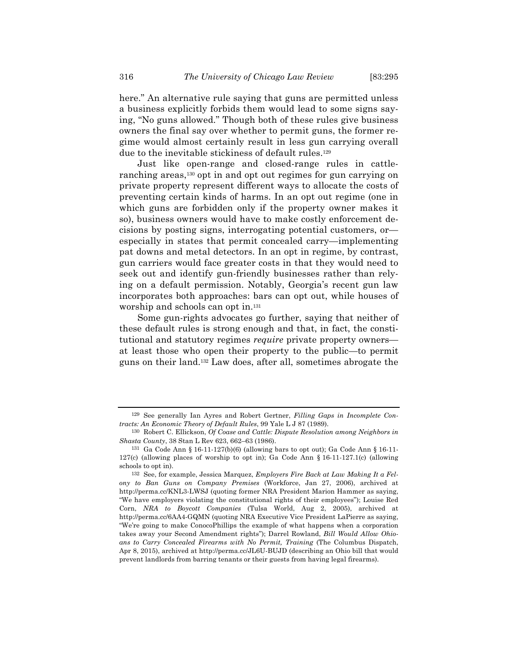here." An alternative rule saying that guns are permitted unless a business explicitly forbids them would lead to some signs saying, "No guns allowed." Though both of these rules give business owners the final say over whether to permit guns, the former regime would almost certainly result in less gun carrying overall due to the inevitable stickiness of default rules.<sup>129</sup>

Just like open-range and closed-range rules in cattleranching areas,130 opt in and opt out regimes for gun carrying on private property represent different ways to allocate the costs of preventing certain kinds of harms. In an opt out regime (one in which guns are forbidden only if the property owner makes it so), business owners would have to make costly enforcement decisions by posting signs, interrogating potential customers, or especially in states that permit concealed carry—implementing pat downs and metal detectors. In an opt in regime, by contrast, gun carriers would face greater costs in that they would need to seek out and identify gun-friendly businesses rather than relying on a default permission. Notably, Georgia's recent gun law incorporates both approaches: bars can opt out, while houses of worship and schools can opt in.131

Some gun-rights advocates go further, saying that neither of these default rules is strong enough and that, in fact, the constitutional and statutory regimes *require* private property owners at least those who open their property to the public—to permit guns on their land.132 Law does, after all, sometimes abrogate the

<sup>129</sup> See generally Ian Ayres and Robert Gertner, *Filling Gaps in Incomplete Contracts: An Economic Theory of Default Rules*, 99 Yale L J 87 (1989).

<sup>130</sup> Robert C. Ellickson, *Of Coase and Cattle: Dispute Resolution among Neighbors in Shasta County*, 38 Stan L Rev 623, 662–63 (1986).

<sup>131</sup> Ga Code Ann § 16-11-127(b)(6) (allowing bars to opt out); Ga Code Ann § 16-11- 127(c) (allowing places of worship to opt in); Ga Code Ann § 16-11-127.1(c) (allowing schools to opt in).

<sup>132</sup> See, for example, Jessica Marquez, *Employers Fire Back at Law Making It a Felony to Ban Guns on Company Premises* (Workforce, Jan 27, 2006), archived at http://perma.cc/KNL3-LWSJ (quoting former NRA President Marion Hammer as saying, "We have employers violating the constitutional rights of their employees"); Louise Red Corn, *NRA to Boycott Companies* (Tulsa World, Aug 2, 2005), archived at http://perma.cc/6AA4-GQMN (quoting NRA Executive Vice President LaPierre as saying, "We're going to make ConocoPhillips the example of what happens when a corporation takes away your Second Amendment rights"); Darrel Rowland, *Bill Would Allow Ohioans to Carry Concealed Firearms with No Permit, Training* (The Columbus Dispatch, Apr 8, 2015), archived at http://perma.cc/JL6U-BUJD (describing an Ohio bill that would prevent landlords from barring tenants or their guests from having legal firearms).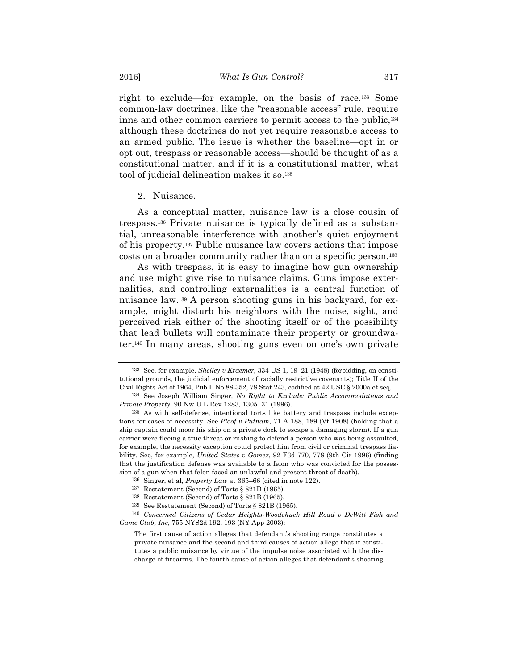right to exclude—for example, on the basis of race.133 Some common-law doctrines, like the "reasonable access" rule, require inns and other common carriers to permit access to the public,134 although these doctrines do not yet require reasonable access to an armed public. The issue is whether the baseline—opt in or opt out, trespass or reasonable access—should be thought of as a constitutional matter, and if it is a constitutional matter, what tool of judicial delineation makes it so.135

#### 2. Nuisance.

As a conceptual matter, nuisance law is a close cousin of trespass.136 Private nuisance is typically defined as a substantial, unreasonable interference with another's quiet enjoyment of his property.137 Public nuisance law covers actions that impose costs on a broader community rather than on a specific person.138

As with trespass, it is easy to imagine how gun ownership and use might give rise to nuisance claims. Guns impose externalities, and controlling externalities is a central function of nuisance law.139 A person shooting guns in his backyard, for example, might disturb his neighbors with the noise, sight, and perceived risk either of the shooting itself or of the possibility that lead bullets will contaminate their property or groundwater.140 In many areas, shooting guns even on one's own private

<sup>133</sup> See, for example, *Shelley v Kraemer*, 334 US 1, 19–21 (1948) (forbidding, on constitutional grounds, the judicial enforcement of racially restrictive covenants); Title II of the Civil Rights Act of 1964, Pub L No 88-352, 78 Stat 243, codified at 42 USC § 2000a et seq.

<sup>134</sup> See Joseph William Singer, *No Right to Exclude: Public Accommodations and Private Property*, 90 Nw U L Rev 1283, 1305–31 (1996).

<sup>135</sup> As with self-defense, intentional torts like battery and trespass include exceptions for cases of necessity. See *Ploof v Putnam*, 71 A 188, 189 (Vt 1908) (holding that a ship captain could moor his ship on a private dock to escape a damaging storm). If a gun carrier were fleeing a true threat or rushing to defend a person who was being assaulted, for example, the necessity exception could protect him from civil or criminal trespass liability. See, for example, *United States v Gomez*, 92 F3d 770, 778 (9th Cir 1996) (finding that the justification defense was available to a felon who was convicted for the possession of a gun when that felon faced an unlawful and present threat of death).

<sup>136</sup> Singer, et al, *Property Law* at 365–66 (cited in note 122).

<sup>137</sup> Restatement (Second) of Torts § 821D (1965).

<sup>138</sup> Restatement (Second) of Torts § 821B (1965).

<sup>139</sup> See Restatement (Second) of Torts § 821B (1965).

<sup>140</sup> *Concerned Citizens of Cedar Heights-Woodchuck Hill Road v DeWitt Fish and Game Club, Inc*, 755 NYS2d 192, 193 (NY App 2003):

The first cause of action alleges that defendant's shooting range constitutes a private nuisance and the second and third causes of action allege that it constitutes a public nuisance by virtue of the impulse noise associated with the discharge of firearms. The fourth cause of action alleges that defendant's shooting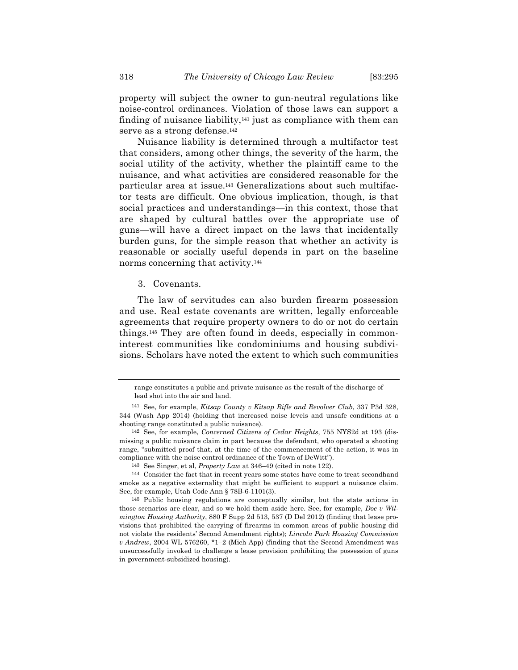serve as a strong defense.142 Nuisance liability is determined through a multifactor test that considers, among other things, the severity of the harm, the social utility of the activity, whether the plaintiff came to the nuisance, and what activities are considered reasonable for the particular area at issue.143 Generalizations about such multifactor tests are difficult. One obvious implication, though, is that social practices and understandings—in this context, those that are shaped by cultural battles over the appropriate use of guns—will have a direct impact on the laws that incidentally burden guns, for the simple reason that whether an activity is reasonable or socially useful depends in part on the baseline norms concerning that activity.144

## 3. Covenants.

The law of servitudes can also burden firearm possession and use. Real estate covenants are written, legally enforceable agreements that require property owners to do or not do certain things.145 They are often found in deeds, especially in commoninterest communities like condominiums and housing subdivisions. Scholars have noted the extent to which such communities

range constitutes a public and private nuisance as the result of the discharge of lead shot into the air and land.

<sup>141</sup> See, for example, *Kitsap County v Kitsap Rifle and Revolver Club*, 337 P3d 328, 344 (Wash App 2014) (holding that increased noise levels and unsafe conditions at a shooting range constituted a public nuisance).

<sup>142</sup> See, for example, *Concerned Citizens of Cedar Heights*, 755 NYS2d at 193 (dismissing a public nuisance claim in part because the defendant, who operated a shooting range, "submitted proof that, at the time of the commencement of the action, it was in compliance with the noise control ordinance of the Town of DeWitt").

<sup>143</sup> See Singer, et al, *Property Law* at 346–49 (cited in note 122).

<sup>144</sup> Consider the fact that in recent years some states have come to treat secondhand smoke as a negative externality that might be sufficient to support a nuisance claim. See, for example, Utah Code Ann § 78B-6-1101(3).

<sup>145</sup> Public housing regulations are conceptually similar, but the state actions in those scenarios are clear, and so we hold them aside here. See, for example, *Doe v Wilmington Housing Authority*, 880 F Supp 2d 513, 537 (D Del 2012) (finding that lease provisions that prohibited the carrying of firearms in common areas of public housing did not violate the residents' Second Amendment rights); *Lincoln Park Housing Commission v Andrew*, 2004 WL 576260, \*1–2 (Mich App) (finding that the Second Amendment was unsuccessfully invoked to challenge a lease provision prohibiting the possession of guns in government-subsidized housing).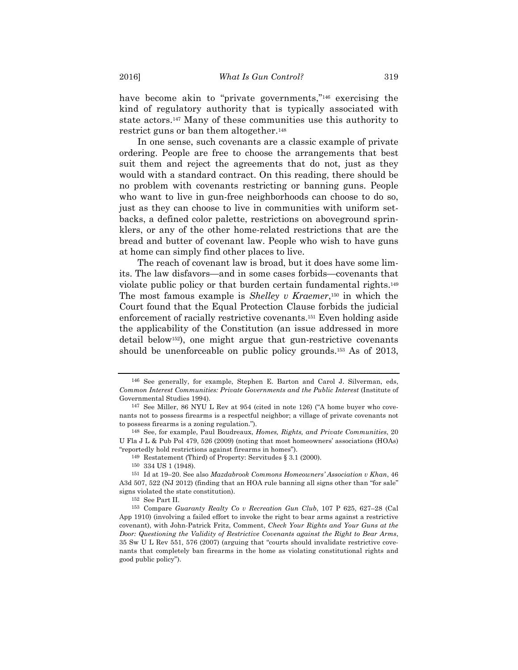have become akin to "private governments,"<sup>146</sup> exercising the kind of regulatory authority that is typically associated with state actors.147 Many of these communities use this authority to restrict guns or ban them altogether.148

In one sense, such covenants are a classic example of private ordering. People are free to choose the arrangements that best suit them and reject the agreements that do not, just as they would with a standard contract. On this reading, there should be no problem with covenants restricting or banning guns. People who want to live in gun-free neighborhoods can choose to do so, just as they can choose to live in communities with uniform setbacks, a defined color palette, restrictions on aboveground sprinklers, or any of the other home-related restrictions that are the bread and butter of covenant law. People who wish to have guns at home can simply find other places to live.

The reach of covenant law is broad, but it does have some limits. The law disfavors—and in some cases forbids—covenants that violate public policy or that burden certain fundamental rights.149 The most famous example is *Shelley v Kraemer*,150 in which the Court found that the Equal Protection Clause forbids the judicial enforcement of racially restrictive covenants.151 Even holding aside the applicability of the Constitution (an issue addressed in more detail below152), one might argue that gun-restrictive covenants should be unenforceable on public policy grounds.<sup>153</sup> As of 2013,

<sup>146</sup> See generally, for example, Stephen E. Barton and Carol J. Silverman, eds, *Common Interest Communities: Private Governments and the Public Interest* (Institute of Governmental Studies 1994).

<sup>147</sup> See Miller, 86 NYU L Rev at 954 (cited in note 126) ("A home buyer who covenants not to possess firearms is a respectful neighbor; a village of private covenants not to possess firearms is a zoning regulation.").

<sup>148</sup> See, for example, Paul Boudreaux, *Homes, Rights, and Private Communities*, 20 U Fla J L & Pub Pol 479, 526 (2009) (noting that most homeowners' associations (HOAs) "reportedly hold restrictions against firearms in homes").

<sup>149</sup> Restatement (Third) of Property: Servitudes § 3.1 (2000).

<sup>150</sup> 334 US 1 (1948).

<sup>151</sup> Id at 19–20. See also *Mazdabrook Commons Homeowners' Association v Khan*, 46 A3d 507, 522 (NJ 2012) (finding that an HOA rule banning all signs other than "for sale" signs violated the state constitution).

<sup>152</sup> See Part II.

<sup>153</sup> Compare *Guaranty Realty Co v Recreation Gun Club*, 107 P 625, 627–28 (Cal App 1910) (involving a failed effort to invoke the right to bear arms against a restrictive covenant), with John-Patrick Fritz, Comment, *Check Your Rights and Your Guns at the Door: Questioning the Validity of Restrictive Covenants against the Right to Bear Arms*, 35 Sw U L Rev 551, 576 (2007) (arguing that "courts should invalidate restrictive covenants that completely ban firearms in the home as violating constitutional rights and good public policy").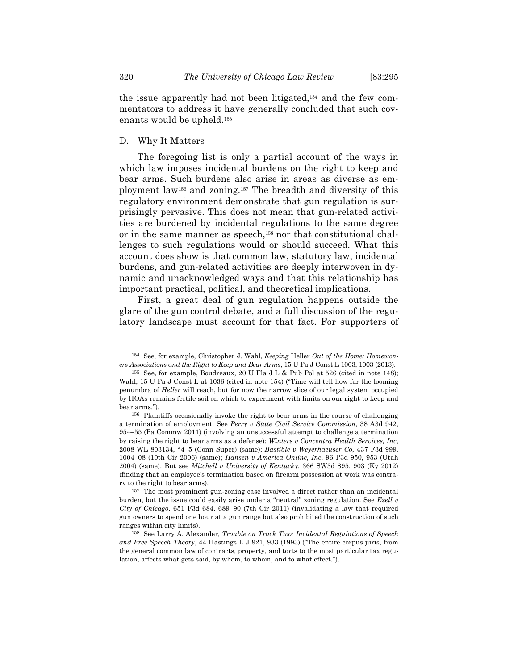the issue apparently had not been litigated,154 and the few commentators to address it have generally concluded that such covenants would be upheld.155

D. Why It Matters

The foregoing list is only a partial account of the ways in which law imposes incidental burdens on the right to keep and bear arms. Such burdens also arise in areas as diverse as employment law156 and zoning.157 The breadth and diversity of this regulatory environment demonstrate that gun regulation is surprisingly pervasive. This does not mean that gun-related activities are burdened by incidental regulations to the same degree or in the same manner as speech,158 nor that constitutional challenges to such regulations would or should succeed. What this account does show is that common law, statutory law, incidental burdens, and gun-related activities are deeply interwoven in dynamic and unacknowledged ways and that this relationship has important practical, political, and theoretical implications.

First, a great deal of gun regulation happens outside the glare of the gun control debate, and a full discussion of the regulatory landscape must account for that fact. For supporters of

<sup>154</sup> See, for example, Christopher J. Wahl, *Keeping* Heller *Out of the Home: Homeowners Associations and the Right to Keep and Bear Arms*, 15 U Pa J Const L 1003, 1003 (2013).

<sup>155</sup> See, for example, Boudreaux, 20 U Fla J L & Pub Pol at 526 (cited in note 148); Wahl, 15 U Pa J Const L at 1036 (cited in note 154) ("Time will tell how far the looming penumbra of *Heller* will reach, but for now the narrow slice of our legal system occupied by HOAs remains fertile soil on which to experiment with limits on our right to keep and bear arms.").

<sup>156</sup> Plaintiffs occasionally invoke the right to bear arms in the course of challenging a termination of employment. See *Perry v State Civil Service Commission*, 38 A3d 942, 954–55 (Pa Commw 2011) (involving an unsuccessful attempt to challenge a termination by raising the right to bear arms as a defense); *Winters v Concentra Health Services, Inc*, 2008 WL 803134, \*4–5 (Conn Super) (same); *Bastible v Weyerhaeuser Co*, 437 F3d 999, 1004–08 (10th Cir 2006) (same); *Hansen v America Online, Inc*, 96 P3d 950, 953 (Utah 2004) (same). But see *Mitchell v University of Kentucky*, 366 SW3d 895, 903 (Ky 2012) (finding that an employee's termination based on firearm possession at work was contrary to the right to bear arms).

<sup>157</sup> The most prominent gun-zoning case involved a direct rather than an incidental burden, but the issue could easily arise under a "neutral" zoning regulation. See *Ezell v City of Chicago*, 651 F3d 684, 689–90 (7th Cir 2011) (invalidating a law that required gun owners to spend one hour at a gun range but also prohibited the construction of such ranges within city limits).

<sup>158</sup> See Larry A. Alexander, *Trouble on Track Two: Incidental Regulations of Speech and Free Speech Theory*, 44 Hastings L J 921, 933 (1993) ("The entire corpus juris, from the general common law of contracts, property, and torts to the most particular tax regulation, affects what gets said, by whom, to whom, and to what effect.").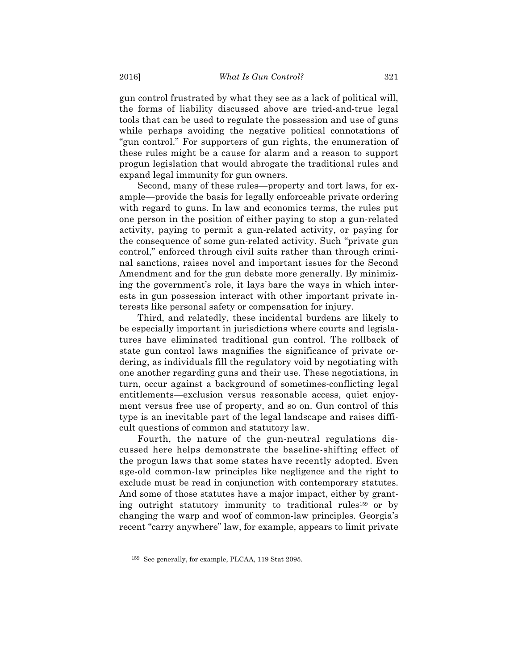gun control frustrated by what they see as a lack of political will, the forms of liability discussed above are tried-and-true legal tools that can be used to regulate the possession and use of guns while perhaps avoiding the negative political connotations of "gun control." For supporters of gun rights, the enumeration of these rules might be a cause for alarm and a reason to support progun legislation that would abrogate the traditional rules and expand legal immunity for gun owners.

Second, many of these rules—property and tort laws, for example—provide the basis for legally enforceable private ordering with regard to guns. In law and economics terms, the rules put one person in the position of either paying to stop a gun-related activity, paying to permit a gun-related activity, or paying for the consequence of some gun-related activity. Such "private gun control," enforced through civil suits rather than through criminal sanctions, raises novel and important issues for the Second Amendment and for the gun debate more generally. By minimizing the government's role, it lays bare the ways in which interests in gun possession interact with other important private interests like personal safety or compensation for injury.

Third, and relatedly, these incidental burdens are likely to be especially important in jurisdictions where courts and legislatures have eliminated traditional gun control. The rollback of state gun control laws magnifies the significance of private ordering, as individuals fill the regulatory void by negotiating with one another regarding guns and their use. These negotiations, in turn, occur against a background of sometimes-conflicting legal entitlements—exclusion versus reasonable access, quiet enjoyment versus free use of property, and so on. Gun control of this type is an inevitable part of the legal landscape and raises difficult questions of common and statutory law.

Fourth, the nature of the gun-neutral regulations discussed here helps demonstrate the baseline-shifting effect of the progun laws that some states have recently adopted. Even age-old common-law principles like negligence and the right to exclude must be read in conjunction with contemporary statutes. And some of those statutes have a major impact, either by granting outright statutory immunity to traditional rules159 or by changing the warp and woof of common-law principles. Georgia's recent "carry anywhere" law, for example, appears to limit private

<sup>159</sup> See generally, for example, PLCAA, 119 Stat 2095.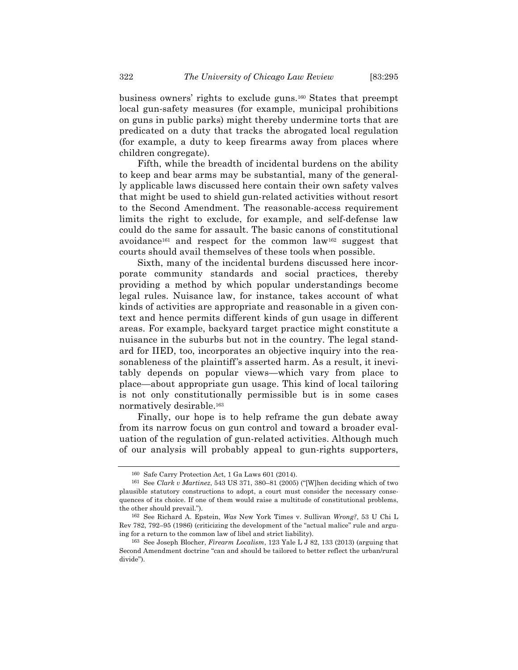business owners' rights to exclude guns.160 States that preempt local gun-safety measures (for example, municipal prohibitions on guns in public parks) might thereby undermine torts that are predicated on a duty that tracks the abrogated local regulation (for example, a duty to keep firearms away from places where children congregate).

Fifth, while the breadth of incidental burdens on the ability to keep and bear arms may be substantial, many of the generally applicable laws discussed here contain their own safety valves that might be used to shield gun-related activities without resort to the Second Amendment. The reasonable-access requirement limits the right to exclude, for example, and self-defense law could do the same for assault. The basic canons of constitutional avoidance161 and respect for the common law162 suggest that courts should avail themselves of these tools when possible.

Sixth, many of the incidental burdens discussed here incorporate community standards and social practices, thereby providing a method by which popular understandings become legal rules. Nuisance law, for instance, takes account of what kinds of activities are appropriate and reasonable in a given context and hence permits different kinds of gun usage in different areas. For example, backyard target practice might constitute a nuisance in the suburbs but not in the country. The legal standard for IIED, too, incorporates an objective inquiry into the reasonableness of the plaintiff's asserted harm. As a result, it inevitably depends on popular views—which vary from place to place—about appropriate gun usage. This kind of local tailoring is not only constitutionally permissible but is in some cases normatively desirable.163

Finally, our hope is to help reframe the gun debate away from its narrow focus on gun control and toward a broader evaluation of the regulation of gun-related activities. Although much of our analysis will probably appeal to gun-rights supporters,

<sup>160</sup> Safe Carry Protection Act, 1 Ga Laws 601 (2014).

<sup>161</sup> See *Clark v Martinez*, 543 US 371, 380–81 (2005) ("[W]hen deciding which of two plausible statutory constructions to adopt, a court must consider the necessary consequences of its choice. If one of them would raise a multitude of constitutional problems, the other should prevail.").

<sup>162</sup> See Richard A. Epstein, *Was* New York Times v. Sullivan *Wrong?*, 53 U Chi L Rev 782, 792–95 (1986) (criticizing the development of the "actual malice" rule and arguing for a return to the common law of libel and strict liability).

<sup>163</sup> See Joseph Blocher, *Firearm Localism*, 123 Yale L J 82, 133 (2013) (arguing that Second Amendment doctrine "can and should be tailored to better reflect the urban/rural divide").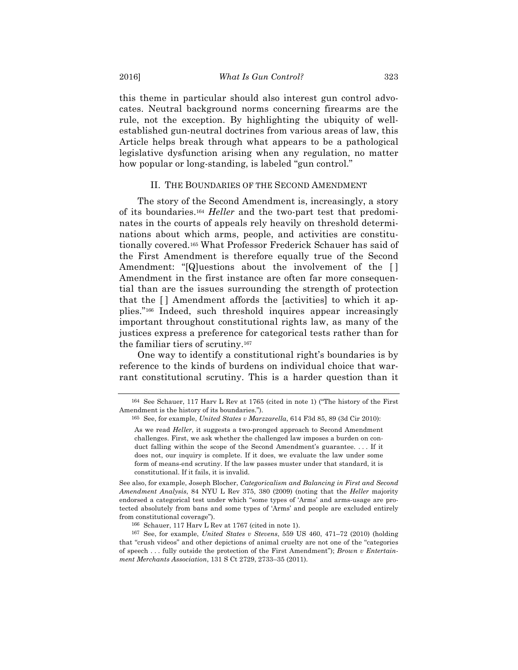this theme in particular should also interest gun control advocates. Neutral background norms concerning firearms are the rule, not the exception. By highlighting the ubiquity of wellestablished gun-neutral doctrines from various areas of law, this Article helps break through what appears to be a pathological legislative dysfunction arising when any regulation, no matter how popular or long-standing, is labeled "gun control."

#### II. THE BOUNDARIES OF THE SECOND AMENDMENT

The story of the Second Amendment is, increasingly, a story of its boundaries.164 *Heller* and the two-part test that predominates in the courts of appeals rely heavily on threshold determinations about which arms, people, and activities are constitutionally covered.165 What Professor Frederick Schauer has said of the First Amendment is therefore equally true of the Second Amendment: "[Q]uestions about the involvement of the [ ] Amendment in the first instance are often far more consequential than are the issues surrounding the strength of protection that the [ ] Amendment affords the [activities] to which it applies."166 Indeed, such threshold inquires appear increasingly important throughout constitutional rights law, as many of the justices express a preference for categorical tests rather than for the familiar tiers of scrutiny.167

One way to identify a constitutional right's boundaries is by reference to the kinds of burdens on individual choice that warrant constitutional scrutiny. This is a harder question than it

See also, for example, Joseph Blocher, *Categoricalism and Balancing in First and Second Amendment Analysis*, 84 NYU L Rev 375, 380 (2009) (noting that the *Heller* majority endorsed a categorical test under which "some types of 'Arms' and arms-usage are protected absolutely from bans and some types of 'Arms' and people are excluded entirely from constitutional coverage").

<sup>164</sup> See Schauer, 117 Harv L Rev at 1765 (cited in note 1) ("The history of the First Amendment is the history of its boundaries.").

<sup>165</sup> See, for example, *United States v Marzzarella*, 614 F3d 85, 89 (3d Cir 2010):

As we read *Heller*, it suggests a two-pronged approach to Second Amendment challenges. First, we ask whether the challenged law imposes a burden on conduct falling within the scope of the Second Amendment's guarantee. . . . If it does not, our inquiry is complete. If it does, we evaluate the law under some form of means-end scrutiny. If the law passes muster under that standard, it is constitutional. If it fails, it is invalid.

<sup>166</sup> Schauer, 117 Harv L Rev at 1767 (cited in note 1).

<sup>167</sup> See, for example, *United States v Stevens*, 559 US 460, 471–72 (2010) (holding that "crush videos" and other depictions of animal cruelty are not one of the "categories of speech . . . fully outside the protection of the First Amendment"); *Brown v Entertainment Merchants Association*, 131 S Ct 2729, 2733–35 (2011).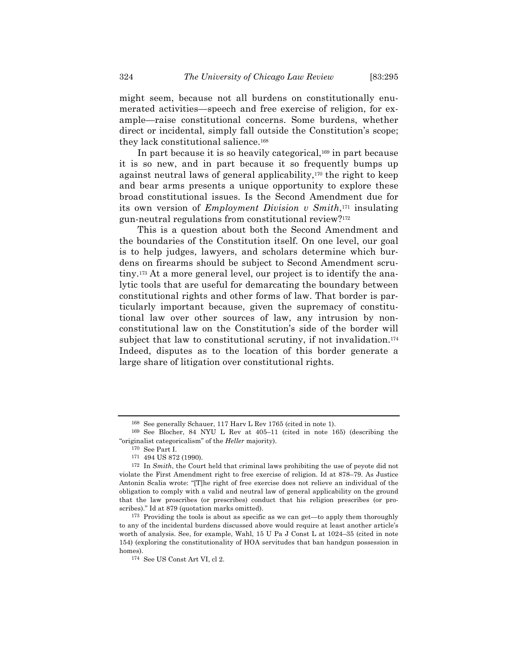might seem, because not all burdens on constitutionally enumerated activities—speech and free exercise of religion, for example—raise constitutional concerns. Some burdens, whether direct or incidental, simply fall outside the Constitution's scope; they lack constitutional salience.168

In part because it is so heavily categorical,169 in part because it is so new, and in part because it so frequently bumps up against neutral laws of general applicability,170 the right to keep and bear arms presents a unique opportunity to explore these broad constitutional issues. Is the Second Amendment due for its own version of *Employment Division v Smith*,171 insulating gun-neutral regulations from constitutional review?172

This is a question about both the Second Amendment and the boundaries of the Constitution itself. On one level, our goal is to help judges, lawyers, and scholars determine which burdens on firearms should be subject to Second Amendment scrutiny.173 At a more general level, our project is to identify the analytic tools that are useful for demarcating the boundary between constitutional rights and other forms of law. That border is particularly important because, given the supremacy of constitutional law over other sources of law, any intrusion by nonconstitutional law on the Constitution's side of the border will subject that law to constitutional scrutiny, if not invalidation.<sup>174</sup> Indeed, disputes as to the location of this border generate a large share of litigation over constitutional rights.

<sup>168</sup> See generally Schauer, 117 Harv L Rev 1765 (cited in note 1).

<sup>169</sup> See Blocher, 84 NYU L Rev at 405–11 (cited in note 165) (describing the "originalist categoricalism" of the *Heller* majority).

<sup>170</sup> See Part I.

<sup>171</sup> 494 US 872 (1990).

<sup>172</sup> In *Smith*, the Court held that criminal laws prohibiting the use of peyote did not violate the First Amendment right to free exercise of religion. Id at 878–79. As Justice Antonin Scalia wrote: "[T]he right of free exercise does not relieve an individual of the obligation to comply with a valid and neutral law of general applicability on the ground that the law proscribes (or prescribes) conduct that his religion prescribes (or proscribes)." Id at 879 (quotation marks omitted).

<sup>173</sup> Providing the tools is about as specific as we can get—to apply them thoroughly to any of the incidental burdens discussed above would require at least another article's worth of analysis. See, for example, Wahl, 15 U Pa J Const L at 1024–35 (cited in note 154) (exploring the constitutionality of HOA servitudes that ban handgun possession in homes).

<sup>174</sup> See US Const Art VI, cl 2.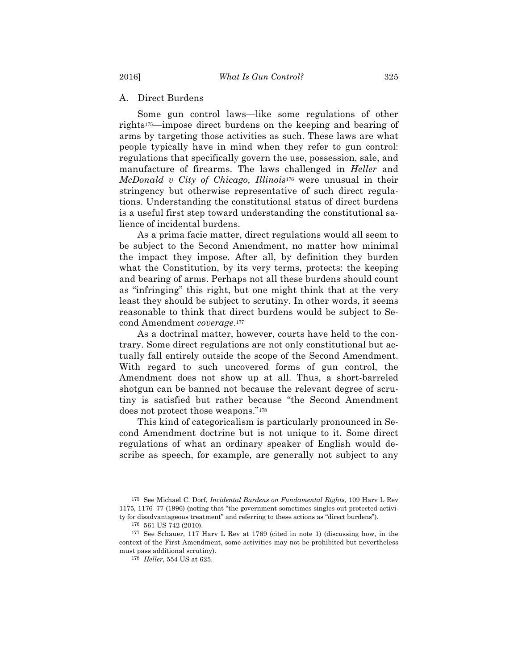A. Direct Burdens

Some gun control laws—like some regulations of other rights175—impose direct burdens on the keeping and bearing of arms by targeting those activities as such. These laws are what people typically have in mind when they refer to gun control: regulations that specifically govern the use, possession, sale, and manufacture of firearms. The laws challenged in *Heller* and *McDonald v City of Chicago, Illinois*<sup>176</sup> were unusual in their stringency but otherwise representative of such direct regulations. Understanding the constitutional status of direct burdens is a useful first step toward understanding the constitutional salience of incidental burdens.

As a prima facie matter, direct regulations would all seem to be subject to the Second Amendment, no matter how minimal the impact they impose. After all, by definition they burden what the Constitution, by its very terms, protects: the keeping and bearing of arms. Perhaps not all these burdens should count as "infringing" this right, but one might think that at the very least they should be subject to scrutiny. In other words, it seems reasonable to think that direct burdens would be subject to Second Amendment *coverage*.177

As a doctrinal matter, however, courts have held to the contrary. Some direct regulations are not only constitutional but actually fall entirely outside the scope of the Second Amendment. With regard to such uncovered forms of gun control, the Amendment does not show up at all. Thus, a short-barreled shotgun can be banned not because the relevant degree of scrutiny is satisfied but rather because "the Second Amendment does not protect those weapons."178

This kind of categoricalism is particularly pronounced in Second Amendment doctrine but is not unique to it. Some direct regulations of what an ordinary speaker of English would describe as speech, for example, are generally not subject to any

<sup>175</sup> See Michael C. Dorf, *Incidental Burdens on Fundamental Rights*, 109 Harv L Rev 1175, 1176–77 (1996) (noting that "the government sometimes singles out protected activity for disadvantageous treatment" and referring to these actions as "direct burdens").

<sup>176</sup> 561 US 742 (2010).

<sup>177</sup> See Schauer, 117 Harv L Rev at 1769 (cited in note 1) (discussing how, in the context of the First Amendment, some activities may not be prohibited but nevertheless must pass additional scrutiny).

<sup>178</sup> *Heller*, 554 US at 625.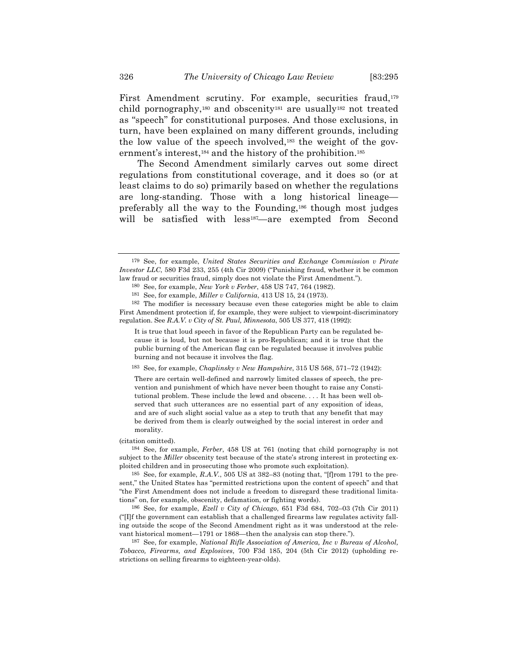First Amendment scrutiny. For example, securities fraud,<sup>179</sup> child pornography,180 and obscenity181 are usually182 not treated as "speech" for constitutional purposes. And those exclusions, in turn, have been explained on many different grounds, including the low value of the speech involved,183 the weight of the government's interest,<sup>184</sup> and the history of the prohibition.<sup>185</sup>

The Second Amendment similarly carves out some direct regulations from constitutional coverage, and it does so (or at least claims to do so) primarily based on whether the regulations are long-standing. Those with a long historical lineage preferably all the way to the Founding,186 though most judges will be satisfied with less<sup>187</sup>—are exempted from Second

183 See, for example, *Chaplinsky v New Hampshire*, 315 US 568, 571–72 (1942):

There are certain well-defined and narrowly limited classes of speech, the prevention and punishment of which have never been thought to raise any Constitutional problem. These include the lewd and obscene. . . . It has been well observed that such utterances are no essential part of any exposition of ideas, and are of such slight social value as a step to truth that any benefit that may be derived from them is clearly outweighed by the social interest in order and morality.

(citation omitted).

184 See, for example, *Ferber*, 458 US at 761 (noting that child pornography is not subject to the *Miller* obscenity test because of the state's strong interest in protecting exploited children and in prosecuting those who promote such exploitation).

185 See, for example, *R.A.V.*, 505 US at 382–83 (noting that, "[f]rom 1791 to the present," the United States has "permitted restrictions upon the content of speech" and that "the First Amendment does not include a freedom to disregard these traditional limitations" on, for example, obscenity, defamation, or fighting words).

186 See, for example, *Ezell v City of Chicago*, 651 F3d 684, 702–03 (7th Cir 2011) ("[I]f the government can establish that a challenged firearms law regulates activity falling outside the scope of the Second Amendment right as it was understood at the relevant historical moment—1791 or 1868—then the analysis can stop there.").

187 See, for example, *National Rifle Association of America, Inc v Bureau of Alcohol, Tobacco, Firearms, and Explosives*, 700 F3d 185, 204 (5th Cir 2012) (upholding restrictions on selling firearms to eighteen-year-olds).

<sup>179</sup> See, for example, *United States Securities and Exchange Commission v Pirate Investor LLC*, 580 F3d 233, 255 (4th Cir 2009) ("Punishing fraud, whether it be common law fraud or securities fraud, simply does not violate the First Amendment.").

<sup>180</sup> See, for example, *New York v Ferber*, 458 US 747, 764 (1982).

<sup>181</sup> See, for example, *Miller v California*, 413 US 15, 24 (1973).

<sup>182</sup> The modifier is necessary because even these categories might be able to claim First Amendment protection if, for example, they were subject to viewpoint-discriminatory regulation. See *R.A.V. v City of St. Paul, Minnesota*, 505 US 377, 418 (1992):

It is true that loud speech in favor of the Republican Party can be regulated because it is loud, but not because it is pro-Republican; and it is true that the public burning of the American flag can be regulated because it involves public burning and not because it involves the flag.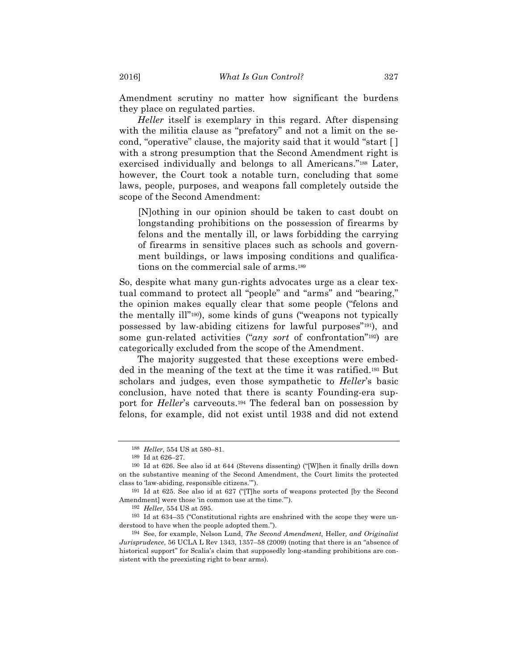Amendment scrutiny no matter how significant the burdens they place on regulated parties.

*Heller* itself is exemplary in this regard. After dispensing with the militia clause as "prefatory" and not a limit on the second, "operative" clause, the majority said that it would "start [ ] with a strong presumption that the Second Amendment right is exercised individually and belongs to all Americans."188 Later, however, the Court took a notable turn, concluding that some laws, people, purposes, and weapons fall completely outside the scope of the Second Amendment:

[N]othing in our opinion should be taken to cast doubt on longstanding prohibitions on the possession of firearms by felons and the mentally ill, or laws forbidding the carrying of firearms in sensitive places such as schools and government buildings, or laws imposing conditions and qualifications on the commercial sale of arms.189

So, despite what many gun-rights advocates urge as a clear textual command to protect all "people" and "arms" and "bearing," the opinion makes equally clear that some people ("felons and the mentally ill"190), some kinds of guns ("weapons not typically possessed by law-abiding citizens for lawful purposes"191), and some gun-related activities ("*any sort* of confrontation"192) are categorically excluded from the scope of the Amendment.

The majority suggested that these exceptions were embedded in the meaning of the text at the time it was ratified.193 But scholars and judges, even those sympathetic to *Heller*'s basic conclusion, have noted that there is scanty Founding-era support for *Heller*'s carveouts.194 The federal ban on possession by felons, for example, did not exist until 1938 and did not extend

<sup>188</sup> *Heller*, 554 US at 580–81.

<sup>189</sup> Id at 626–27.

<sup>190</sup> Id at 626. See also id at 644 (Stevens dissenting) ("[W]hen it finally drills down on the substantive meaning of the Second Amendment, the Court limits the protected class to 'law-abiding, responsible citizens.'").

<sup>191</sup> Id at 625. See also id at 627 ("[T]he sorts of weapons protected [by the Second Amendment] were those 'in common use at the time.'").

<sup>192</sup> *Heller*, 554 US at 595.

<sup>193</sup> Id at 634–35 ("Constitutional rights are enshrined with the scope they were understood to have when the people adopted them.").

<sup>194</sup> See, for example, Nelson Lund, *The Second Amendment,* Heller*, and Originalist Jurisprudence*, 56 UCLA L Rev 1343, 1357–58 (2009) (noting that there is an "absence of historical support" for Scalia's claim that supposedly long-standing prohibitions are consistent with the preexisting right to bear arms).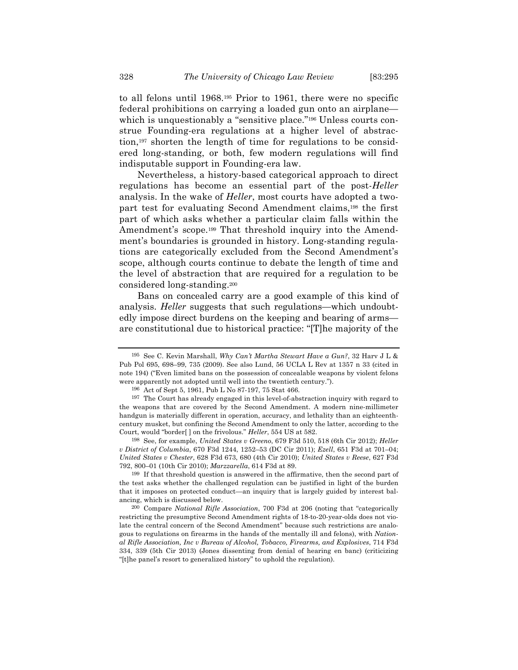to all felons until 1968.195 Prior to 1961, there were no specific federal prohibitions on carrying a loaded gun onto an airplane which is unquestionably a "sensitive place."<sup>196</sup> Unless courts construe Founding-era regulations at a higher level of abstraction,197 shorten the length of time for regulations to be considered long-standing, or both, few modern regulations will find indisputable support in Founding-era law.

Nevertheless, a history-based categorical approach to direct regulations has become an essential part of the post-*Heller* analysis. In the wake of *Heller*, most courts have adopted a twopart test for evaluating Second Amendment claims,198 the first part of which asks whether a particular claim falls within the Amendment's scope.199 That threshold inquiry into the Amendment's boundaries is grounded in history. Long-standing regulations are categorically excluded from the Second Amendment's scope, although courts continue to debate the length of time and the level of abstraction that are required for a regulation to be considered long-standing.200

Bans on concealed carry are a good example of this kind of analysis. *Heller* suggests that such regulations—which undoubtedly impose direct burdens on the keeping and bearing of arms are constitutional due to historical practice: "[T]he majority of the

198 See, for example, *United States v Greeno*, 679 F3d 510, 518 (6th Cir 2012); *Heller v District of Columbia*, 670 F3d 1244, 1252–53 (DC Cir 2011); *Ezell*, 651 F3d at 701–04; *United States v Chester*, 628 F3d 673, 680 (4th Cir 2010); *United States v Reese*, 627 F3d 792, 800–01 (10th Cir 2010); *Marzzarella*, 614 F3d at 89.

199 If that threshold question is answered in the affirmative, then the second part of the test asks whether the challenged regulation can be justified in light of the burden that it imposes on protected conduct—an inquiry that is largely guided by interest balancing, which is discussed below.

200 Compare *National Rifle Association*, 700 F3d at 206 (noting that "categorically restricting the presumptive Second Amendment rights of 18-to-20-year-olds does not violate the central concern of the Second Amendment" because such restrictions are analogous to regulations on firearms in the hands of the mentally ill and felons), with *National Rifle Association, Inc v Bureau of Alcohol, Tobacco, Firearms, and Explosives*, 714 F3d 334, 339 (5th Cir 2013) (Jones dissenting from denial of hearing en banc) (criticizing "[t]he panel's resort to generalized history" to uphold the regulation).

<sup>195</sup> See C. Kevin Marshall, *Why Can't Martha Stewart Have a Gun?*, 32 Harv J L & Pub Pol 695, 698–99, 735 (2009). See also Lund, 56 UCLA L Rev at 1357 n 33 (cited in note 194) ("Even limited bans on the possession of concealable weapons by violent felons were apparently not adopted until well into the twentieth century.").

<sup>196</sup> Act of Sept 5, 1961, Pub L No 87-197, 75 Stat 466.

<sup>197</sup> The Court has already engaged in this level-of-abstraction inquiry with regard to the weapons that are covered by the Second Amendment. A modern nine-millimeter handgun is materially different in operation, accuracy, and lethality than an eighteenthcentury musket, but confining the Second Amendment to only the latter, according to the Court, would "border[ ] on the frivolous." *Heller*, 554 US at 582.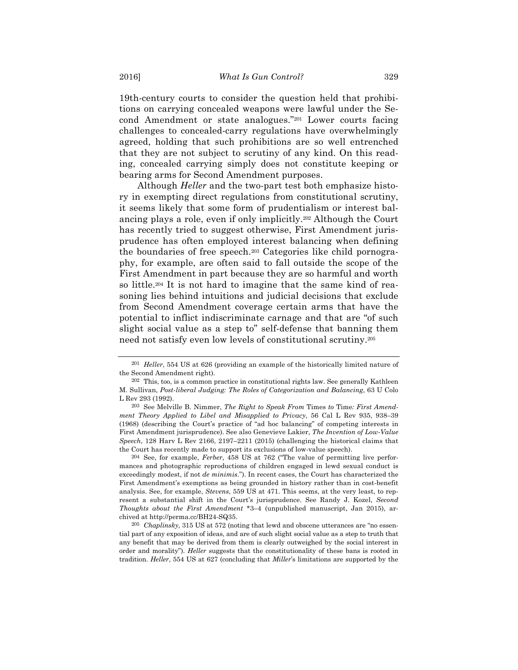19th-century courts to consider the question held that prohibitions on carrying concealed weapons were lawful under the Second Amendment or state analogues."201 Lower courts facing challenges to concealed-carry regulations have overwhelmingly agreed, holding that such prohibitions are so well entrenched that they are not subject to scrutiny of any kind. On this reading, concealed carrying simply does not constitute keeping or bearing arms for Second Amendment purposes.

Although *Heller* and the two-part test both emphasize history in exempting direct regulations from constitutional scrutiny, it seems likely that some form of prudentialism or interest balancing plays a role, even if only implicitly.202 Although the Court has recently tried to suggest otherwise, First Amendment jurisprudence has often employed interest balancing when defining the boundaries of free speech.203 Categories like child pornography, for example, are often said to fall outside the scope of the First Amendment in part because they are so harmful and worth so little.204 It is not hard to imagine that the same kind of reasoning lies behind intuitions and judicial decisions that exclude from Second Amendment coverage certain arms that have the potential to inflict indiscriminate carnage and that are "of such slight social value as a step to" self-defense that banning them need not satisfy even low levels of constitutional scrutiny.205

<sup>201</sup> *Heller*, 554 US at 626 (providing an example of the historically limited nature of the Second Amendment right).

<sup>202</sup> This, too, is a common practice in constitutional rights law. See generally Kathleen M. Sullivan, *Post-liberal Judging: The Roles of Categorization and Balancing*, 63 U Colo L Rev 293 (1992).

<sup>203</sup> See Melville B. Nimmer, *The Right to Speak From* Times *to* Time*: First Amendment Theory Applied to Libel and Misapplied to Privacy*, 56 Cal L Rev 935, 938–39 (1968) (describing the Court's practice of "ad hoc balancing" of competing interests in First Amendment jurisprudence). See also Genevieve Lakier, *The Invention of Low-Value Speech*, 128 Harv L Rev 2166, 2197–2211 (2015) (challenging the historical claims that the Court has recently made to support its exclusions of low-value speech).

<sup>204</sup> See, for example, *Ferber*, 458 US at 762 ("The value of permitting live performances and photographic reproductions of children engaged in lewd sexual conduct is exceedingly modest, if not *de minimis*."). In recent cases, the Court has characterized the First Amendment's exemptions as being grounded in history rather than in cost-benefit analysis. See, for example, *Stevens*, 559 US at 471. This seems, at the very least, to represent a substantial shift in the Court's jurisprudence. See Randy J. Kozel, *Second Thoughts about the First Amendment* \*3–4 (unpublished manuscript, Jan 2015), archived at http://perma.cc/BH24-SQ35.

<sup>205</sup> *Chaplinsky*, 315 US at 572 (noting that lewd and obscene utterances are "no essential part of any exposition of ideas, and are of such slight social value as a step to truth that any benefit that may be derived from them is clearly outweighed by the social interest in order and morality"). *Heller* suggests that the constitutionality of these bans is rooted in tradition. *Heller*, 554 US at 627 (concluding that *Miller*'s limitations are supported by the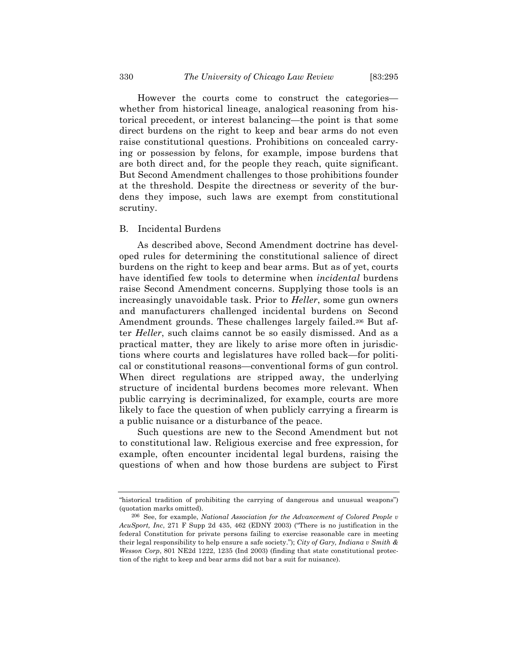However the courts come to construct the categories whether from historical lineage, analogical reasoning from historical precedent, or interest balancing—the point is that some direct burdens on the right to keep and bear arms do not even raise constitutional questions. Prohibitions on concealed carrying or possession by felons, for example, impose burdens that are both direct and, for the people they reach, quite significant. But Second Amendment challenges to those prohibitions founder at the threshold. Despite the directness or severity of the burdens they impose, such laws are exempt from constitutional scrutiny.

#### B. Incidental Burdens

As described above, Second Amendment doctrine has developed rules for determining the constitutional salience of direct burdens on the right to keep and bear arms. But as of yet, courts have identified few tools to determine when *incidental* burdens raise Second Amendment concerns. Supplying those tools is an increasingly unavoidable task. Prior to *Heller*, some gun owners and manufacturers challenged incidental burdens on Second Amendment grounds. These challenges largely failed.206 But after *Heller*, such claims cannot be so easily dismissed. And as a practical matter, they are likely to arise more often in jurisdictions where courts and legislatures have rolled back—for political or constitutional reasons—conventional forms of gun control. When direct regulations are stripped away, the underlying structure of incidental burdens becomes more relevant. When public carrying is decriminalized, for example, courts are more likely to face the question of when publicly carrying a firearm is a public nuisance or a disturbance of the peace.

Such questions are new to the Second Amendment but not to constitutional law. Religious exercise and free expression, for example, often encounter incidental legal burdens, raising the questions of when and how those burdens are subject to First

<sup>&</sup>quot;historical tradition of prohibiting the carrying of dangerous and unusual weapons") (quotation marks omitted).

<sup>206</sup> See, for example, *National Association for the Advancement of Colored People v AcuSport, Inc*, 271 F Supp 2d 435, 462 (EDNY 2003) ("There is no justification in the federal Constitution for private persons failing to exercise reasonable care in meeting their legal responsibility to help ensure a safe society."); *City of Gary, Indiana v Smith & Wesson Corp*, 801 NE2d 1222, 1235 (Ind 2003) (finding that state constitutional protection of the right to keep and bear arms did not bar a suit for nuisance).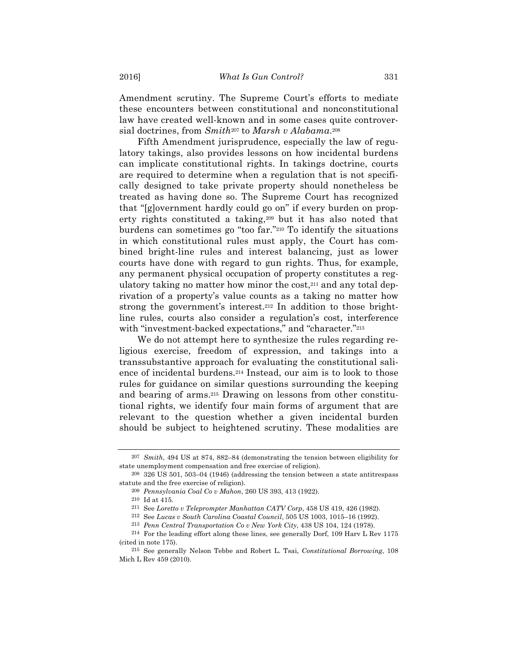Amendment scrutiny. The Supreme Court's efforts to mediate these encounters between constitutional and nonconstitutional law have created well-known and in some cases quite controversial doctrines, from *Smith*<sup>207</sup> to *Marsh v Alabama*.208

Fifth Amendment jurisprudence, especially the law of regulatory takings, also provides lessons on how incidental burdens can implicate constitutional rights. In takings doctrine, courts are required to determine when a regulation that is not specifically designed to take private property should nonetheless be treated as having done so. The Supreme Court has recognized that "[g]overnment hardly could go on" if every burden on property rights constituted a taking,209 but it has also noted that burdens can sometimes go "too far."210 To identify the situations in which constitutional rules must apply, the Court has combined bright-line rules and interest balancing, just as lower courts have done with regard to gun rights. Thus, for example, any permanent physical occupation of property constitutes a regulatory taking no matter how minor the cost,211 and any total deprivation of a property's value counts as a taking no matter how strong the government's interest.212 In addition to those brightline rules, courts also consider a regulation's cost, interference with "investment-backed expectations," and "character."<sup>213</sup>

We do not attempt here to synthesize the rules regarding religious exercise, freedom of expression, and takings into a transsubstantive approach for evaluating the constitutional salience of incidental burdens.214 Instead, our aim is to look to those rules for guidance on similar questions surrounding the keeping and bearing of arms.215 Drawing on lessons from other constitutional rights, we identify four main forms of argument that are relevant to the question whether a given incidental burden should be subject to heightened scrutiny. These modalities are

<sup>207</sup> *Smith*, 494 US at 874, 882–84 (demonstrating the tension between eligibility for state unemployment compensation and free exercise of religion).

<sup>208</sup> 326 US 501, 503–04 (1946) (addressing the tension between a state antitrespass statute and the free exercise of religion).

<sup>209</sup> *Pennsylvania Coal Co v Mahon*, 260 US 393, 413 (1922).

<sup>210</sup> Id at 415.

<sup>211</sup> See *Loretto v Teleprompter Manhattan CATV Corp*, 458 US 419, 426 (1982).

<sup>212</sup> See *Lucas v South Carolina Coastal Council*, 505 US 1003, 1015–16 (1992).

<sup>213</sup> *Penn Central Transportation Co v New York City*, 438 US 104, 124 (1978).

<sup>214</sup> For the leading effort along these lines, see generally Dorf, 109 Harv L Rev 1175 (cited in note 175).

<sup>215</sup> See generally Nelson Tebbe and Robert L. Tsai, *Constitutional Borrowing*, 108 Mich L Rev 459 (2010).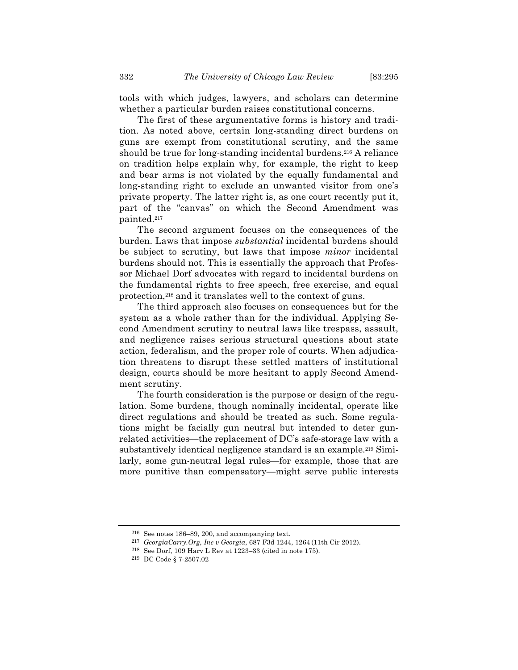tools with which judges, lawyers, and scholars can determine whether a particular burden raises constitutional concerns.

The first of these argumentative forms is history and tradition. As noted above, certain long-standing direct burdens on guns are exempt from constitutional scrutiny, and the same should be true for long-standing incidental burdens.<sup>216</sup> A reliance on tradition helps explain why, for example, the right to keep and bear arms is not violated by the equally fundamental and long-standing right to exclude an unwanted visitor from one's private property. The latter right is, as one court recently put it, part of the "canvas" on which the Second Amendment was painted.217

The second argument focuses on the consequences of the burden. Laws that impose *substantial* incidental burdens should be subject to scrutiny, but laws that impose *minor* incidental burdens should not. This is essentially the approach that Professor Michael Dorf advocates with regard to incidental burdens on the fundamental rights to free speech, free exercise, and equal protection,218 and it translates well to the context of guns.

The third approach also focuses on consequences but for the system as a whole rather than for the individual. Applying Second Amendment scrutiny to neutral laws like trespass, assault, and negligence raises serious structural questions about state action, federalism, and the proper role of courts. When adjudication threatens to disrupt these settled matters of institutional design, courts should be more hesitant to apply Second Amendment scrutiny.

The fourth consideration is the purpose or design of the regulation. Some burdens, though nominally incidental, operate like direct regulations and should be treated as such. Some regulations might be facially gun neutral but intended to deter gunrelated activities—the replacement of DC's safe-storage law with a substantively identical negligence standard is an example.219 Similarly, some gun-neutral legal rules—for example, those that are more punitive than compensatory—might serve public interests

<sup>216</sup> See notes 186–89, 200, and accompanying text.

<sup>217</sup> *GeorgiaCarry.Org, Inc v Georgia*, 687 F3d 1244, 1264 (11th Cir 2012).

<sup>218</sup> See Dorf, 109 Harv L Rev at 1223–33 (cited in note 175).

<sup>219</sup> DC Code § 7-2507.02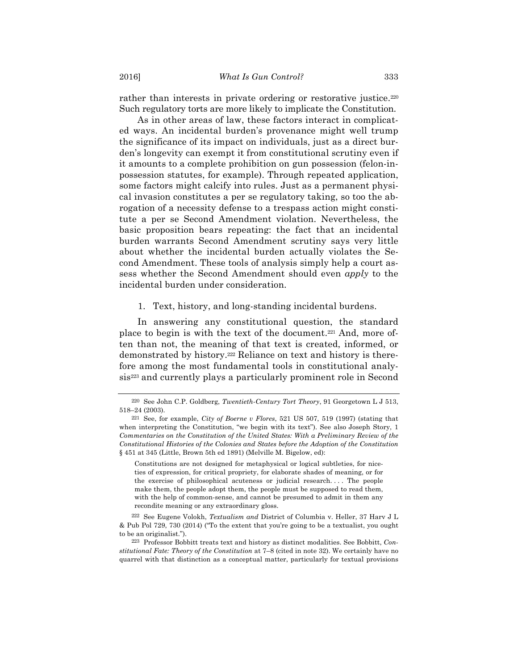rather than interests in private ordering or restorative justice.<sup>220</sup> Such regulatory torts are more likely to implicate the Constitution.

As in other areas of law, these factors interact in complicated ways. An incidental burden's provenance might well trump the significance of its impact on individuals, just as a direct burden's longevity can exempt it from constitutional scrutiny even if it amounts to a complete prohibition on gun possession (felon-inpossession statutes, for example). Through repeated application, some factors might calcify into rules. Just as a permanent physical invasion constitutes a per se regulatory taking, so too the abrogation of a necessity defense to a trespass action might constitute a per se Second Amendment violation. Nevertheless, the basic proposition bears repeating: the fact that an incidental burden warrants Second Amendment scrutiny says very little about whether the incidental burden actually violates the Second Amendment. These tools of analysis simply help a court assess whether the Second Amendment should even *apply* to the incidental burden under consideration.

1. Text, history, and long-standing incidental burdens.

In answering any constitutional question, the standard place to begin is with the text of the document.221 And, more often than not, the meaning of that text is created, informed, or demonstrated by history.222 Reliance on text and history is therefore among the most fundamental tools in constitutional analysis<sup>223</sup> and currently plays a particularly prominent role in Second

Constitutions are not designed for metaphysical or logical subtleties, for niceties of expression, for critical propriety, for elaborate shades of meaning, or for the exercise of philosophical acuteness or judicial research. . . . The people make them, the people adopt them, the people must be supposed to read them, with the help of common-sense, and cannot be presumed to admit in them any recondite meaning or any extraordinary gloss.

<sup>220</sup> See John C.P. Goldberg, *Twentieth-Century Tort Theory*, 91 Georgetown L J 513, 518–24 (2003).

<sup>221</sup> See, for example, *City of Boerne v Flores*, 521 US 507, 519 (1997) (stating that when interpreting the Constitution, "we begin with its text"). See also Joseph Story, 1 *Commentaries on the Constitution of the United States: With a Preliminary Review of the Constitutional Histories of the Colonies and States before the Adoption of the Constitution* § 451 at 345 (Little, Brown 5th ed 1891) (Melville M. Bigelow, ed):

<sup>222</sup> See Eugene Volokh, *Textualism and* District of Columbia v. Heller, 37 Harv J L & Pub Pol 729, 730 (2014) ("To the extent that you're going to be a textualist, you ought to be an originalist.").

<sup>223</sup> Professor Bobbitt treats text and history as distinct modalities. See Bobbitt, *Constitutional Fate: Theory of the Constitution* at 7–8 (cited in note 32). We certainly have no quarrel with that distinction as a conceptual matter, particularly for textual provisions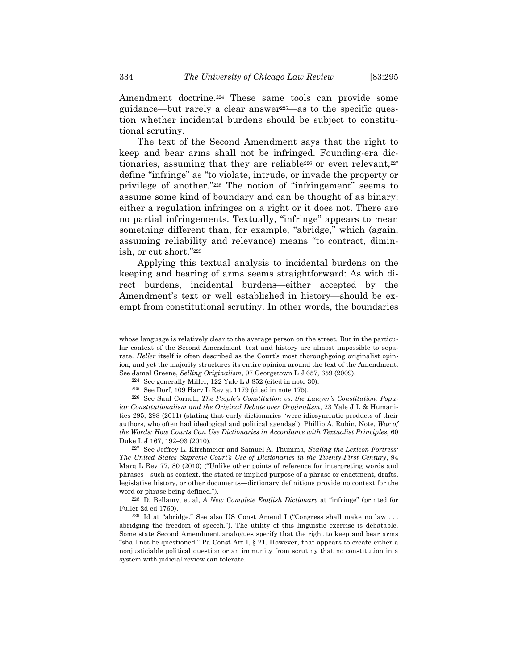Amendment doctrine.224 These same tools can provide some guidance—but rarely a clear answer225—as to the specific question whether incidental burdens should be subject to constitutional scrutiny.

The text of the Second Amendment says that the right to keep and bear arms shall not be infringed. Founding-era dictionaries, assuming that they are reliable<sup>226</sup> or even relevant,<sup>227</sup> define "infringe" as "to violate, intrude, or invade the property or privilege of another."228 The notion of "infringement" seems to assume some kind of boundary and can be thought of as binary: either a regulation infringes on a right or it does not. There are no partial infringements. Textually, "infringe" appears to mean something different than, for example, "abridge," which (again, assuming reliability and relevance) means "to contract, diminish, or cut short."229

Applying this textual analysis to incidental burdens on the keeping and bearing of arms seems straightforward: As with direct burdens, incidental burdens—either accepted by the Amendment's text or well established in history—should be exempt from constitutional scrutiny. In other words, the boundaries

227 See Jeffrey L. Kirchmeier and Samuel A. Thumma, *Scaling the Lexicon Fortress: The United States Supreme Court's Use of Dictionaries in the Twenty-First Century*, 94 Marq L Rev 77, 80 (2010) ("Unlike other points of reference for interpreting words and phrases—such as context, the stated or implied purpose of a phrase or enactment, drafts, legislative history, or other documents—dictionary definitions provide no context for the word or phrase being defined.").

228 D. Bellamy, et al, *A New Complete English Dictionary* at "infringe" (printed for Fuller 2d ed 1760).

229 Id at "abridge." See also US Const Amend I ("Congress shall make no law . . . abridging the freedom of speech."). The utility of this linguistic exercise is debatable. Some state Second Amendment analogues specify that the right to keep and bear arms "shall not be questioned." Pa Const Art I,  $\S 21$ . However, that appears to create either a nonjusticiable political question or an immunity from scrutiny that no constitution in a system with judicial review can tolerate.

whose language is relatively clear to the average person on the street. But in the particular context of the Second Amendment, text and history are almost impossible to separate. *Heller* itself is often described as the Court's most thoroughgoing originalist opinion, and yet the majority structures its entire opinion around the text of the Amendment. See Jamal Greene, *Selling Originalism*, 97 Georgetown L J 657, 659 (2009).

<sup>224</sup> See generally Miller, 122 Yale L J 852 (cited in note 30).

<sup>225</sup> See Dorf, 109 Harv L Rev at 1179 (cited in note 175).

<sup>226</sup> See Saul Cornell, *The People's Constitution vs. the Lawyer's Constitution: Popular Constitutionalism and the Original Debate over Originalism*, 23 Yale J L & Humanities 295, 298 (2011) (stating that early dictionaries "were idiosyncratic products of their authors, who often had ideological and political agendas"); Phillip A. Rubin, Note, *War of the Words: How Courts Can Use Dictionaries in Accordance with Textualist Principles*, 60 Duke L J 167, 192–93 (2010).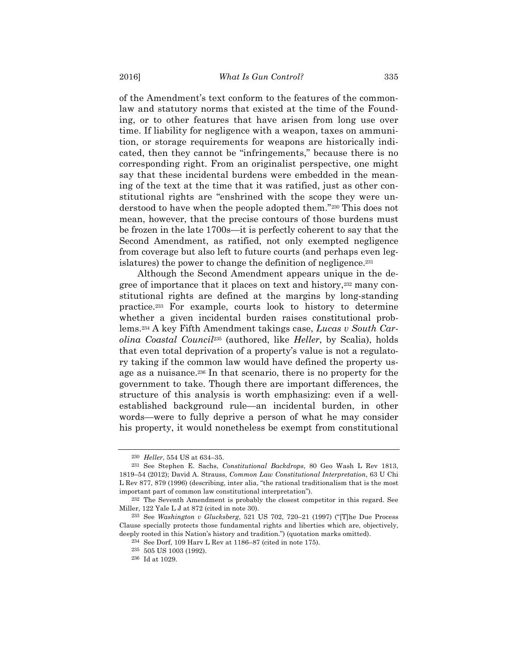of the Amendment's text conform to the features of the commonlaw and statutory norms that existed at the time of the Founding, or to other features that have arisen from long use over time. If liability for negligence with a weapon, taxes on ammunition, or storage requirements for weapons are historically indicated, then they cannot be "infringements," because there is no corresponding right. From an originalist perspective, one might say that these incidental burdens were embedded in the meaning of the text at the time that it was ratified, just as other constitutional rights are "enshrined with the scope they were understood to have when the people adopted them."230 This does not mean, however, that the precise contours of those burdens must be frozen in the late 1700s—it is perfectly coherent to say that the Second Amendment, as ratified, not only exempted negligence from coverage but also left to future courts (and perhaps even legislatures) the power to change the definition of negligence.231

Although the Second Amendment appears unique in the degree of importance that it places on text and history,232 many constitutional rights are defined at the margins by long-standing practice.233 For example, courts look to history to determine whether a given incidental burden raises constitutional problems.234 A key Fifth Amendment takings case, *Lucas v South Carolina Coastal Council*<sup>235</sup> (authored, like *Heller*, by Scalia), holds that even total deprivation of a property's value is not a regulatory taking if the common law would have defined the property usage as a nuisance.236 In that scenario, there is no property for the government to take. Though there are important differences, the structure of this analysis is worth emphasizing: even if a wellestablished background rule—an incidental burden, in other words—were to fully deprive a person of what he may consider his property, it would nonetheless be exempt from constitutional

<sup>230</sup> *Heller*, 554 US at 634–35.

<sup>231</sup> See Stephen E. Sachs, *Constitutional Backdrops*, 80 Geo Wash L Rev 1813, 1819–54 (2012); David A. Strauss, *Common Law Constitutional Interpretation*, 63 U Chi L Rev 877, 879 (1996) (describing, inter alia, "the rational traditionalism that is the most important part of common law constitutional interpretation").

<sup>232</sup> The Seventh Amendment is probably the closest competitor in this regard. See Miller, 122 Yale L J at 872 (cited in note 30).

<sup>233</sup> See *Washington v Glucksberg*, 521 US 702, 720–21 (1997) ("[T]he Due Process Clause specially protects those fundamental rights and liberties which are, objectively, deeply rooted in this Nation's history and tradition.") (quotation marks omitted).

<sup>234</sup> See Dorf, 109 Harv L Rev at 1186–87 (cited in note 175).

<sup>235</sup> 505 US 1003 (1992).

<sup>236</sup> Id at 1029.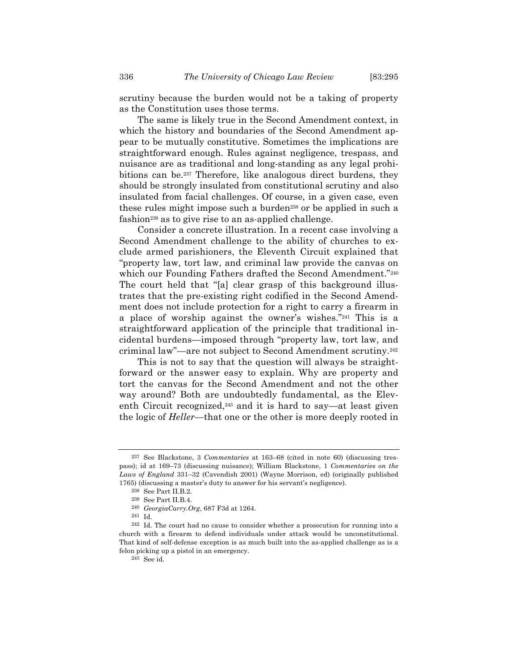scrutiny because the burden would not be a taking of property as the Constitution uses those terms.

The same is likely true in the Second Amendment context, in which the history and boundaries of the Second Amendment appear to be mutually constitutive. Sometimes the implications are straightforward enough. Rules against negligence, trespass, and nuisance are as traditional and long-standing as any legal prohibitions can be.237 Therefore, like analogous direct burdens, they should be strongly insulated from constitutional scrutiny and also insulated from facial challenges. Of course, in a given case, even these rules might impose such a burden<sup>238</sup> or be applied in such a fashion239 as to give rise to an as-applied challenge.

Consider a concrete illustration. In a recent case involving a Second Amendment challenge to the ability of churches to exclude armed parishioners, the Eleventh Circuit explained that "property law, tort law, and criminal law provide the canvas on which our Founding Fathers drafted the Second Amendment."240 The court held that "[a] clear grasp of this background illustrates that the pre-existing right codified in the Second Amendment does not include protection for a right to carry a firearm in a place of worship against the owner's wishes."241 This is a straightforward application of the principle that traditional incidental burdens—imposed through "property law, tort law, and criminal law"—are not subject to Second Amendment scrutiny.242

This is not to say that the question will always be straightforward or the answer easy to explain. Why are property and tort the canvas for the Second Amendment and not the other way around? Both are undoubtedly fundamental, as the Eleventh Circuit recognized,<sup>243</sup> and it is hard to say—at least given the logic of *Heller*—that one or the other is more deeply rooted in

243 See id.

<sup>237</sup> See Blackstone, 3 *Commentaries* at 163–68 (cited in note 60) (discussing trespass); id at 169–73 (discussing nuisance); William Blackstone, 1 *Commentaries on the Laws of England* 331–32 (Cavendish 2001) (Wayne Morrison, ed) (originally published 1765) (discussing a master's duty to answer for his servant's negligence).

<sup>238</sup> See Part II.B.2.

<sup>239</sup> See Part II.B.4.

<sup>240</sup> *GeorgiaCarry.Org*, 687 F3d at 1264.

<sup>241</sup> Id.

<sup>242</sup> Id. The court had no cause to consider whether a prosecution for running into a church with a firearm to defend individuals under attack would be unconstitutional. That kind of self-defense exception is as much built into the as-applied challenge as is a felon picking up a pistol in an emergency.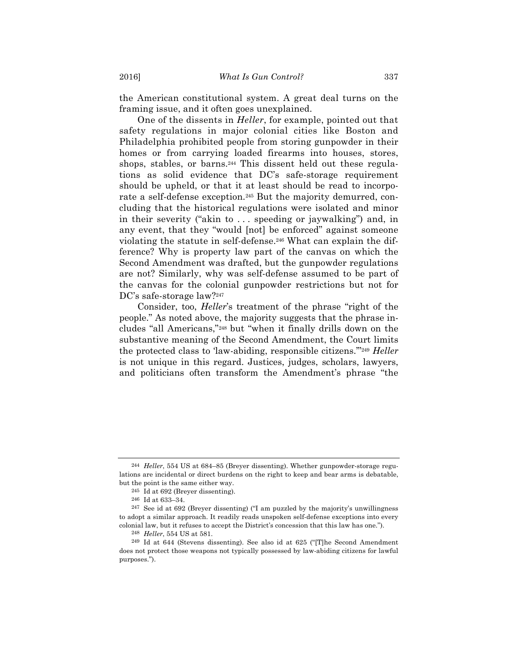the American constitutional system. A great deal turns on the framing issue, and it often goes unexplained.

One of the dissents in *Heller*, for example, pointed out that safety regulations in major colonial cities like Boston and Philadelphia prohibited people from storing gunpowder in their homes or from carrying loaded firearms into houses, stores, shops, stables, or barns.<sup>244</sup> This dissent held out these regulations as solid evidence that DC's safe-storage requirement should be upheld, or that it at least should be read to incorporate a self-defense exception.245 But the majority demurred, concluding that the historical regulations were isolated and minor in their severity ("akin to . . . speeding or jaywalking") and, in any event, that they "would [not] be enforced" against someone violating the statute in self-defense.246 What can explain the difference? Why is property law part of the canvas on which the Second Amendment was drafted, but the gunpowder regulations are not? Similarly, why was self-defense assumed to be part of the canvas for the colonial gunpowder restrictions but not for DC's safe-storage law?247

Consider, too, *Heller*'s treatment of the phrase "right of the people." As noted above, the majority suggests that the phrase includes "all Americans,"248 but "when it finally drills down on the substantive meaning of the Second Amendment, the Court limits the protected class to 'law-abiding, responsible citizens.'"249 *Heller*  is not unique in this regard. Justices, judges, scholars, lawyers, and politicians often transform the Amendment's phrase "the

<sup>244</sup> *Heller*, 554 US at 684–85 (Breyer dissenting). Whether gunpowder-storage regulations are incidental or direct burdens on the right to keep and bear arms is debatable, but the point is the same either way.

<sup>245</sup> Id at 692 (Breyer dissenting).

<sup>246</sup> Id at 633–34.

<sup>247</sup> See id at 692 (Breyer dissenting) ("I am puzzled by the majority's unwillingness to adopt a similar approach. It readily reads unspoken self-defense exceptions into every colonial law, but it refuses to accept the District's concession that this law has one.").

<sup>248</sup> *Heller*, 554 US at 581.

<sup>249</sup> Id at 644 (Stevens dissenting). See also id at 625 ("[T]he Second Amendment does not protect those weapons not typically possessed by law-abiding citizens for lawful purposes.").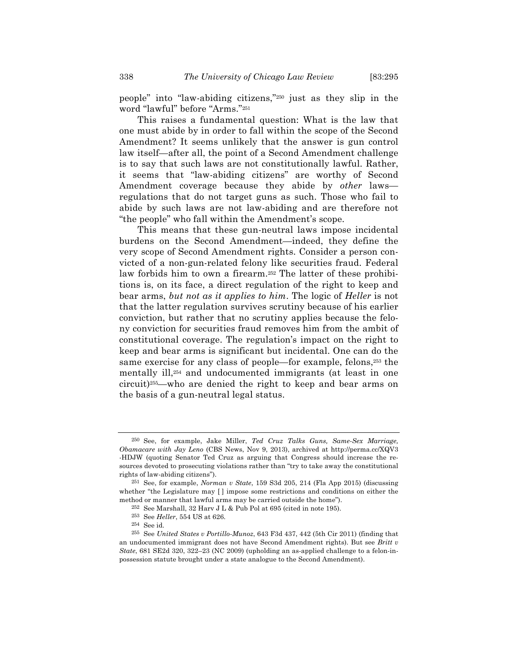people" into "law-abiding citizens,"250 just as they slip in the word "lawful" before "Arms."251

This raises a fundamental question: What is the law that one must abide by in order to fall within the scope of the Second Amendment? It seems unlikely that the answer is gun control law itself—after all, the point of a Second Amendment challenge is to say that such laws are not constitutionally lawful. Rather, it seems that "law-abiding citizens" are worthy of Second Amendment coverage because they abide by *other* laws regulations that do not target guns as such. Those who fail to abide by such laws are not law-abiding and are therefore not "the people" who fall within the Amendment's scope.

This means that these gun-neutral laws impose incidental burdens on the Second Amendment—indeed, they define the very scope of Second Amendment rights. Consider a person convicted of a non-gun-related felony like securities fraud. Federal law forbids him to own a firearm.252 The latter of these prohibitions is, on its face, a direct regulation of the right to keep and bear arms, *but not as it applies to him*. The logic of *Heller* is not that the latter regulation survives scrutiny because of his earlier conviction, but rather that no scrutiny applies because the felony conviction for securities fraud removes him from the ambit of constitutional coverage. The regulation's impact on the right to keep and bear arms is significant but incidental. One can do the same exercise for any class of people—for example, felons,253 the mentally ill,254 and undocumented immigrants (at least in one circuit)255—who are denied the right to keep and bear arms on the basis of a gun-neutral legal status.

<sup>250</sup> See, for example, Jake Miller, *Ted Cruz Talks Guns, Same-Sex Marriage, Obamacare with Jay Leno* (CBS News, Nov 9, 2013), archived at http://perma.cc/XQV3 -HDJW (quoting Senator Ted Cruz as arguing that Congress should increase the resources devoted to prosecuting violations rather than "try to take away the constitutional rights of law-abiding citizens").

<sup>251</sup> See, for example, *Norman v State*, 159 S3d 205, 214 (Fla App 2015) (discussing whether "the Legislature may [ ] impose some restrictions and conditions on either the method or manner that lawful arms may be carried outside the home").

<sup>252</sup> See Marshall, 32 Harv J L & Pub Pol at 695 (cited in note 195).

<sup>253</sup> See *Heller*, 554 US at 626.

<sup>254</sup> See id.

<sup>255</sup> See *United States v Portillo-Munoz*, 643 F3d 437, 442 (5th Cir 2011) (finding that an undocumented immigrant does not have Second Amendment rights). But see *Britt v State*, 681 SE2d 320, 322–23 (NC 2009) (upholding an as-applied challenge to a felon-inpossession statute brought under a state analogue to the Second Amendment).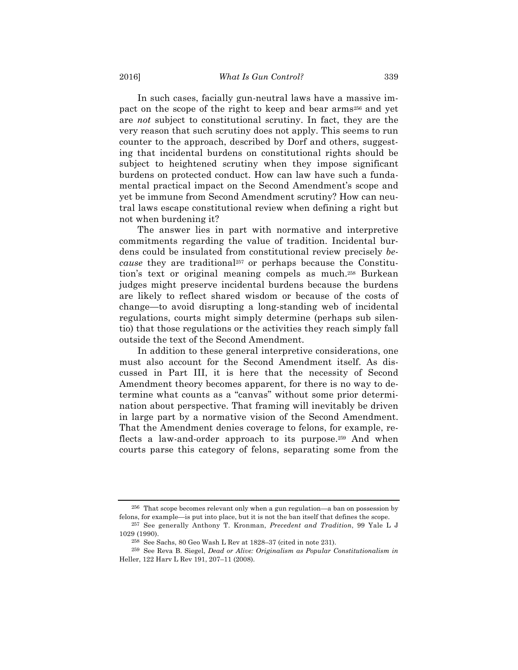In such cases, facially gun-neutral laws have a massive impact on the scope of the right to keep and bear arms256 and yet are *not* subject to constitutional scrutiny. In fact, they are the very reason that such scrutiny does not apply. This seems to run counter to the approach, described by Dorf and others, suggesting that incidental burdens on constitutional rights should be subject to heightened scrutiny when they impose significant burdens on protected conduct. How can law have such a fundamental practical impact on the Second Amendment's scope and yet be immune from Second Amendment scrutiny? How can neutral laws escape constitutional review when defining a right but not when burdening it?

The answer lies in part with normative and interpretive commitments regarding the value of tradition. Incidental burdens could be insulated from constitutional review precisely *because* they are traditional257 or perhaps because the Constitution's text or original meaning compels as much.258 Burkean judges might preserve incidental burdens because the burdens are likely to reflect shared wisdom or because of the costs of change—to avoid disrupting a long-standing web of incidental regulations, courts might simply determine (perhaps sub silentio) that those regulations or the activities they reach simply fall outside the text of the Second Amendment.

In addition to these general interpretive considerations, one must also account for the Second Amendment itself. As discussed in Part III, it is here that the necessity of Second Amendment theory becomes apparent, for there is no way to determine what counts as a "canvas" without some prior determination about perspective. That framing will inevitably be driven in large part by a normative vision of the Second Amendment. That the Amendment denies coverage to felons, for example, reflects a law-and-order approach to its purpose.259 And when courts parse this category of felons, separating some from the

<sup>256</sup> That scope becomes relevant only when a gun regulation—a ban on possession by felons, for example—is put into place, but it is not the ban itself that defines the scope.

<sup>257</sup> See generally Anthony T. Kronman, *Precedent and Tradition*, 99 Yale L J 1029 (1990).

<sup>258</sup> See Sachs, 80 Geo Wash L Rev at 1828–37 (cited in note 231).

<sup>259</sup> See Reva B. Siegel, *Dead or Alive: Originalism as Popular Constitutionalism in*  Heller, 122 Harv L Rev 191, 207–11 (2008).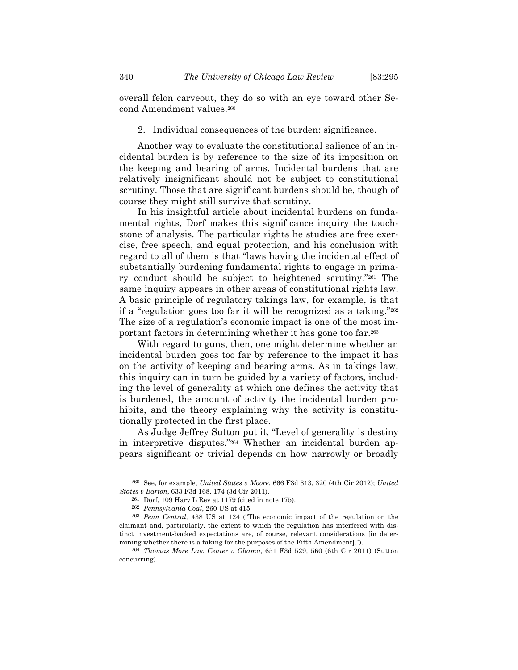overall felon carveout, they do so with an eye toward other Second Amendment values.260

# 2. Individual consequences of the burden: significance.

Another way to evaluate the constitutional salience of an incidental burden is by reference to the size of its imposition on the keeping and bearing of arms. Incidental burdens that are relatively insignificant should not be subject to constitutional scrutiny. Those that are significant burdens should be, though of course they might still survive that scrutiny.

In his insightful article about incidental burdens on fundamental rights, Dorf makes this significance inquiry the touchstone of analysis. The particular rights he studies are free exercise, free speech, and equal protection, and his conclusion with regard to all of them is that "laws having the incidental effect of substantially burdening fundamental rights to engage in primary conduct should be subject to heightened scrutiny."261 The same inquiry appears in other areas of constitutional rights law. A basic principle of regulatory takings law, for example, is that if a "regulation goes too far it will be recognized as a taking."262 The size of a regulation's economic impact is one of the most important factors in determining whether it has gone too far.263

With regard to guns, then, one might determine whether an incidental burden goes too far by reference to the impact it has on the activity of keeping and bearing arms. As in takings law, this inquiry can in turn be guided by a variety of factors, including the level of generality at which one defines the activity that is burdened, the amount of activity the incidental burden prohibits, and the theory explaining why the activity is constitutionally protected in the first place.

As Judge Jeffrey Sutton put it, "Level of generality is destiny in interpretive disputes."264 Whether an incidental burden appears significant or trivial depends on how narrowly or broadly

<sup>260</sup> See, for example, *United States v Moore*, 666 F3d 313, 320 (4th Cir 2012); *United States v Barton*, 633 F3d 168, 174 (3d Cir 2011).

<sup>261</sup> Dorf, 109 Harv L Rev at 1179 (cited in note 175).

<sup>262</sup> *Pennsylvania Coal*, 260 US at 415.

<sup>263</sup> *Penn Central*, 438 US at 124 ("The economic impact of the regulation on the claimant and, particularly, the extent to which the regulation has interfered with distinct investment-backed expectations are, of course, relevant considerations [in determining whether there is a taking for the purposes of the Fifth Amendment].").

<sup>264</sup> *Thomas More Law Center v Obama*, 651 F3d 529, 560 (6th Cir 2011) (Sutton concurring).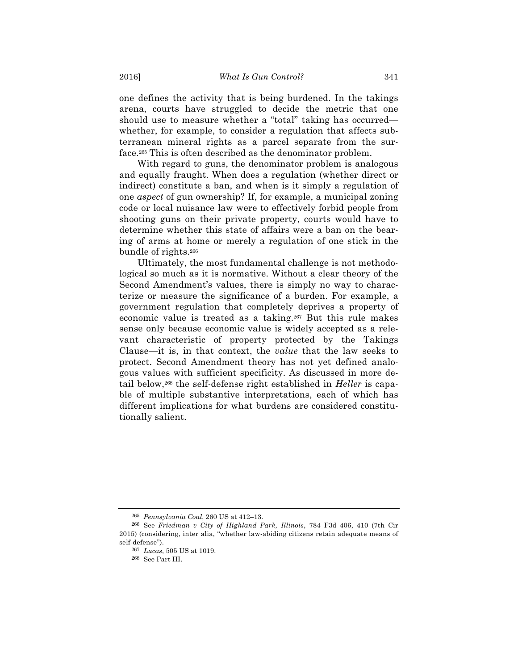one defines the activity that is being burdened. In the takings arena, courts have struggled to decide the metric that one should use to measure whether a "total" taking has occurred whether, for example, to consider a regulation that affects subterranean mineral rights as a parcel separate from the surface.265 This is often described as the denominator problem.

With regard to guns, the denominator problem is analogous and equally fraught. When does a regulation (whether direct or indirect) constitute a ban, and when is it simply a regulation of one *aspect* of gun ownership? If, for example, a municipal zoning code or local nuisance law were to effectively forbid people from shooting guns on their private property, courts would have to determine whether this state of affairs were a ban on the bearing of arms at home or merely a regulation of one stick in the bundle of rights.266

Ultimately, the most fundamental challenge is not methodological so much as it is normative. Without a clear theory of the Second Amendment's values, there is simply no way to characterize or measure the significance of a burden. For example, a government regulation that completely deprives a property of economic value is treated as a taking.267 But this rule makes sense only because economic value is widely accepted as a relevant characteristic of property protected by the Takings Clause—it is, in that context, the *value* that the law seeks to protect. Second Amendment theory has not yet defined analogous values with sufficient specificity. As discussed in more detail below,268 the self-defense right established in *Heller* is capable of multiple substantive interpretations, each of which has different implications for what burdens are considered constitutionally salient.

<sup>265</sup> *Pennsylvania Coal*, 260 US at 412–13.

<sup>266</sup> See *Friedman v City of Highland Park, Illinois*, 784 F3d 406, 410 (7th Cir 2015) (considering, inter alia, "whether law-abiding citizens retain adequate means of self-defense").

<sup>267</sup> *Lucas*, 505 US at 1019.

<sup>268</sup> See Part III.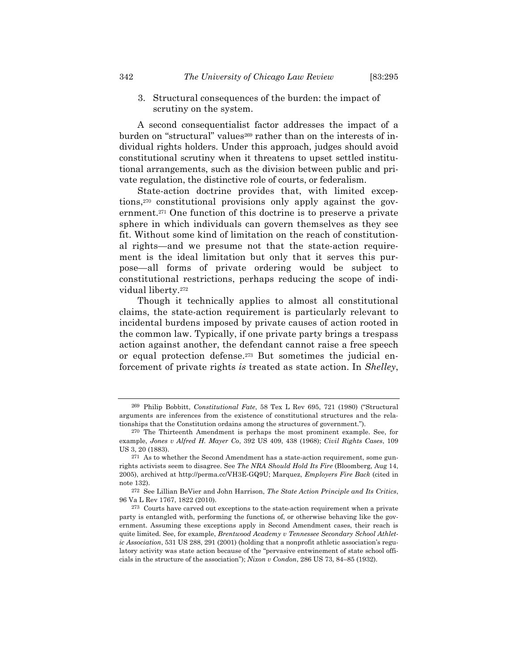3. Structural consequences of the burden: the impact of scrutiny on the system.

A second consequentialist factor addresses the impact of a burden on "structural" values<sup>269</sup> rather than on the interests of individual rights holders. Under this approach, judges should avoid constitutional scrutiny when it threatens to upset settled institutional arrangements, such as the division between public and private regulation, the distinctive role of courts, or federalism.

State-action doctrine provides that, with limited exceptions,270 constitutional provisions only apply against the government.271 One function of this doctrine is to preserve a private sphere in which individuals can govern themselves as they see fit. Without some kind of limitation on the reach of constitutional rights—and we presume not that the state-action requirement is the ideal limitation but only that it serves this purpose—all forms of private ordering would be subject to constitutional restrictions, perhaps reducing the scope of individual liberty.272

Though it technically applies to almost all constitutional claims, the state-action requirement is particularly relevant to incidental burdens imposed by private causes of action rooted in the common law. Typically, if one private party brings a trespass action against another, the defendant cannot raise a free speech or equal protection defense.273 But sometimes the judicial enforcement of private rights *is* treated as state action. In *Shelley*,

<sup>269</sup> Philip Bobbitt, *Constitutional Fate*, 58 Tex L Rev 695, 721 (1980) ("Structural arguments are inferences from the existence of constitutional structures and the relationships that the Constitution ordains among the structures of government.").

<sup>270</sup> The Thirteenth Amendment is perhaps the most prominent example. See, for example, *Jones v Alfred H. Mayer Co*, 392 US 409, 438 (1968); *Civil Rights Cases*, 109 US 3, 20 (1883).

<sup>271</sup> As to whether the Second Amendment has a state-action requirement, some gunrights activists seem to disagree. See *The NRA Should Hold Its Fire* (Bloomberg, Aug 14, 2005), archived at http://perma.cc/VH3E-GQ9U; Marquez, *Employers Fire Back* (cited in note 132).

<sup>272</sup> See Lillian BeVier and John Harrison, *The State Action Principle and Its Critics*, 96 Va L Rev 1767, 1822 (2010).

<sup>273</sup> Courts have carved out exceptions to the state-action requirement when a private party is entangled with, performing the functions of, or otherwise behaving like the government. Assuming these exceptions apply in Second Amendment cases, their reach is quite limited. See, for example, *Brentwood Academy v Tennessee Secondary School Athletic Association*, 531 US 288, 291 (2001) (holding that a nonprofit athletic association's regulatory activity was state action because of the "pervasive entwinement of state school officials in the structure of the association"); *Nixon v Condon*, 286 US 73, 84–85 (1932).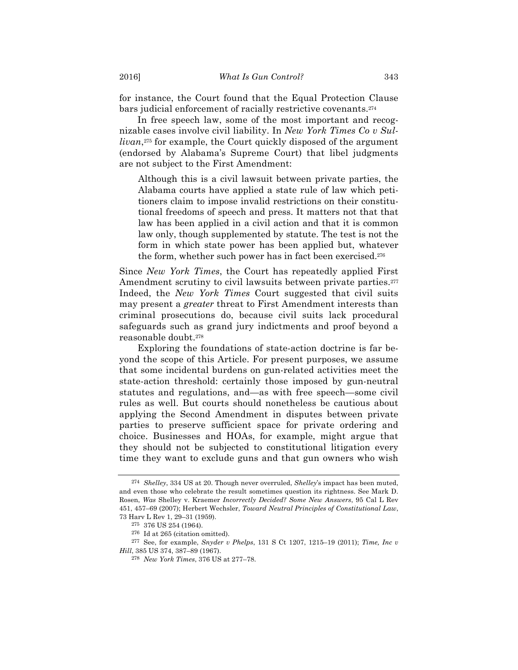for instance, the Court found that the Equal Protection Clause bars judicial enforcement of racially restrictive covenants.274

In free speech law, some of the most important and recognizable cases involve civil liability. In *New York Times Co v Sullivan*,275 for example, the Court quickly disposed of the argument (endorsed by Alabama's Supreme Court) that libel judgments are not subject to the First Amendment:

Although this is a civil lawsuit between private parties, the Alabama courts have applied a state rule of law which petitioners claim to impose invalid restrictions on their constitutional freedoms of speech and press. It matters not that that law has been applied in a civil action and that it is common law only, though supplemented by statute. The test is not the form in which state power has been applied but, whatever the form, whether such power has in fact been exercised.276

Since *New York Times*, the Court has repeatedly applied First Amendment scrutiny to civil lawsuits between private parties.<sup>277</sup> Indeed, the *New York Times* Court suggested that civil suits may present a *greater* threat to First Amendment interests than criminal prosecutions do, because civil suits lack procedural safeguards such as grand jury indictments and proof beyond a reasonable doubt.278

Exploring the foundations of state-action doctrine is far beyond the scope of this Article. For present purposes, we assume that some incidental burdens on gun-related activities meet the state-action threshold: certainly those imposed by gun-neutral statutes and regulations, and—as with free speech—some civil rules as well. But courts should nonetheless be cautious about applying the Second Amendment in disputes between private parties to preserve sufficient space for private ordering and choice. Businesses and HOAs, for example, might argue that they should not be subjected to constitutional litigation every time they want to exclude guns and that gun owners who wish

<sup>274</sup> *Shelley*, 334 US at 20. Though never overruled, *Shelley*'s impact has been muted, and even those who celebrate the result sometimes question its rightness. See Mark D. Rosen, *Was* Shelley v. Kraemer *Incorrectly Decided? Some New Answers*, 95 Cal L Rev 451, 457–69 (2007); Herbert Wechsler, *Toward Neutral Principles of Constitutional Law*, 73 Harv L Rev 1, 29–31 (1959).

<sup>275</sup> 376 US 254 (1964).

<sup>276</sup> Id at 265 (citation omitted).

<sup>277</sup> See, for example, *Snyder v Phelps*, 131 S Ct 1207, 1215–19 (2011); *Time, Inc v Hill*, 385 US 374, 387–89 (1967).

<sup>278</sup> *New York Times*, 376 US at 277–78.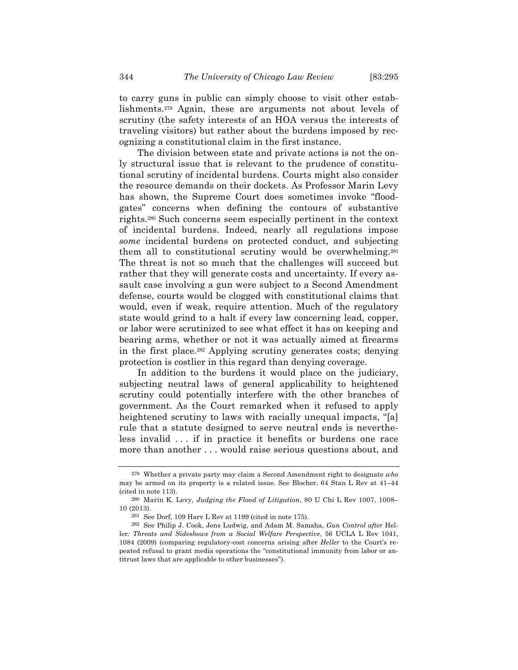to carry guns in public can simply choose to visit other establishments.279 Again, these are arguments not about levels of scrutiny (the safety interests of an HOA versus the interests of traveling visitors) but rather about the burdens imposed by recognizing a constitutional claim in the first instance.

The division between state and private actions is not the only structural issue that is relevant to the prudence of constitutional scrutiny of incidental burdens. Courts might also consider the resource demands on their dockets. As Professor Marin Levy has shown, the Supreme Court does sometimes invoke "floodgates" concerns when defining the contours of substantive rights.280 Such concerns seem especially pertinent in the context of incidental burdens. Indeed, nearly all regulations impose *some* incidental burdens on protected conduct, and subjecting them all to constitutional scrutiny would be overwhelming.281 The threat is not so much that the challenges will succeed but rather that they will generate costs and uncertainty. If every assault case involving a gun were subject to a Second Amendment defense, courts would be clogged with constitutional claims that would, even if weak, require attention. Much of the regulatory state would grind to a halt if every law concerning lead, copper, or labor were scrutinized to see what effect it has on keeping and bearing arms, whether or not it was actually aimed at firearms in the first place.282 Applying scrutiny generates costs; denying protection is costlier in this regard than denying coverage.

In addition to the burdens it would place on the judiciary, subjecting neutral laws of general applicability to heightened scrutiny could potentially interfere with the other branches of government. As the Court remarked when it refused to apply heightened scrutiny to laws with racially unequal impacts, "[a] rule that a statute designed to serve neutral ends is nevertheless invalid . . . if in practice it benefits or burdens one race more than another . . . would raise serious questions about, and

<sup>279</sup> Whether a private party may claim a Second Amendment right to designate *who* may be armed on its property is a related issue. See Blocher, 64 Stan L Rev at 41–44 (cited in note 113).

<sup>280</sup> Marin K. Levy, *Judging the Flood of Litigation*, 80 U Chi L Rev 1007, 1008– 10 (2013).

<sup>281</sup> See Dorf, 109 Harv L Rev at 1199 (cited in note 175).

<sup>282</sup> See Philip J. Cook, Jens Ludwig, and Adam M. Samaha, *Gun Control after* Heller*: Threats and Sideshows from a Social Welfare Perspective*, 56 UCLA L Rev 1041, 1084 (2009) (comparing regulatory-cost concerns arising after *Heller* to the Court's repeated refusal to grant media operations the "constitutional immunity from labor or antitrust laws that are applicable to other businesses").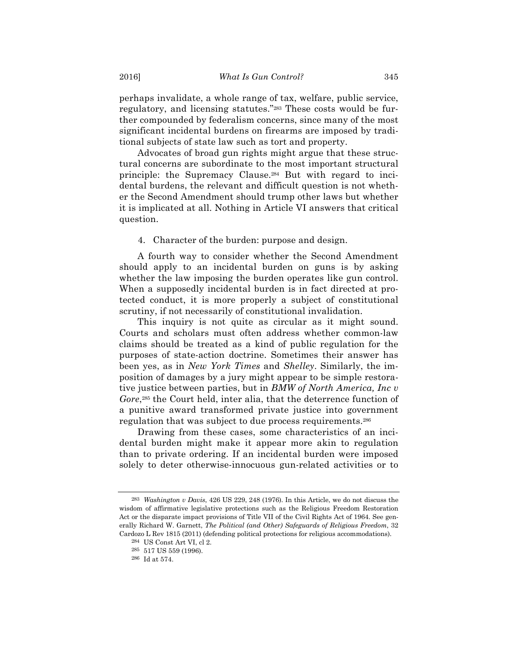perhaps invalidate, a whole range of tax, welfare, public service, regulatory, and licensing statutes."283 These costs would be further compounded by federalism concerns, since many of the most significant incidental burdens on firearms are imposed by traditional subjects of state law such as tort and property.

Advocates of broad gun rights might argue that these structural concerns are subordinate to the most important structural principle: the Supremacy Clause.284 But with regard to incidental burdens, the relevant and difficult question is not whether the Second Amendment should trump other laws but whether it is implicated at all. Nothing in Article VI answers that critical question.

4. Character of the burden: purpose and design.

A fourth way to consider whether the Second Amendment should apply to an incidental burden on guns is by asking whether the law imposing the burden operates like gun control. When a supposedly incidental burden is in fact directed at protected conduct, it is more properly a subject of constitutional scrutiny, if not necessarily of constitutional invalidation.

This inquiry is not quite as circular as it might sound. Courts and scholars must often address whether common-law claims should be treated as a kind of public regulation for the purposes of state-action doctrine. Sometimes their answer has been yes, as in *New York Times* and *Shelley*. Similarly, the imposition of damages by a jury might appear to be simple restorative justice between parties, but in *BMW of North America, Inc v Gore*,285 the Court held, inter alia, that the deterrence function of a punitive award transformed private justice into government regulation that was subject to due process requirements.286

Drawing from these cases, some characteristics of an incidental burden might make it appear more akin to regulation than to private ordering. If an incidental burden were imposed solely to deter otherwise-innocuous gun-related activities or to

<sup>283</sup> *Washington v Davis*, 426 US 229, 248 (1976). In this Article, we do not discuss the wisdom of affirmative legislative protections such as the Religious Freedom Restoration Act or the disparate impact provisions of Title VII of the Civil Rights Act of 1964. See generally Richard W. Garnett, *The Political (and Other) Safeguards of Religious Freedom*, 32 Cardozo L Rev 1815 (2011) (defending political protections for religious accommodations).

<sup>284</sup> US Const Art VI, cl 2.

<sup>285</sup> 517 US 559 (1996).

<sup>286</sup> Id at 574.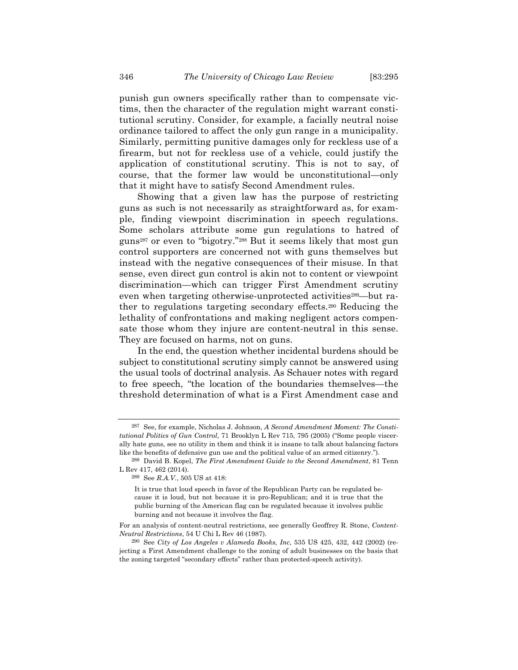punish gun owners specifically rather than to compensate victims, then the character of the regulation might warrant constitutional scrutiny. Consider, for example, a facially neutral noise ordinance tailored to affect the only gun range in a municipality. Similarly, permitting punitive damages only for reckless use of a firearm, but not for reckless use of a vehicle, could justify the application of constitutional scrutiny. This is not to say, of course, that the former law would be unconstitutional—only that it might have to satisfy Second Amendment rules.

Showing that a given law has the purpose of restricting guns as such is not necessarily as straightforward as, for example, finding viewpoint discrimination in speech regulations. Some scholars attribute some gun regulations to hatred of guns287 or even to "bigotry."288 But it seems likely that most gun control supporters are concerned not with guns themselves but instead with the negative consequences of their misuse. In that sense, even direct gun control is akin not to content or viewpoint discrimination—which can trigger First Amendment scrutiny even when targeting otherwise-unprotected activities<sup>289</sup>—but rather to regulations targeting secondary effects.290 Reducing the lethality of confrontations and making negligent actors compensate those whom they injure are content-neutral in this sense. They are focused on harms, not on guns.

In the end, the question whether incidental burdens should be subject to constitutional scrutiny simply cannot be answered using the usual tools of doctrinal analysis. As Schauer notes with regard to free speech, "the location of the boundaries themselves—the threshold determination of what is a First Amendment case and

<sup>287</sup> See, for example, Nicholas J. Johnson, *A Second Amendment Moment: The Constitutional Politics of Gun Control*, 71 Brooklyn L Rev 715, 795 (2005) ("Some people viscerally hate guns, see no utility in them and think it is insane to talk about balancing factors like the benefits of defensive gun use and the political value of an armed citizenry.").

<sup>288</sup> David B. Kopel, *The First Amendment Guide to the Second Amendment*, 81 Tenn L Rev 417, 462 (2014).

<sup>289</sup> See *R.A.V.*, 505 US at 418:

It is true that loud speech in favor of the Republican Party can be regulated because it is loud, but not because it is pro-Republican; and it is true that the public burning of the American flag can be regulated because it involves public burning and not because it involves the flag.

For an analysis of content-neutral restrictions, see generally Geoffrey R. Stone, *Content-Neutral Restrictions*, 54 U Chi L Rev 46 (1987).

<sup>290</sup> See *City of Los Angeles v Alameda Books, Inc*, 535 US 425, 432, 442 (2002) (rejecting a First Amendment challenge to the zoning of adult businesses on the basis that the zoning targeted "secondary effects" rather than protected-speech activity).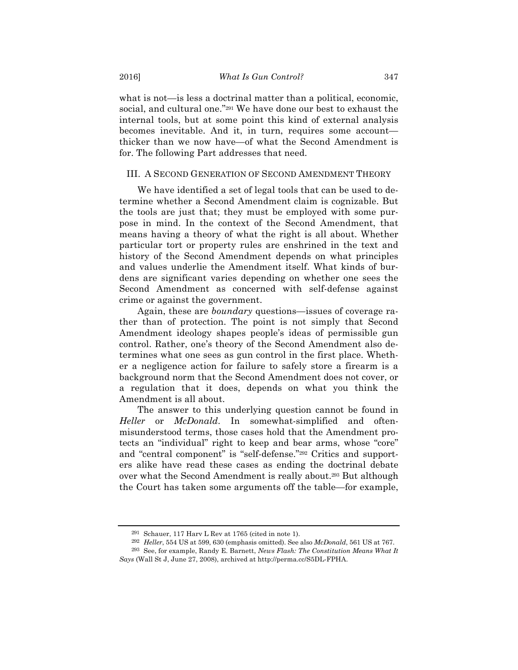what is not—is less a doctrinal matter than a political, economic, social, and cultural one."291 We have done our best to exhaust the internal tools, but at some point this kind of external analysis becomes inevitable. And it, in turn, requires some account thicker than we now have—of what the Second Amendment is for. The following Part addresses that need.

## III. A SECOND GENERATION OF SECOND AMENDMENT THEORY

We have identified a set of legal tools that can be used to determine whether a Second Amendment claim is cognizable. But the tools are just that; they must be employed with some purpose in mind. In the context of the Second Amendment, that means having a theory of what the right is all about. Whether particular tort or property rules are enshrined in the text and history of the Second Amendment depends on what principles and values underlie the Amendment itself. What kinds of burdens are significant varies depending on whether one sees the Second Amendment as concerned with self-defense against crime or against the government.

Again, these are *boundary* questions—issues of coverage rather than of protection. The point is not simply that Second Amendment ideology shapes people's ideas of permissible gun control. Rather, one's theory of the Second Amendment also determines what one sees as gun control in the first place. Whether a negligence action for failure to safely store a firearm is a background norm that the Second Amendment does not cover, or a regulation that it does, depends on what you think the Amendment is all about.

The answer to this underlying question cannot be found in *Heller* or *McDonald*. In somewhat-simplified and oftenmisunderstood terms, those cases hold that the Amendment protects an "individual" right to keep and bear arms, whose "core" and "central component" is "self-defense."292 Critics and supporters alike have read these cases as ending the doctrinal debate over what the Second Amendment is really about.293 But although the Court has taken some arguments off the table—for example,

<sup>291</sup> Schauer, 117 Harv L Rev at 1765 (cited in note 1).

<sup>292</sup> *Heller*, 554 US at 599, 630 (emphasis omitted). See also *McDonald*, 561 US at 767.

<sup>293</sup> See, for example, Randy E. Barnett, *News Flash: The Constitution Means What It Says* (Wall St J, June 27, 2008), archived at http://perma.cc/S5DL-FPHA.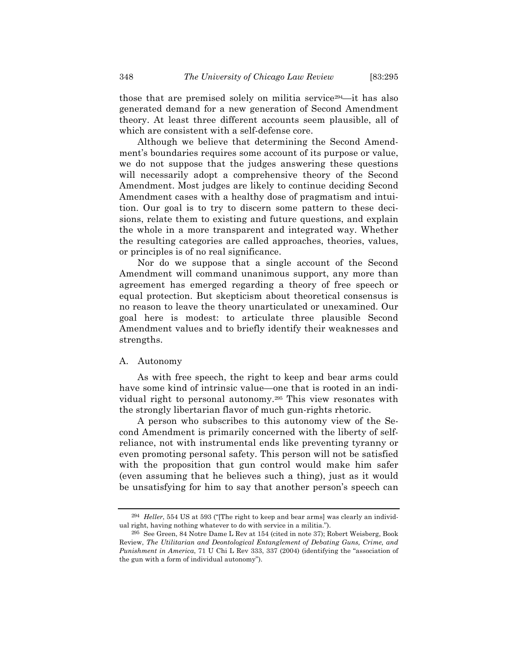those that are premised solely on militia service294—it has also generated demand for a new generation of Second Amendment theory. At least three different accounts seem plausible, all of which are consistent with a self-defense core.

Although we believe that determining the Second Amendment's boundaries requires some account of its purpose or value, we do not suppose that the judges answering these questions will necessarily adopt a comprehensive theory of the Second Amendment. Most judges are likely to continue deciding Second Amendment cases with a healthy dose of pragmatism and intuition. Our goal is to try to discern some pattern to these decisions, relate them to existing and future questions, and explain the whole in a more transparent and integrated way. Whether the resulting categories are called approaches, theories, values, or principles is of no real significance.

Nor do we suppose that a single account of the Second Amendment will command unanimous support, any more than agreement has emerged regarding a theory of free speech or equal protection. But skepticism about theoretical consensus is no reason to leave the theory unarticulated or unexamined. Our goal here is modest: to articulate three plausible Second Amendment values and to briefly identify their weaknesses and strengths.

#### A. Autonomy

As with free speech, the right to keep and bear arms could have some kind of intrinsic value—one that is rooted in an individual right to personal autonomy.295 This view resonates with the strongly libertarian flavor of much gun-rights rhetoric.

A person who subscribes to this autonomy view of the Second Amendment is primarily concerned with the liberty of selfreliance, not with instrumental ends like preventing tyranny or even promoting personal safety. This person will not be satisfied with the proposition that gun control would make him safer (even assuming that he believes such a thing), just as it would be unsatisfying for him to say that another person's speech can

<sup>294</sup> *Heller*, 554 US at 593 ("[The right to keep and bear arms] was clearly an individual right, having nothing whatever to do with service in a militia.").

<sup>295</sup> See Green, 84 Notre Dame L Rev at 154 (cited in note 37); Robert Weisberg, Book Review, *The Utilitarian and Deontological Entanglement of Debating Guns, Crime, and Punishment in America*, 71 U Chi L Rev 333, 337 (2004) (identifying the "association of the gun with a form of individual autonomy").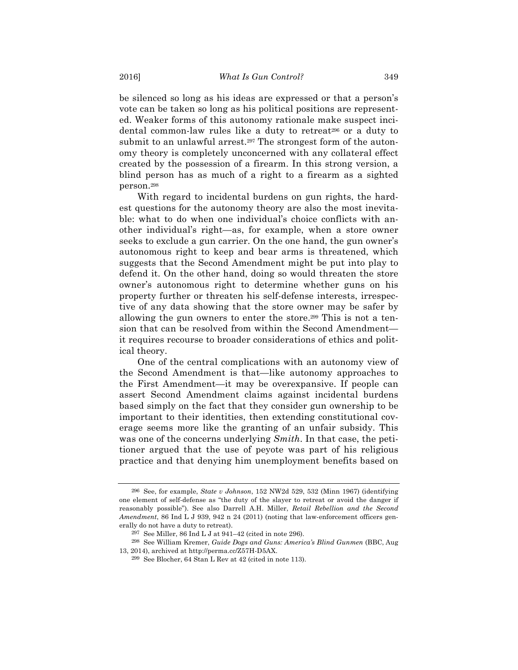be silenced so long as his ideas are expressed or that a person's vote can be taken so long as his political positions are represented. Weaker forms of this autonomy rationale make suspect incidental common-law rules like a duty to retreat<sup>296</sup> or a duty to submit to an unlawful arrest.<sup>297</sup> The strongest form of the autonomy theory is completely unconcerned with any collateral effect created by the possession of a firearm. In this strong version, a blind person has as much of a right to a firearm as a sighted person.298

With regard to incidental burdens on gun rights, the hardest questions for the autonomy theory are also the most inevitable: what to do when one individual's choice conflicts with another individual's right—as, for example, when a store owner seeks to exclude a gun carrier. On the one hand, the gun owner's autonomous right to keep and bear arms is threatened, which suggests that the Second Amendment might be put into play to defend it. On the other hand, doing so would threaten the store owner's autonomous right to determine whether guns on his property further or threaten his self-defense interests, irrespective of any data showing that the store owner may be safer by allowing the gun owners to enter the store.299 This is not a tension that can be resolved from within the Second Amendment it requires recourse to broader considerations of ethics and political theory.

One of the central complications with an autonomy view of the Second Amendment is that—like autonomy approaches to the First Amendment—it may be overexpansive. If people can assert Second Amendment claims against incidental burdens based simply on the fact that they consider gun ownership to be important to their identities, then extending constitutional coverage seems more like the granting of an unfair subsidy. This was one of the concerns underlying *Smith*. In that case, the petitioner argued that the use of peyote was part of his religious practice and that denying him unemployment benefits based on

<sup>296</sup> See, for example, *State v Johnson*, 152 NW2d 529, 532 (Minn 1967) (identifying one element of self-defense as "the duty of the slayer to retreat or avoid the danger if reasonably possible"). See also Darrell A.H. Miller, *Retail Rebellion and the Second Amendment*, 86 Ind L J 939, 942 n 24 (2011) (noting that law-enforcement officers generally do not have a duty to retreat).

<sup>297</sup> See Miller, 86 Ind L J at 941–42 (cited in note 296).

<sup>298</sup> See William Kremer, *Guide Dogs and Guns: America's Blind Gunmen* (BBC, Aug 13, 2014), archived at http://perma.cc/Z57H-D5AX.

<sup>299</sup> See Blocher, 64 Stan L Rev at 42 (cited in note 113).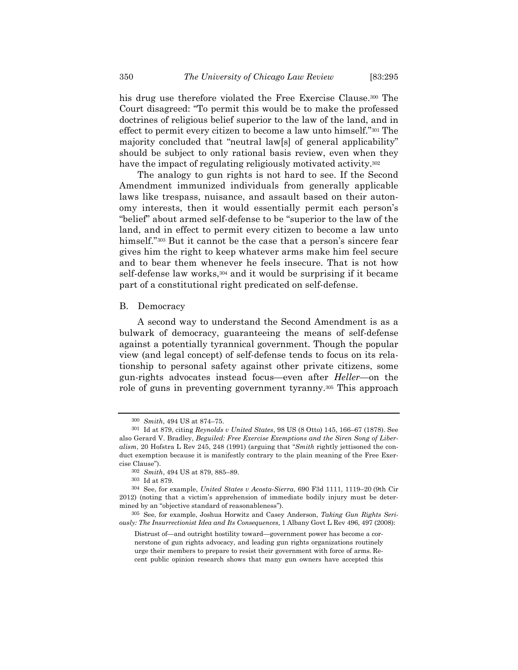his drug use therefore violated the Free Exercise Clause.<sup>300</sup> The Court disagreed: "To permit this would be to make the professed doctrines of religious belief superior to the law of the land, and in effect to permit every citizen to become a law unto himself."301 The majority concluded that "neutral law[s] of general applicability" should be subject to only rational basis review, even when they have the impact of regulating religiously motivated activity.<sup>302</sup>

The analogy to gun rights is not hard to see. If the Second Amendment immunized individuals from generally applicable laws like trespass, nuisance, and assault based on their autonomy interests, then it would essentially permit each person's "belief" about armed self-defense to be "superior to the law of the land, and in effect to permit every citizen to become a law unto himself."<sup>303</sup> But it cannot be the case that a person's sincere fear gives him the right to keep whatever arms make him feel secure and to bear them whenever he feels insecure. That is not how self-defense law works,<sup>304</sup> and it would be surprising if it became part of a constitutional right predicated on self-defense.

#### B. Democracy

A second way to understand the Second Amendment is as a bulwark of democracy, guaranteeing the means of self-defense against a potentially tyrannical government. Though the popular view (and legal concept) of self-defense tends to focus on its relationship to personal safety against other private citizens, some gun-rights advocates instead focus—even after *Heller*—on the role of guns in preventing government tyranny.305 This approach

<sup>300</sup> *Smith*, 494 US at 874–75.

<sup>301</sup> Id at 879, citing *Reynolds v United States*, 98 US (8 Otto) 145, 166–67 (1878). See also Gerard V. Bradley, *Beguiled: Free Exercise Exemptions and the Siren Song of Liberalism*, 20 Hofstra L Rev 245, 248 (1991) (arguing that "*Smith* rightly jettisoned the conduct exemption because it is manifestly contrary to the plain meaning of the Free Exercise Clause").

<sup>302</sup> *Smith*, 494 US at 879, 885–89.

<sup>303</sup> Id at 879.

<sup>304</sup> See, for example, *United States v Acosta-Sierra*, 690 F3d 1111, 1119–20 (9th Cir 2012) (noting that a victim's apprehension of immediate bodily injury must be determined by an "objective standard of reasonableness").

<sup>305</sup> See, for example, Joshua Horwitz and Casey Anderson, *Taking Gun Rights Seriously: The Insurrectionist Idea and Its Consequences*, 1 Albany Govt L Rev 496, 497 (2008):

Distrust of—and outright hostility toward—government power has become a cornerstone of gun rights advocacy, and leading gun rights organizations routinely urge their members to prepare to resist their government with force of arms. Recent public opinion research shows that many gun owners have accepted this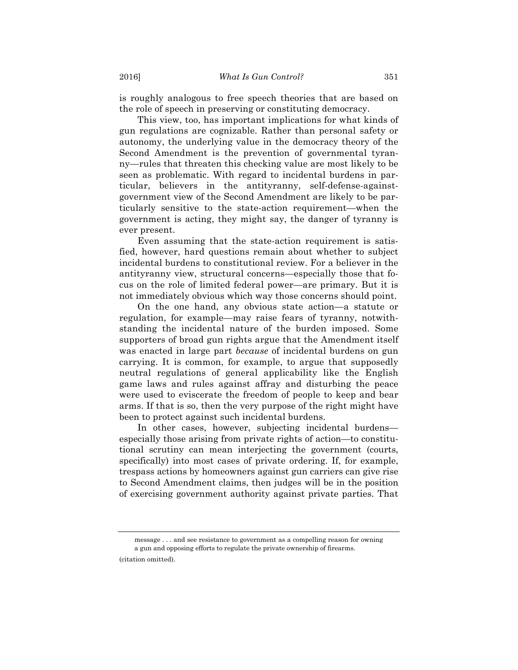is roughly analogous to free speech theories that are based on the role of speech in preserving or constituting democracy.

This view, too, has important implications for what kinds of gun regulations are cognizable. Rather than personal safety or autonomy, the underlying value in the democracy theory of the Second Amendment is the prevention of governmental tyranny—rules that threaten this checking value are most likely to be seen as problematic. With regard to incidental burdens in particular, believers in the antityranny, self-defense-againstgovernment view of the Second Amendment are likely to be particularly sensitive to the state-action requirement—when the government is acting, they might say, the danger of tyranny is ever present.

Even assuming that the state-action requirement is satisfied, however, hard questions remain about whether to subject incidental burdens to constitutional review. For a believer in the antityranny view, structural concerns—especially those that focus on the role of limited federal power—are primary. But it is not immediately obvious which way those concerns should point.

On the one hand, any obvious state action—a statute or regulation, for example—may raise fears of tyranny, notwithstanding the incidental nature of the burden imposed. Some supporters of broad gun rights argue that the Amendment itself was enacted in large part *because* of incidental burdens on gun carrying. It is common, for example, to argue that supposedly neutral regulations of general applicability like the English game laws and rules against affray and disturbing the peace were used to eviscerate the freedom of people to keep and bear arms. If that is so, then the very purpose of the right might have been to protect against such incidental burdens.

In other cases, however, subjecting incidental burdens especially those arising from private rights of action—to constitutional scrutiny can mean interjecting the government (courts, specifically) into most cases of private ordering. If, for example, trespass actions by homeowners against gun carriers can give rise to Second Amendment claims, then judges will be in the position of exercising government authority against private parties. That

message . . . and see resistance to government as a compelling reason for owning a gun and opposing efforts to regulate the private ownership of firearms. (citation omitted).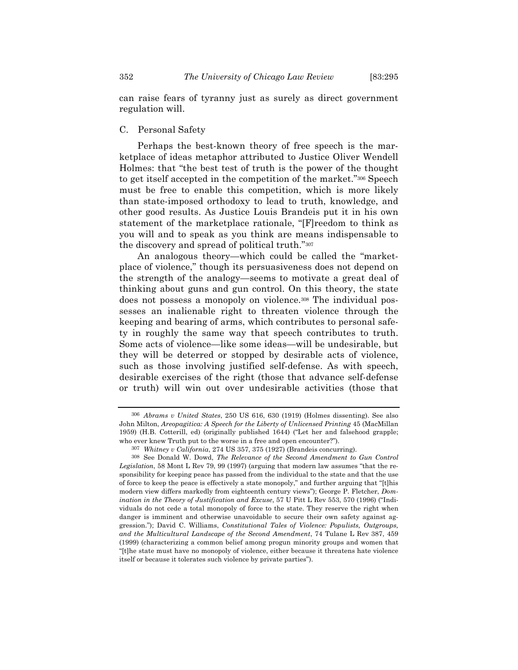can raise fears of tyranny just as surely as direct government regulation will.

# C. Personal Safety

Perhaps the best-known theory of free speech is the marketplace of ideas metaphor attributed to Justice Oliver Wendell Holmes: that "the best test of truth is the power of the thought to get itself accepted in the competition of the market."306 Speech must be free to enable this competition, which is more likely than state-imposed orthodoxy to lead to truth, knowledge, and other good results. As Justice Louis Brandeis put it in his own statement of the marketplace rationale, "[F]reedom to think as you will and to speak as you think are means indispensable to the discovery and spread of political truth."307

An analogous theory—which could be called the "marketplace of violence," though its persuasiveness does not depend on the strength of the analogy—seems to motivate a great deal of thinking about guns and gun control. On this theory, the state does not possess a monopoly on violence.308 The individual possesses an inalienable right to threaten violence through the keeping and bearing of arms, which contributes to personal safety in roughly the same way that speech contributes to truth. Some acts of violence—like some ideas—will be undesirable, but they will be deterred or stopped by desirable acts of violence, such as those involving justified self-defense. As with speech, desirable exercises of the right (those that advance self-defense or truth) will win out over undesirable activities (those that

<sup>306</sup> *Abrams v United States*, 250 US 616, 630 (1919) (Holmes dissenting). See also John Milton, *Areopagitica: A Speech for the Liberty of Unlicensed Printing* 45 (MacMillan 1959) (H.B. Cotterill, ed) (originally published 1644) ("Let her and falsehood grapple; who ever knew Truth put to the worse in a free and open encounter?").

<sup>307</sup> *Whitney v California*, 274 US 357, 375 (1927) (Brandeis concurring).

<sup>308</sup> See Donald W. Dowd, *The Relevance of the Second Amendment to Gun Control Legislation*, 58 Mont L Rev 79, 99 (1997) (arguing that modern law assumes "that the responsibility for keeping peace has passed from the individual to the state and that the use of force to keep the peace is effectively a state monopoly," and further arguing that "[t]his modern view differs markedly from eighteenth century views"); George P. Fletcher, *Domination in the Theory of Justification and Excuse*, 57 U Pitt L Rev 553, 570 (1996) ("Individuals do not cede a total monopoly of force to the state. They reserve the right when danger is imminent and otherwise unavoidable to secure their own safety against aggression."); David C. Williams, *Constitutional Tales of Violence: Populists, Outgroups, and the Multicultural Landscape of the Second Amendment*, 74 Tulane L Rev 387, 459 (1999) (characterizing a common belief among progun minority groups and women that "[t]he state must have no monopoly of violence, either because it threatens hate violence itself or because it tolerates such violence by private parties").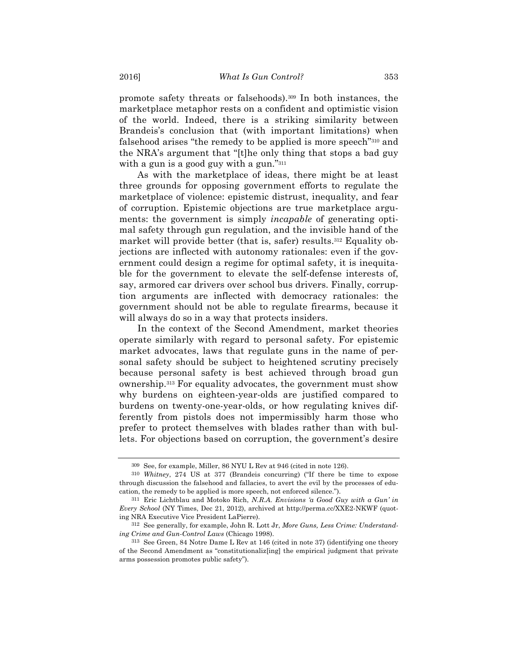promote safety threats or falsehoods).309 In both instances, the marketplace metaphor rests on a confident and optimistic vision of the world. Indeed, there is a striking similarity between Brandeis's conclusion that (with important limitations) when falsehood arises "the remedy to be applied is more speech"310 and the NRA's argument that "[t]he only thing that stops a bad guy with a gun is a good guy with a gun."<sup>311</sup>

As with the marketplace of ideas, there might be at least three grounds for opposing government efforts to regulate the marketplace of violence: epistemic distrust, inequality, and fear of corruption. Epistemic objections are true marketplace arguments: the government is simply *incapable* of generating optimal safety through gun regulation, and the invisible hand of the market will provide better (that is, safer) results.<sup>312</sup> Equality objections are inflected with autonomy rationales: even if the government could design a regime for optimal safety, it is inequitable for the government to elevate the self-defense interests of, say, armored car drivers over school bus drivers. Finally, corruption arguments are inflected with democracy rationales: the government should not be able to regulate firearms, because it will always do so in a way that protects insiders.

In the context of the Second Amendment, market theories operate similarly with regard to personal safety. For epistemic market advocates, laws that regulate guns in the name of personal safety should be subject to heightened scrutiny precisely because personal safety is best achieved through broad gun ownership.313 For equality advocates, the government must show why burdens on eighteen-year-olds are justified compared to burdens on twenty-one-year-olds, or how regulating knives differently from pistols does not impermissibly harm those who prefer to protect themselves with blades rather than with bullets. For objections based on corruption, the government's desire

<sup>309</sup> See, for example, Miller, 86 NYU L Rev at 946 (cited in note 126).

<sup>310</sup> *Whitney*, 274 US at 377 (Brandeis concurring) ("If there be time to expose through discussion the falsehood and fallacies, to avert the evil by the processes of education, the remedy to be applied is more speech, not enforced silence.").

<sup>311</sup> Eric Lichtblau and Motoko Rich, *N.R.A. Envisions 'a Good Guy with a Gun' in Every School* (NY Times, Dec 21, 2012), archived at http://perma.cc/XXE2-NKWF (quoting NRA Executive Vice President LaPierre).

<sup>312</sup> See generally, for example, John R. Lott Jr, *More Guns, Less Crime: Understanding Crime and Gun-Control Laws* (Chicago 1998).

<sup>313</sup> See Green, 84 Notre Dame L Rev at 146 (cited in note 37) (identifying one theory of the Second Amendment as "constitutionaliz[ing] the empirical judgment that private arms possession promotes public safety").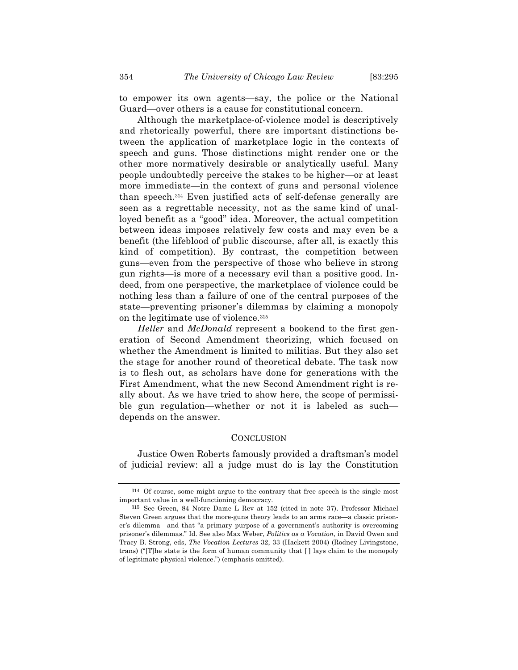to empower its own agents—say, the police or the National Guard—over others is a cause for constitutional concern.

Although the marketplace-of-violence model is descriptively and rhetorically powerful, there are important distinctions between the application of marketplace logic in the contexts of speech and guns. Those distinctions might render one or the other more normatively desirable or analytically useful. Many people undoubtedly perceive the stakes to be higher—or at least more immediate—in the context of guns and personal violence than speech.314 Even justified acts of self-defense generally are seen as a regrettable necessity, not as the same kind of unalloyed benefit as a "good" idea. Moreover, the actual competition between ideas imposes relatively few costs and may even be a benefit (the lifeblood of public discourse, after all, is exactly this kind of competition). By contrast, the competition between guns—even from the perspective of those who believe in strong gun rights—is more of a necessary evil than a positive good. Indeed, from one perspective, the marketplace of violence could be nothing less than a failure of one of the central purposes of the state—preventing prisoner's dilemmas by claiming a monopoly on the legitimate use of violence.315

*Heller* and *McDonald* represent a bookend to the first generation of Second Amendment theorizing, which focused on whether the Amendment is limited to militias. But they also set the stage for another round of theoretical debate. The task now is to flesh out, as scholars have done for generations with the First Amendment, what the new Second Amendment right is really about. As we have tried to show here, the scope of permissible gun regulation—whether or not it is labeled as such depends on the answer.

# **CONCLUSION**

Justice Owen Roberts famously provided a draftsman's model of judicial review: all a judge must do is lay the Constitution

<sup>314</sup> Of course, some might argue to the contrary that free speech is the single most important value in a well-functioning democracy.

<sup>315</sup> See Green, 84 Notre Dame L Rev at 152 (cited in note 37). Professor Michael Steven Green argues that the more-guns theory leads to an arms race—a classic prisoner's dilemma—and that "a primary purpose of a government's authority is overcoming prisoner's dilemmas." Id. See also Max Weber, *Politics as a Vocation*, in David Owen and Tracy B. Strong, eds, *The Vocation Lectures* 32, 33 (Hackett 2004) (Rodney Livingstone, trans) ("[T]he state is the form of human community that [ ] lays claim to the monopoly of legitimate physical violence.") (emphasis omitted).